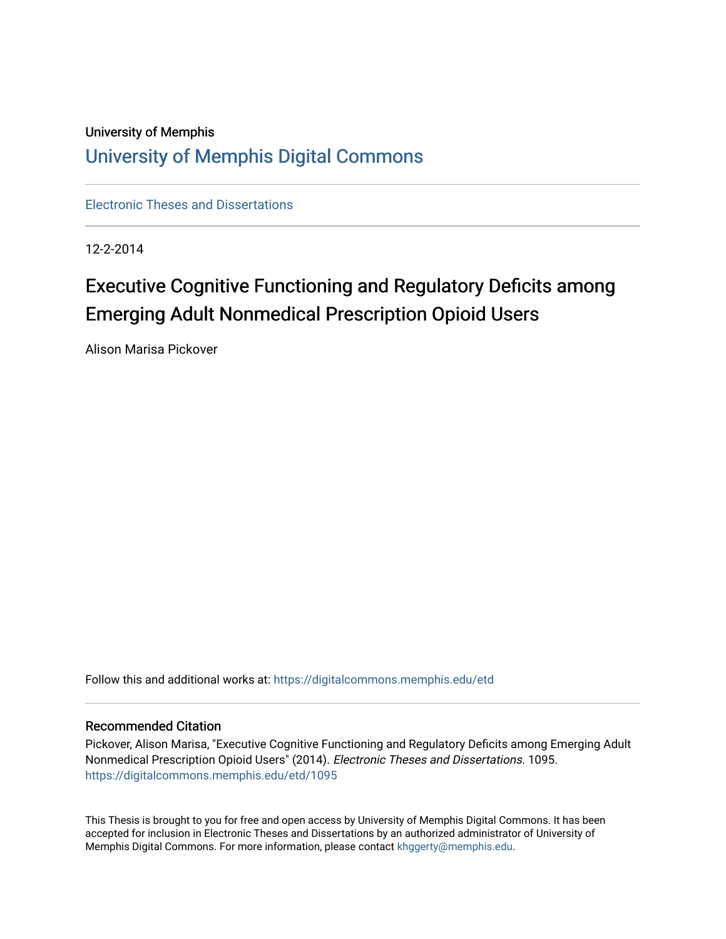# University of Memphis [University of Memphis Digital Commons](https://digitalcommons.memphis.edu/)

[Electronic Theses and Dissertations](https://digitalcommons.memphis.edu/etd)

12-2-2014

# Executive Cognitive Functioning and Regulatory Deficits among Emerging Adult Nonmedical Prescription Opioid Users

Alison Marisa Pickover

Follow this and additional works at: [https://digitalcommons.memphis.edu/etd](https://digitalcommons.memphis.edu/etd?utm_source=digitalcommons.memphis.edu%2Fetd%2F1095&utm_medium=PDF&utm_campaign=PDFCoverPages) 

### Recommended Citation

Pickover, Alison Marisa, "Executive Cognitive Functioning and Regulatory Deficits among Emerging Adult Nonmedical Prescription Opioid Users" (2014). Electronic Theses and Dissertations. 1095. [https://digitalcommons.memphis.edu/etd/1095](https://digitalcommons.memphis.edu/etd/1095?utm_source=digitalcommons.memphis.edu%2Fetd%2F1095&utm_medium=PDF&utm_campaign=PDFCoverPages) 

This Thesis is brought to you for free and open access by University of Memphis Digital Commons. It has been accepted for inclusion in Electronic Theses and Dissertations by an authorized administrator of University of Memphis Digital Commons. For more information, please contact [khggerty@memphis.edu.](mailto:khggerty@memphis.edu)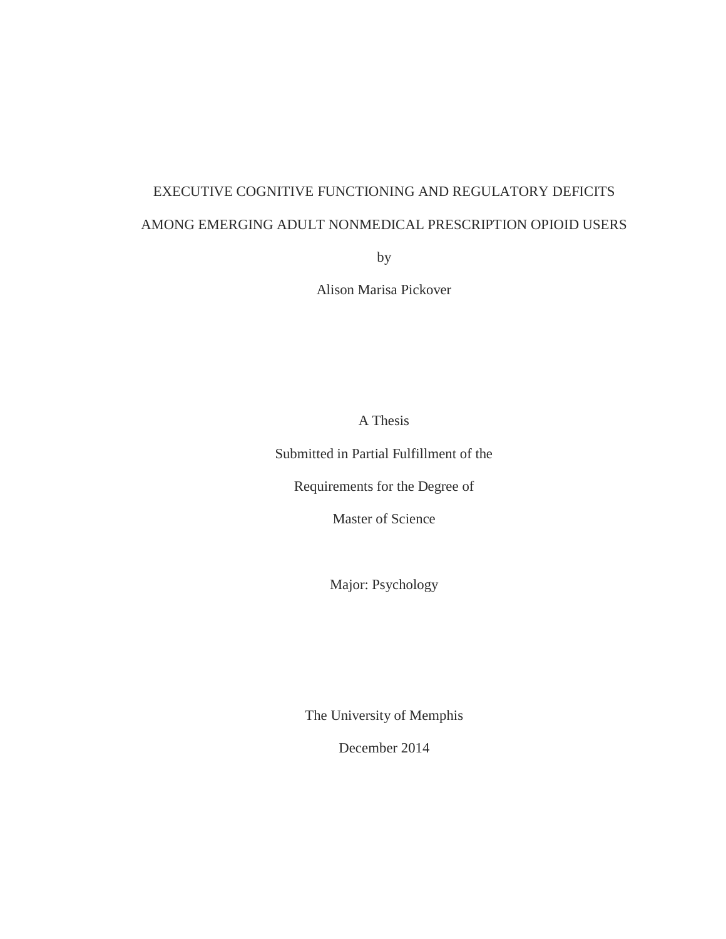# EXECUTIVE COGNITIVE FUNCTIONING AND REGULATORY DEFICITS AMONG EMERGING ADULT NONMEDICAL PRESCRIPTION OPIOID USERS

by

Alison Marisa Pickover

A Thesis

Submitted in Partial Fulfillment of the

Requirements for the Degree of

Master of Science

Major: Psychology

The University of Memphis

December 2014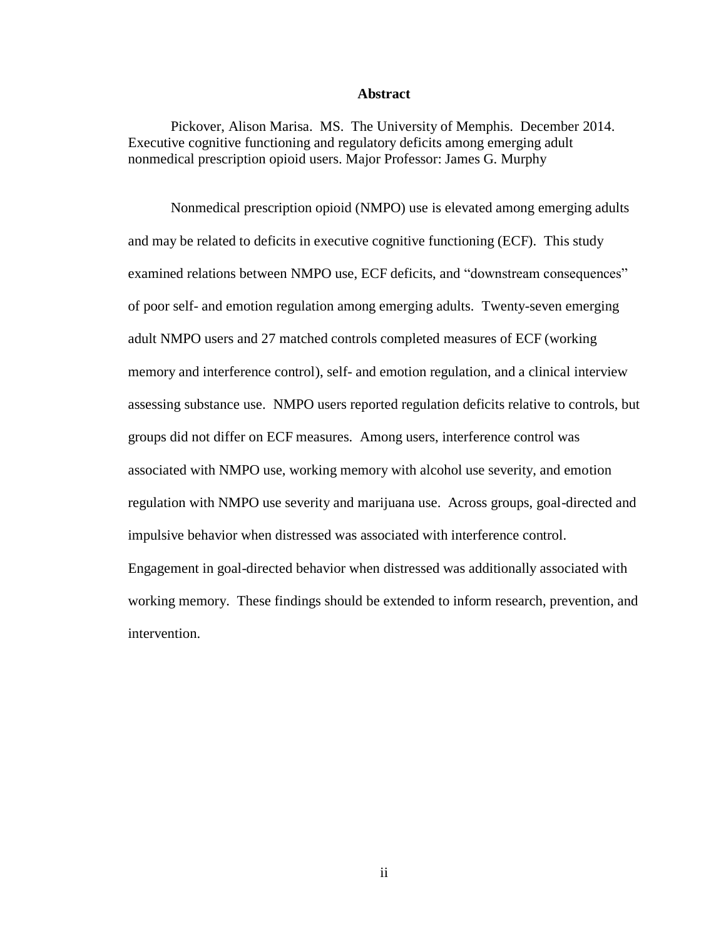### **Abstract**

Pickover, Alison Marisa. MS. The University of Memphis. December 2014. Executive cognitive functioning and regulatory deficits among emerging adult nonmedical prescription opioid users. Major Professor: James G. Murphy

Nonmedical prescription opioid (NMPO) use is elevated among emerging adults and may be related to deficits in executive cognitive functioning (ECF). This study examined relations between NMPO use, ECF deficits, and "downstream consequences" of poor self- and emotion regulation among emerging adults. Twenty-seven emerging adult NMPO users and 27 matched controls completed measures of ECF (working memory and interference control), self- and emotion regulation, and a clinical interview assessing substance use. NMPO users reported regulation deficits relative to controls, but groups did not differ on ECF measures. Among users, interference control was associated with NMPO use, working memory with alcohol use severity, and emotion regulation with NMPO use severity and marijuana use. Across groups, goal-directed and impulsive behavior when distressed was associated with interference control. Engagement in goal-directed behavior when distressed was additionally associated with working memory. These findings should be extended to inform research, prevention, and intervention.

ii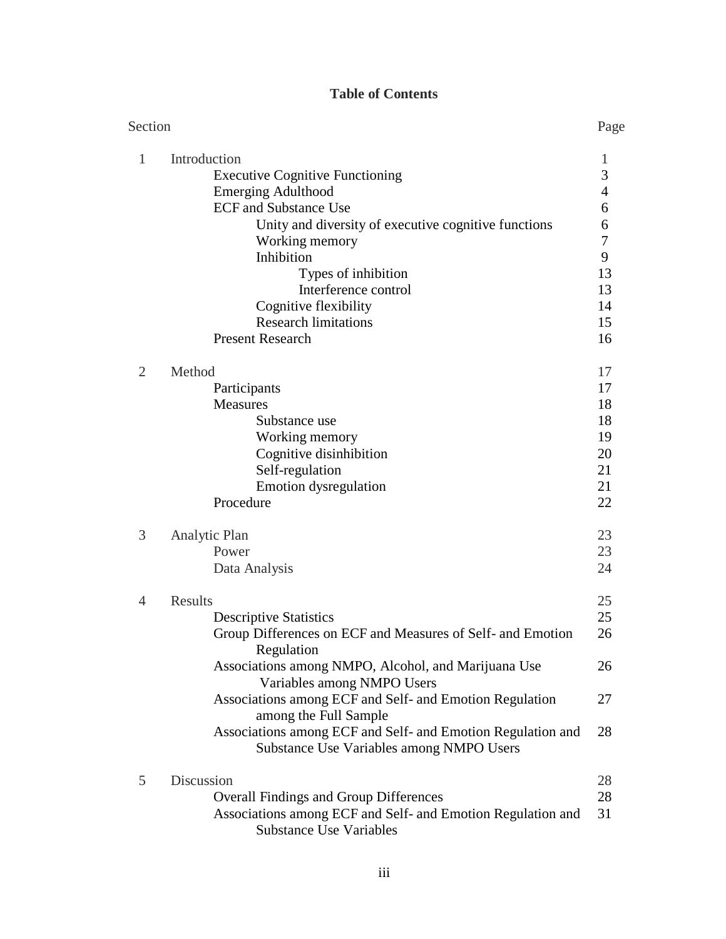# **Table of Contents**

| Section        |                                                                                                         | Page |
|----------------|---------------------------------------------------------------------------------------------------------|------|
| 1              | Introduction                                                                                            | 1    |
|                | <b>Executive Cognitive Functioning</b>                                                                  | 3    |
|                | <b>Emerging Adulthood</b>                                                                               | 4    |
|                | <b>ECF</b> and Substance Use                                                                            | 6    |
|                | Unity and diversity of executive cognitive functions                                                    | 6    |
|                | Working memory                                                                                          | 7    |
|                | Inhibition                                                                                              | 9    |
|                | Types of inhibition                                                                                     | 13   |
|                | Interference control                                                                                    | 13   |
|                | Cognitive flexibility                                                                                   | 14   |
|                | <b>Research limitations</b>                                                                             | 15   |
|                | <b>Present Research</b>                                                                                 | 16   |
| $\overline{2}$ | Method                                                                                                  | 17   |
|                | Participants                                                                                            | 17   |
|                | <b>Measures</b>                                                                                         | 18   |
|                | Substance use                                                                                           | 18   |
|                | Working memory                                                                                          | 19   |
|                | Cognitive disinhibition                                                                                 | 20   |
|                | Self-regulation                                                                                         | 21   |
|                | <b>Emotion</b> dysregulation                                                                            | 21   |
|                | Procedure                                                                                               | 22   |
| 3              | Analytic Plan                                                                                           | 23   |
|                | Power                                                                                                   | 23   |
|                | Data Analysis                                                                                           | 24   |
|                |                                                                                                         |      |
| 4              | <b>Results</b>                                                                                          | 25   |
|                | <b>Descriptive Statistics</b>                                                                           | 25   |
|                | Group Differences on ECF and Measures of Self- and Emotion<br>Regulation                                | 26   |
|                | Associations among NMPO, Alcohol, and Marijuana Use<br>Variables among NMPO Users                       | 26   |
|                | Associations among ECF and Self- and Emotion Regulation<br>among the Full Sample                        | 27   |
|                | Associations among ECF and Self- and Emotion Regulation and<br>Substance Use Variables among NMPO Users | 28   |
| 5              | Discussion                                                                                              | 28   |
|                | <b>Overall Findings and Group Differences</b>                                                           | 28   |
|                | Associations among ECF and Self- and Emotion Regulation and<br><b>Substance Use Variables</b>           | 31   |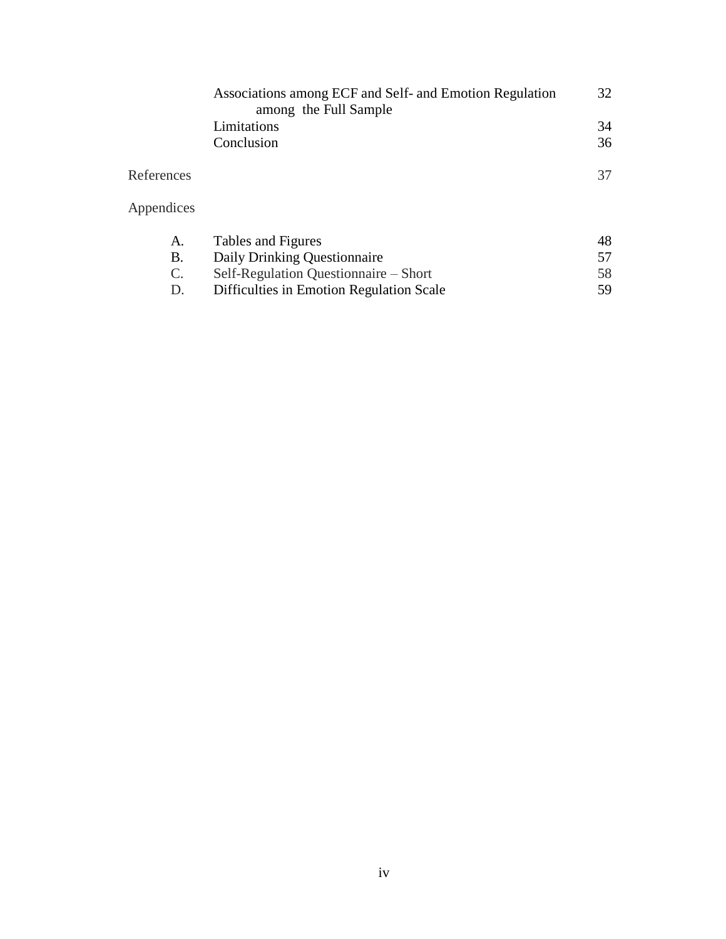|                 | Associations among ECF and Self- and Emotion Regulation<br>among the Full Sample | 32 |
|-----------------|----------------------------------------------------------------------------------|----|
|                 | Limitations                                                                      | 34 |
|                 | Conclusion                                                                       | 36 |
| References      |                                                                                  | 37 |
| Appendices      |                                                                                  |    |
| A.              | Tables and Figures                                                               | 48 |
| Β.              | Daily Drinking Questionnaire                                                     | 57 |
| $\mathcal{C}$ . | Self-Regulation Questionnaire – Short                                            | 58 |
| D.              | Difficulties in Emotion Regulation Scale                                         | 59 |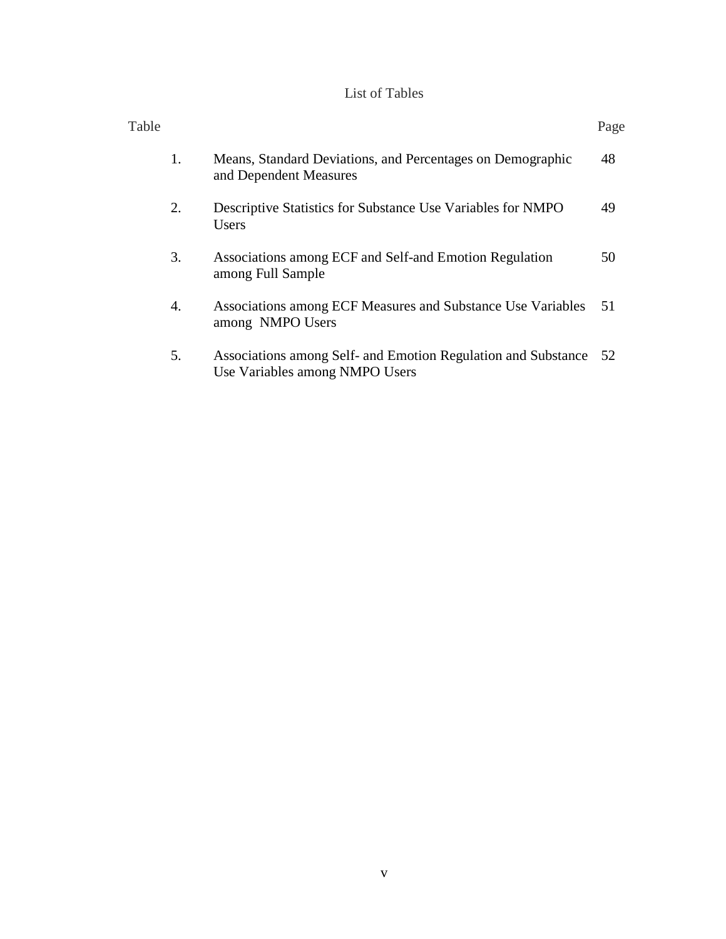# List of Tables

| Table |    |                                                                                                 | Page |
|-------|----|-------------------------------------------------------------------------------------------------|------|
|       | 1. | Means, Standard Deviations, and Percentages on Demographic<br>and Dependent Measures            | 48   |
|       | 2. | Descriptive Statistics for Substance Use Variables for NMPO<br>Users                            | 49   |
|       | 3. | Associations among ECF and Self-and Emotion Regulation<br>among Full Sample                     | 50   |
|       | 4. | Associations among ECF Measures and Substance Use Variables<br>among NMPO Users                 | -51  |
|       | 5. | Associations among Self- and Emotion Regulation and Substance<br>Use Variables among NMPO Users | 52   |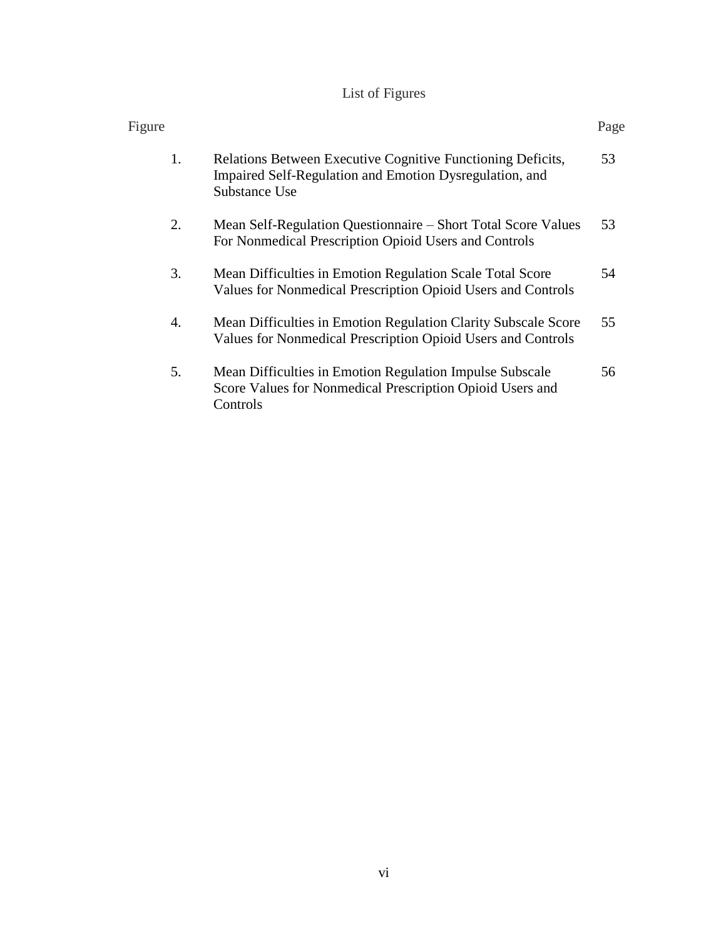# List of Figures

| Figure |    |                                                                                                                                         | Page |
|--------|----|-----------------------------------------------------------------------------------------------------------------------------------------|------|
|        | 1. | Relations Between Executive Cognitive Functioning Deficits,<br>Impaired Self-Regulation and Emotion Dysregulation, and<br>Substance Use | 53   |
|        | 2. | Mean Self-Regulation Questionnaire – Short Total Score Values<br>For Nonmedical Prescription Opioid Users and Controls                  | 53   |
|        | 3. | Mean Difficulties in Emotion Regulation Scale Total Score<br>Values for Nonmedical Prescription Opioid Users and Controls               | 54   |
|        | 4. | Mean Difficulties in Emotion Regulation Clarity Subscale Score<br>Values for Nonmedical Prescription Opioid Users and Controls          | 55   |
|        | 5. | Mean Difficulties in Emotion Regulation Impulse Subscale<br>Score Values for Nonmedical Prescription Opioid Users and<br>Controls       | 56   |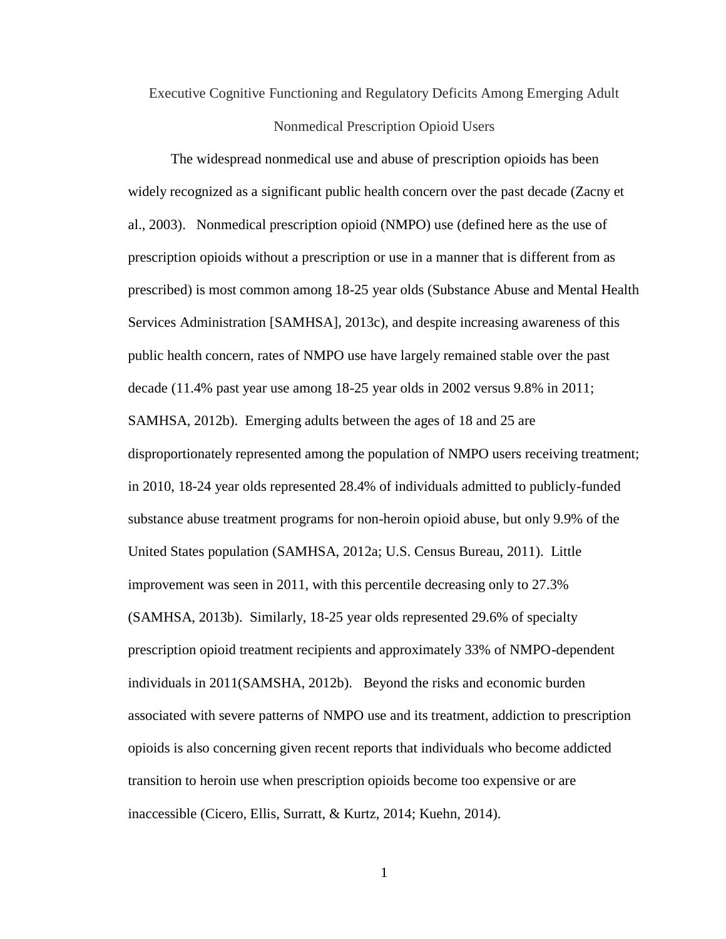Executive Cognitive Functioning and Regulatory Deficits Among Emerging Adult Nonmedical Prescription Opioid Users

The widespread nonmedical use and abuse of prescription opioids has been widely recognized as a significant public health concern over the past decade (Zacny et al., 2003). Nonmedical prescription opioid (NMPO) use (defined here as the use of prescription opioids without a prescription or use in a manner that is different from as prescribed) is most common among 18-25 year olds (Substance Abuse and Mental Health Services Administration [SAMHSA], 2013c), and despite increasing awareness of this public health concern, rates of NMPO use have largely remained stable over the past decade (11.4% past year use among 18-25 year olds in 2002 versus 9.8% in 2011; SAMHSA, 2012b). Emerging adults between the ages of 18 and 25 are disproportionately represented among the population of NMPO users receiving treatment; in 2010, 18-24 year olds represented 28.4% of individuals admitted to publicly-funded substance abuse treatment programs for non-heroin opioid abuse, but only 9.9% of the United States population (SAMHSA, 2012a; U.S. Census Bureau, 2011). Little improvement was seen in 2011, with this percentile decreasing only to 27.3% (SAMHSA, 2013b). Similarly, 18-25 year olds represented 29.6% of specialty prescription opioid treatment recipients and approximately 33% of NMPO-dependent individuals in 2011(SAMSHA, 2012b). Beyond the risks and economic burden associated with severe patterns of NMPO use and its treatment, addiction to prescription opioids is also concerning given recent reports that individuals who become addicted transition to heroin use when prescription opioids become too expensive or are inaccessible (Cicero, Ellis, Surratt, & Kurtz, 2014; Kuehn, 2014).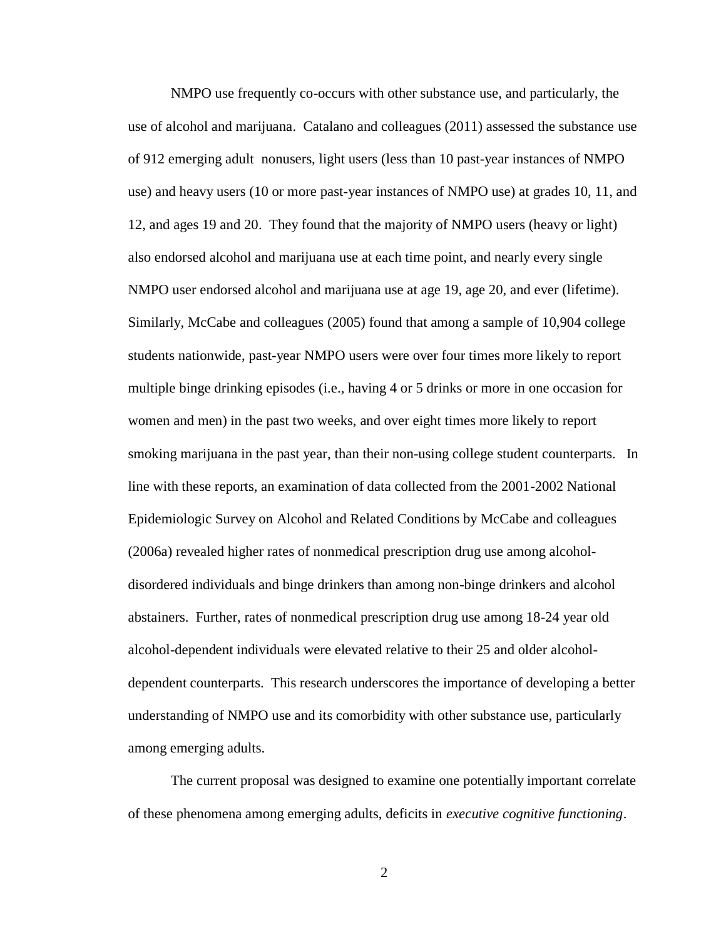NMPO use frequently co-occurs with other substance use, and particularly, the use of alcohol and marijuana. Catalano and colleagues (2011) assessed the substance use of 912 emerging adult nonusers, light users (less than 10 past-year instances of NMPO use) and heavy users (10 or more past-year instances of NMPO use) at grades 10, 11, and 12, and ages 19 and 20. They found that the majority of NMPO users (heavy or light) also endorsed alcohol and marijuana use at each time point, and nearly every single NMPO user endorsed alcohol and marijuana use at age 19, age 20, and ever (lifetime). Similarly, McCabe and colleagues (2005) found that among a sample of 10,904 college students nationwide, past-year NMPO users were over four times more likely to report multiple binge drinking episodes (i.e., having 4 or 5 drinks or more in one occasion for women and men) in the past two weeks, and over eight times more likely to report smoking marijuana in the past year, than their non-using college student counterparts. In line with these reports, an examination of data collected from the 2001-2002 National Epidemiologic Survey on Alcohol and Related Conditions by McCabe and colleagues (2006a) revealed higher rates of nonmedical prescription drug use among alcoholdisordered individuals and binge drinkers than among non-binge drinkers and alcohol abstainers. Further, rates of nonmedical prescription drug use among 18-24 year old alcohol-dependent individuals were elevated relative to their 25 and older alcoholdependent counterparts. This research underscores the importance of developing a better understanding of NMPO use and its comorbidity with other substance use, particularly among emerging adults.

The current proposal was designed to examine one potentially important correlate of these phenomena among emerging adults, deficits in *executive cognitive functioning*.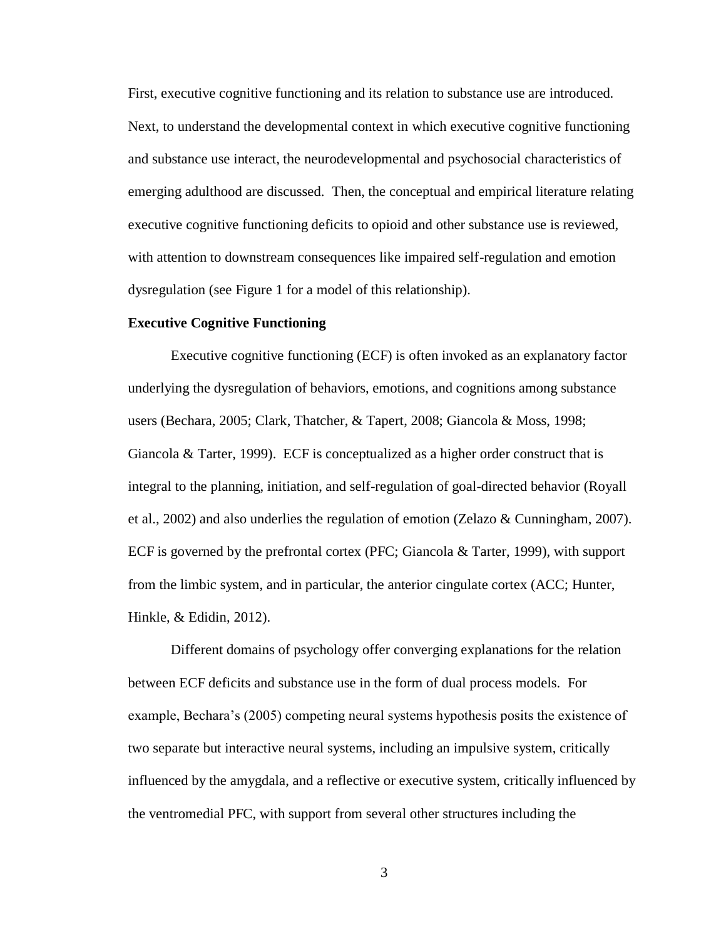First, executive cognitive functioning and its relation to substance use are introduced. Next, to understand the developmental context in which executive cognitive functioning and substance use interact, the neurodevelopmental and psychosocial characteristics of emerging adulthood are discussed. Then, the conceptual and empirical literature relating executive cognitive functioning deficits to opioid and other substance use is reviewed, with attention to downstream consequences like impaired self-regulation and emotion dysregulation (see Figure 1 for a model of this relationship).

#### **Executive Cognitive Functioning**

Executive cognitive functioning (ECF) is often invoked as an explanatory factor underlying the dysregulation of behaviors, emotions, and cognitions among substance users (Bechara, 2005; Clark, Thatcher, & Tapert, 2008; Giancola & Moss, 1998; Giancola & Tarter, 1999). ECF is conceptualized as a higher order construct that is integral to the planning, initiation, and self-regulation of goal-directed behavior (Royall et al., 2002) and also underlies the regulation of emotion (Zelazo & Cunningham, 2007). ECF is governed by the prefrontal cortex (PFC; Giancola & Tarter, 1999), with support from the limbic system, and in particular, the anterior cingulate cortex (ACC; Hunter, Hinkle, & Edidin, 2012).

Different domains of psychology offer converging explanations for the relation between ECF deficits and substance use in the form of dual process models. For example, Bechara's (2005) competing neural systems hypothesis posits the existence of two separate but interactive neural systems, including an impulsive system, critically influenced by the amygdala, and a reflective or executive system, critically influenced by the ventromedial PFC, with support from several other structures including the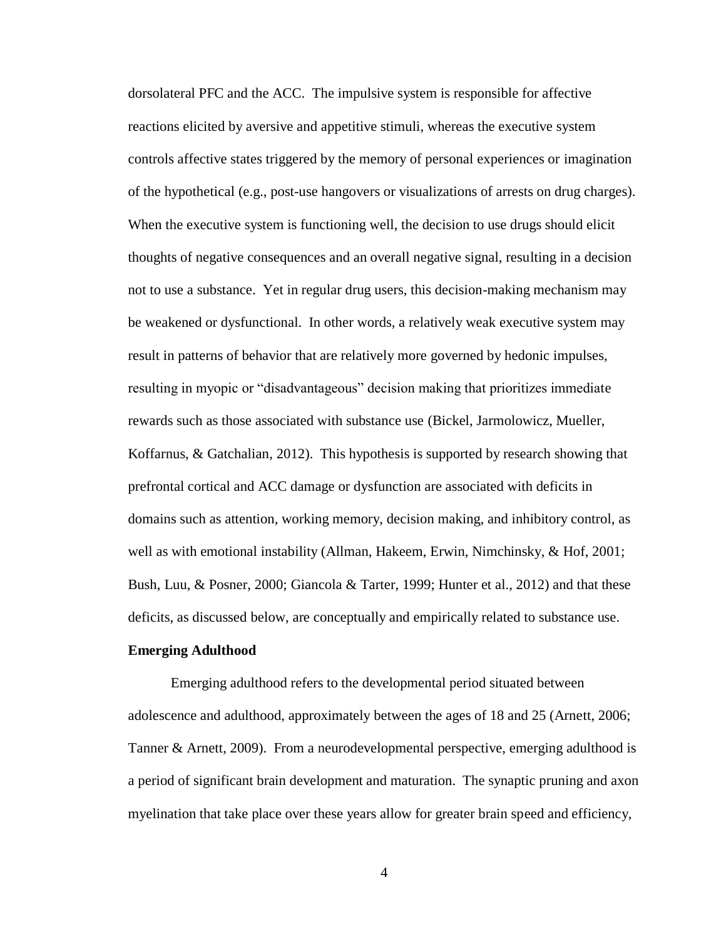dorsolateral PFC and the ACC. The impulsive system is responsible for affective reactions elicited by aversive and appetitive stimuli, whereas the executive system controls affective states triggered by the memory of personal experiences or imagination of the hypothetical (e.g., post-use hangovers or visualizations of arrests on drug charges). When the executive system is functioning well, the decision to use drugs should elicit thoughts of negative consequences and an overall negative signal, resulting in a decision not to use a substance. Yet in regular drug users, this decision-making mechanism may be weakened or dysfunctional. In other words, a relatively weak executive system may result in patterns of behavior that are relatively more governed by hedonic impulses, resulting in myopic or "disadvantageous" decision making that prioritizes immediate rewards such as those associated with substance use (Bickel, Jarmolowicz, Mueller, Koffarnus, & Gatchalian, 2012). This hypothesis is supported by research showing that prefrontal cortical and ACC damage or dysfunction are associated with deficits in domains such as attention, working memory, decision making, and inhibitory control, as well as with emotional instability (Allman, Hakeem, Erwin, Nimchinsky, & Hof, 2001; Bush, Luu, & Posner, 2000; Giancola & Tarter, 1999; Hunter et al., 2012) and that these deficits, as discussed below, are conceptually and empirically related to substance use.

### **Emerging Adulthood**

Emerging adulthood refers to the developmental period situated between adolescence and adulthood, approximately between the ages of 18 and 25 (Arnett, 2006; Tanner & Arnett, 2009). From a neurodevelopmental perspective, emerging adulthood is a period of significant brain development and maturation. The synaptic pruning and axon myelination that take place over these years allow for greater brain speed and efficiency,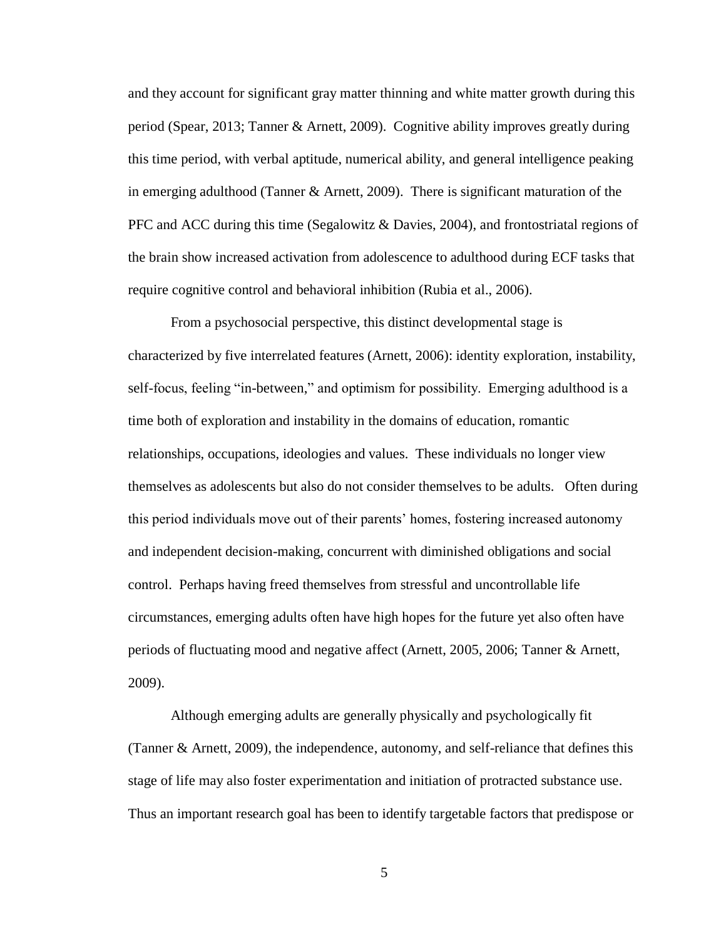and they account for significant gray matter thinning and white matter growth during this period (Spear, 2013; Tanner & Arnett, 2009). Cognitive ability improves greatly during this time period, with verbal aptitude, numerical ability, and general intelligence peaking in emerging adulthood (Tanner & Arnett, 2009). There is significant maturation of the PFC and ACC during this time (Segalowitz & Davies, 2004), and frontostriatal regions of the brain show increased activation from adolescence to adulthood during ECF tasks that require cognitive control and behavioral inhibition (Rubia et al., 2006).

From a psychosocial perspective, this distinct developmental stage is characterized by five interrelated features (Arnett, 2006): identity exploration, instability, self-focus, feeling "in-between," and optimism for possibility. Emerging adulthood is a time both of exploration and instability in the domains of education, romantic relationships, occupations, ideologies and values. These individuals no longer view themselves as adolescents but also do not consider themselves to be adults. Often during this period individuals move out of their parents' homes, fostering increased autonomy and independent decision-making, concurrent with diminished obligations and social control. Perhaps having freed themselves from stressful and uncontrollable life circumstances, emerging adults often have high hopes for the future yet also often have periods of fluctuating mood and negative affect (Arnett, 2005, 2006; Tanner & Arnett, 2009).

Although emerging adults are generally physically and psychologically fit (Tanner & Arnett, 2009), the independence, autonomy, and self-reliance that defines this stage of life may also foster experimentation and initiation of protracted substance use. Thus an important research goal has been to identify targetable factors that predispose or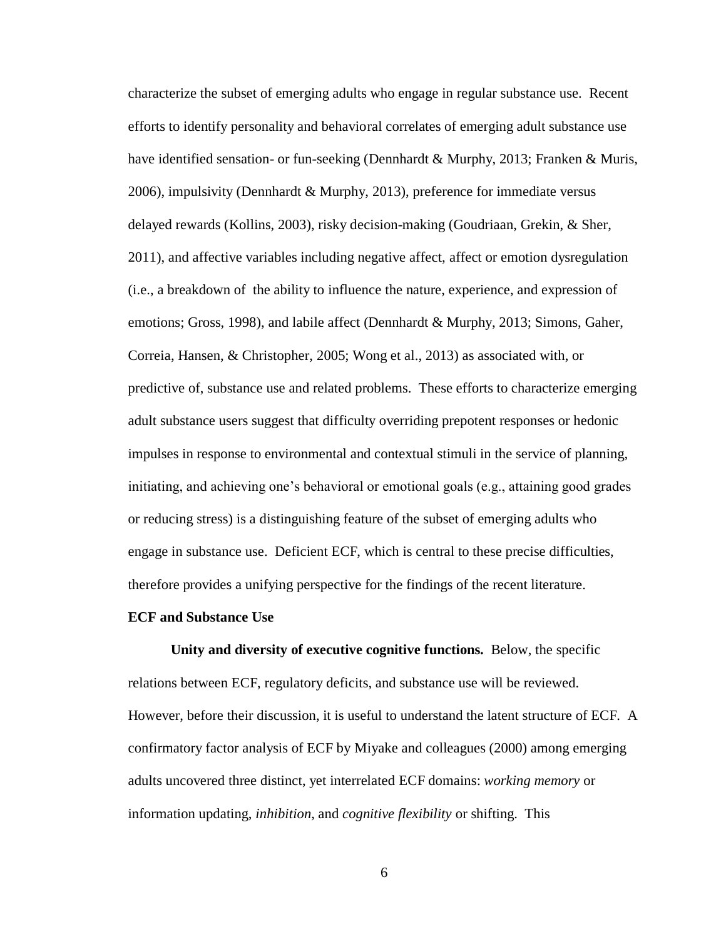characterize the subset of emerging adults who engage in regular substance use. Recent efforts to identify personality and behavioral correlates of emerging adult substance use have identified sensation- or fun-seeking (Dennhardt & Murphy, 2013; Franken & Muris, 2006), impulsivity (Dennhardt & Murphy, 2013), preference for immediate versus delayed rewards (Kollins, 2003), risky decision-making (Goudriaan, Grekin, & Sher, 2011), and affective variables including negative affect, affect or emotion dysregulation (i.e., a breakdown of the ability to influence the nature, experience, and expression of emotions; Gross, 1998), and labile affect (Dennhardt & Murphy, 2013; Simons, Gaher, Correia, Hansen, & Christopher, 2005; Wong et al., 2013) as associated with, or predictive of, substance use and related problems. These efforts to characterize emerging adult substance users suggest that difficulty overriding prepotent responses or hedonic impulses in response to environmental and contextual stimuli in the service of planning, initiating, and achieving one's behavioral or emotional goals (e.g., attaining good grades or reducing stress) is a distinguishing feature of the subset of emerging adults who engage in substance use. Deficient ECF, which is central to these precise difficulties, therefore provides a unifying perspective for the findings of the recent literature.

### **ECF and Substance Use**

**Unity and diversity of executive cognitive functions.** Below, the specific relations between ECF, regulatory deficits, and substance use will be reviewed. However, before their discussion, it is useful to understand the latent structure of ECF. A confirmatory factor analysis of ECF by Miyake and colleagues (2000) among emerging adults uncovered three distinct, yet interrelated ECF domains: *working memory* or information updating, *inhibition*, and *cognitive flexibility* or shifting. This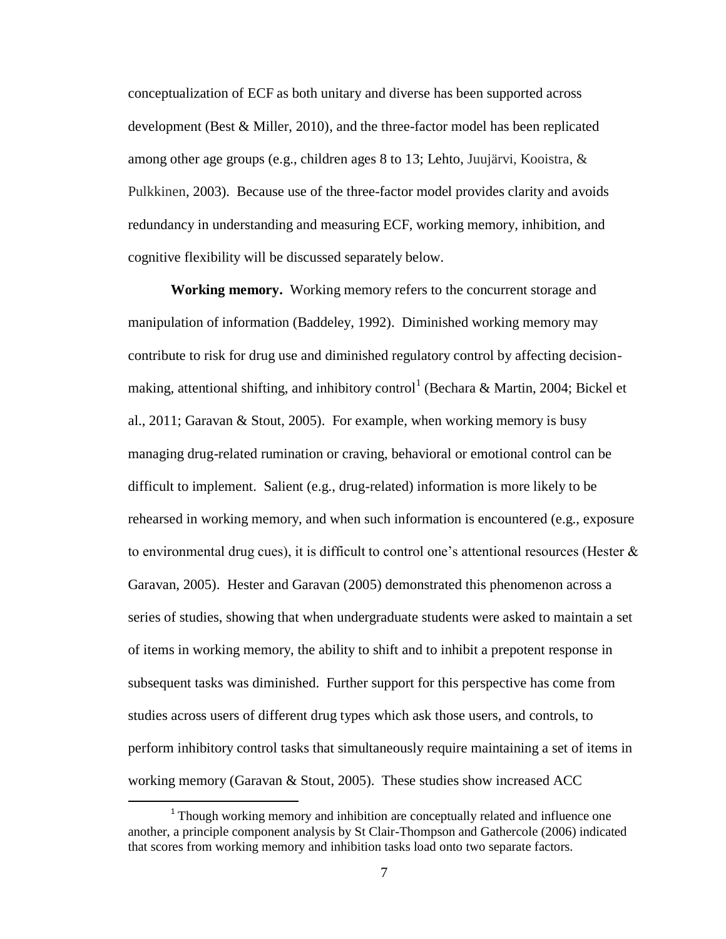conceptualization of ECF as both unitary and diverse has been supported across development (Best & Miller, 2010), and the three-factor model has been replicated among other age groups (e.g., children ages 8 to 13; Lehto, Juujärvi, Kooistra,  $\&$ Pulkkinen, 2003). Because use of the three-factor model provides clarity and avoids redundancy in understanding and measuring ECF, working memory, inhibition, and cognitive flexibility will be discussed separately below.

**Working memory.** Working memory refers to the concurrent storage and manipulation of information (Baddeley, 1992). Diminished working memory may contribute to risk for drug use and diminished regulatory control by affecting decisionmaking, attentional shifting, and inhibitory control<sup>1</sup> (Bechara & Martin, 2004; Bickel et al., 2011; Garavan & Stout, 2005). For example, when working memory is busy managing drug-related rumination or craving, behavioral or emotional control can be difficult to implement. Salient (e.g., drug-related) information is more likely to be rehearsed in working memory, and when such information is encountered (e.g., exposure to environmental drug cues), it is difficult to control one's attentional resources (Hester  $\&$ Garavan, 2005). Hester and Garavan (2005) demonstrated this phenomenon across a series of studies, showing that when undergraduate students were asked to maintain a set of items in working memory, the ability to shift and to inhibit a prepotent response in subsequent tasks was diminished. Further support for this perspective has come from studies across users of different drug types which ask those users, and controls, to perform inhibitory control tasks that simultaneously require maintaining a set of items in working memory (Garavan & Stout, 2005). These studies show increased ACC

l

<sup>&</sup>lt;sup>1</sup> Though working memory and inhibition are conceptually related and influence one another, a principle component analysis by St Clair-Thompson and Gathercole (2006) indicated that scores from working memory and inhibition tasks load onto two separate factors.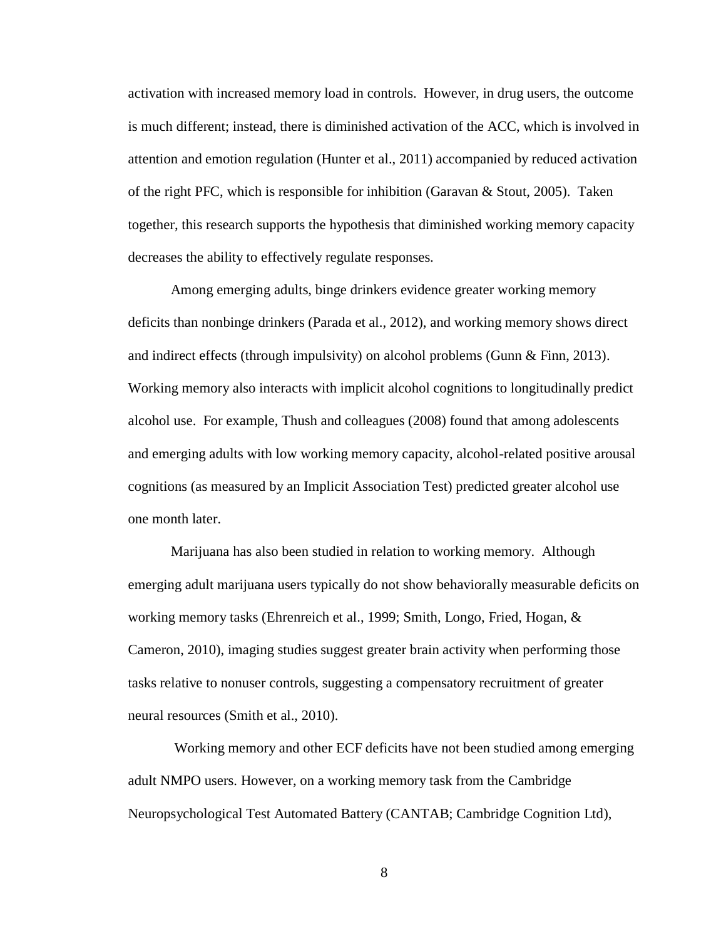activation with increased memory load in controls. However, in drug users, the outcome is much different; instead, there is diminished activation of the ACC, which is involved in attention and emotion regulation (Hunter et al., 2011) accompanied by reduced activation of the right PFC, which is responsible for inhibition (Garavan & Stout, 2005). Taken together, this research supports the hypothesis that diminished working memory capacity decreases the ability to effectively regulate responses.

Among emerging adults, binge drinkers evidence greater working memory deficits than nonbinge drinkers (Parada et al., 2012), and working memory shows direct and indirect effects (through impulsivity) on alcohol problems (Gunn & Finn, 2013). Working memory also interacts with implicit alcohol cognitions to longitudinally predict alcohol use. For example, Thush and colleagues (2008) found that among adolescents and emerging adults with low working memory capacity, alcohol-related positive arousal cognitions (as measured by an Implicit Association Test) predicted greater alcohol use one month later.

Marijuana has also been studied in relation to working memory. Although emerging adult marijuana users typically do not show behaviorally measurable deficits on working memory tasks (Ehrenreich et al., 1999; Smith, Longo, Fried, Hogan, & Cameron, 2010), imaging studies suggest greater brain activity when performing those tasks relative to nonuser controls, suggesting a compensatory recruitment of greater neural resources (Smith et al., 2010).

Working memory and other ECF deficits have not been studied among emerging adult NMPO users. However, on a working memory task from the Cambridge Neuropsychological Test Automated Battery (CANTAB; Cambridge Cognition Ltd),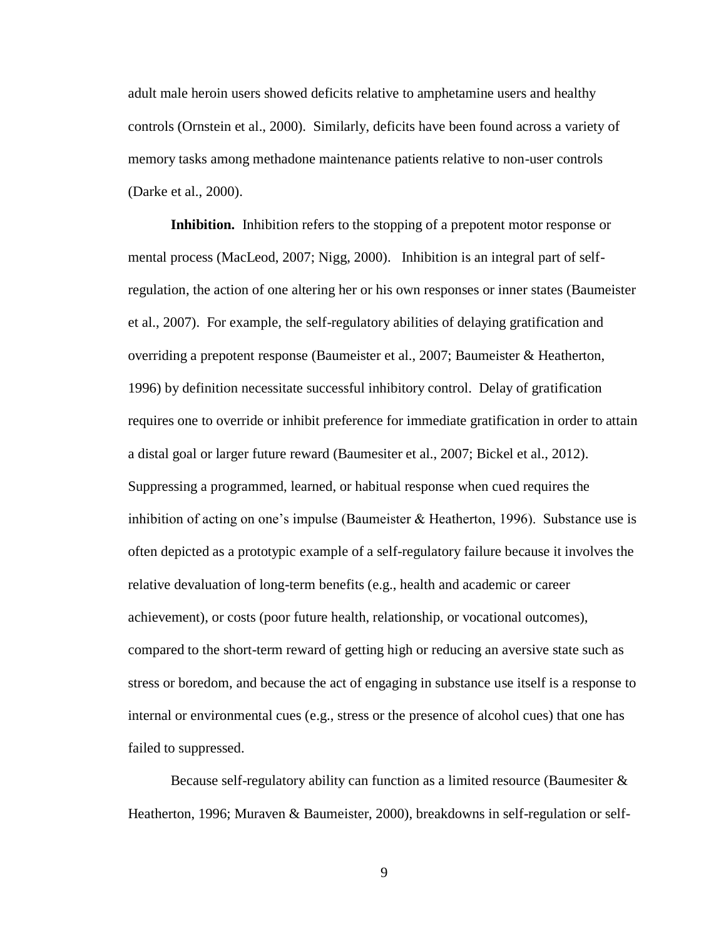adult male heroin users showed deficits relative to amphetamine users and healthy controls (Ornstein et al., 2000). Similarly, deficits have been found across a variety of memory tasks among methadone maintenance patients relative to non-user controls (Darke et al., 2000).

**Inhibition.** Inhibition refers to the stopping of a prepotent motor response or mental process (MacLeod, 2007; Nigg, 2000). Inhibition is an integral part of selfregulation, the action of one altering her or his own responses or inner states (Baumeister et al., 2007). For example, the self-regulatory abilities of delaying gratification and overriding a prepotent response (Baumeister et al., 2007; Baumeister & Heatherton, 1996) by definition necessitate successful inhibitory control. Delay of gratification requires one to override or inhibit preference for immediate gratification in order to attain a distal goal or larger future reward (Baumesiter et al., 2007; Bickel et al., 2012). Suppressing a programmed, learned, or habitual response when cued requires the inhibition of acting on one's impulse (Baumeister  $\&$  Heatherton, 1996). Substance use is often depicted as a prototypic example of a self-regulatory failure because it involves the relative devaluation of long-term benefits (e.g., health and academic or career achievement), or costs (poor future health, relationship, or vocational outcomes), compared to the short-term reward of getting high or reducing an aversive state such as stress or boredom, and because the act of engaging in substance use itself is a response to internal or environmental cues (e.g., stress or the presence of alcohol cues) that one has failed to suppressed.

Because self-regulatory ability can function as a limited resource (Baumesiter & Heatherton, 1996; Muraven & Baumeister, 2000), breakdowns in self-regulation or self-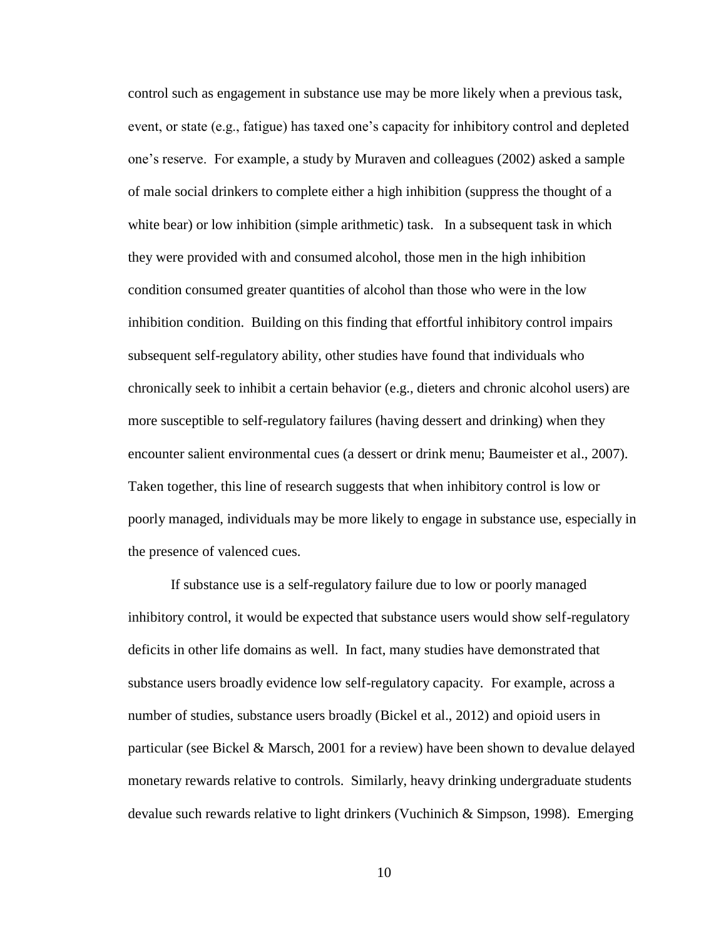control such as engagement in substance use may be more likely when a previous task, event, or state (e.g., fatigue) has taxed one's capacity for inhibitory control and depleted one's reserve. For example, a study by Muraven and colleagues (2002) asked a sample of male social drinkers to complete either a high inhibition (suppress the thought of a white bear) or low inhibition (simple arithmetic) task. In a subsequent task in which they were provided with and consumed alcohol, those men in the high inhibition condition consumed greater quantities of alcohol than those who were in the low inhibition condition. Building on this finding that effortful inhibitory control impairs subsequent self-regulatory ability, other studies have found that individuals who chronically seek to inhibit a certain behavior (e.g., dieters and chronic alcohol users) are more susceptible to self-regulatory failures (having dessert and drinking) when they encounter salient environmental cues (a dessert or drink menu; Baumeister et al., 2007). Taken together, this line of research suggests that when inhibitory control is low or poorly managed, individuals may be more likely to engage in substance use, especially in the presence of valenced cues.

If substance use is a self-regulatory failure due to low or poorly managed inhibitory control, it would be expected that substance users would show self-regulatory deficits in other life domains as well. In fact, many studies have demonstrated that substance users broadly evidence low self-regulatory capacity. For example, across a number of studies, substance users broadly (Bickel et al., 2012) and opioid users in particular (see Bickel & Marsch, 2001 for a review) have been shown to devalue delayed monetary rewards relative to controls. Similarly, heavy drinking undergraduate students devalue such rewards relative to light drinkers (Vuchinich & Simpson, 1998). Emerging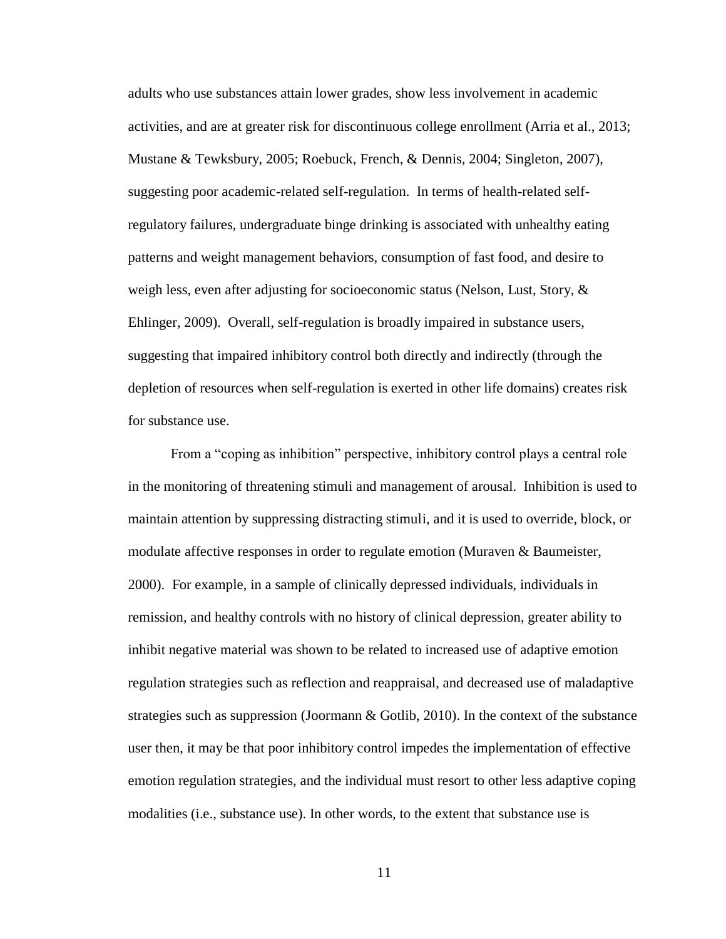adults who use substances attain lower grades, show less involvement in academic activities, and are at greater risk for discontinuous college enrollment (Arria et al., 2013; Mustane & Tewksbury, 2005; Roebuck, French, & Dennis, 2004; Singleton, 2007), suggesting poor academic-related self-regulation. In terms of health-related selfregulatory failures, undergraduate binge drinking is associated with unhealthy eating patterns and weight management behaviors, consumption of fast food, and desire to weigh less, even after adjusting for socioeconomic status (Nelson, Lust, Story, & Ehlinger, 2009). Overall, self-regulation is broadly impaired in substance users, suggesting that impaired inhibitory control both directly and indirectly (through the depletion of resources when self-regulation is exerted in other life domains) creates risk for substance use.

From a "coping as inhibition" perspective, inhibitory control plays a central role in the monitoring of threatening stimuli and management of arousal. Inhibition is used to maintain attention by suppressing distracting stimuli, and it is used to override, block, or modulate affective responses in order to regulate emotion (Muraven & Baumeister, 2000). For example, in a sample of clinically depressed individuals, individuals in remission, and healthy controls with no history of clinical depression, greater ability to inhibit negative material was shown to be related to increased use of adaptive emotion regulation strategies such as reflection and reappraisal, and decreased use of maladaptive strategies such as suppression (Joormann & Gotlib, 2010). In the context of the substance user then, it may be that poor inhibitory control impedes the implementation of effective emotion regulation strategies, and the individual must resort to other less adaptive coping modalities (i.e., substance use). In other words, to the extent that substance use is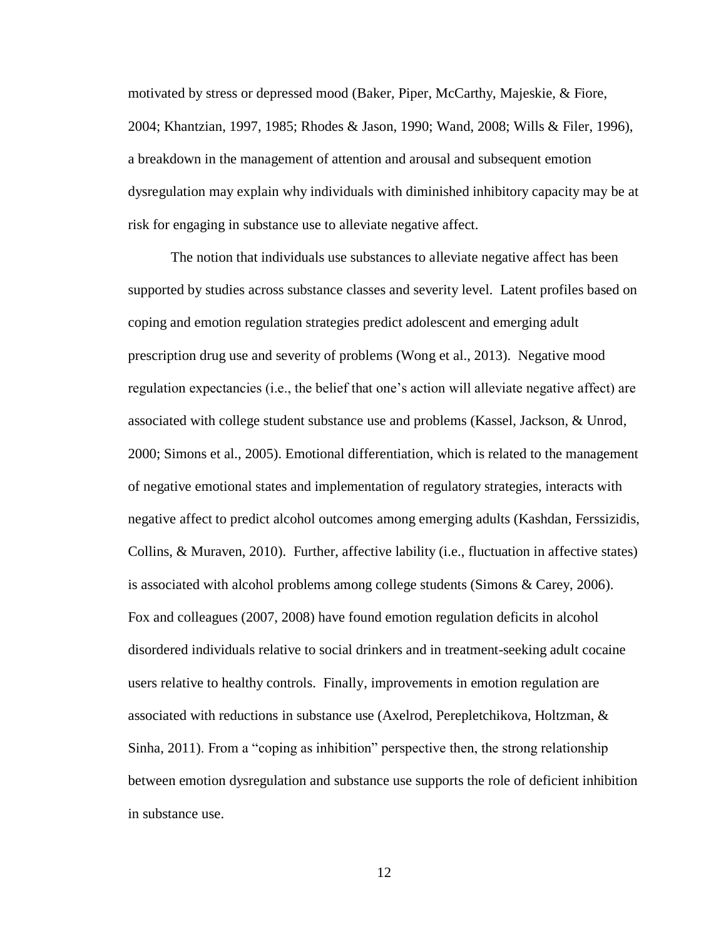motivated by stress or depressed mood (Baker, Piper, McCarthy, Majeskie, & Fiore, 2004; Khantzian, 1997, 1985; Rhodes & Jason, 1990; Wand, 2008; Wills & Filer, 1996), a breakdown in the management of attention and arousal and subsequent emotion dysregulation may explain why individuals with diminished inhibitory capacity may be at risk for engaging in substance use to alleviate negative affect.

The notion that individuals use substances to alleviate negative affect has been supported by studies across substance classes and severity level. Latent profiles based on coping and emotion regulation strategies predict adolescent and emerging adult prescription drug use and severity of problems (Wong et al., 2013). Negative mood regulation expectancies (i.e., the belief that one's action will alleviate negative affect) are associated with college student substance use and problems (Kassel, Jackson, & Unrod, 2000; Simons et al., 2005). Emotional differentiation, which is related to the management of negative emotional states and implementation of regulatory strategies, interacts with negative affect to predict alcohol outcomes among emerging adults (Kashdan, Ferssizidis, Collins, & Muraven, 2010). Further, affective lability (i.e., fluctuation in affective states) is associated with alcohol problems among college students (Simons & Carey, 2006). Fox and colleagues (2007, 2008) have found emotion regulation deficits in alcohol disordered individuals relative to social drinkers and in treatment-seeking adult cocaine users relative to healthy controls. Finally, improvements in emotion regulation are associated with reductions in substance use (Axelrod, Perepletchikova, Holtzman, & Sinha, 2011). From a "coping as inhibition" perspective then, the strong relationship between emotion dysregulation and substance use supports the role of deficient inhibition in substance use.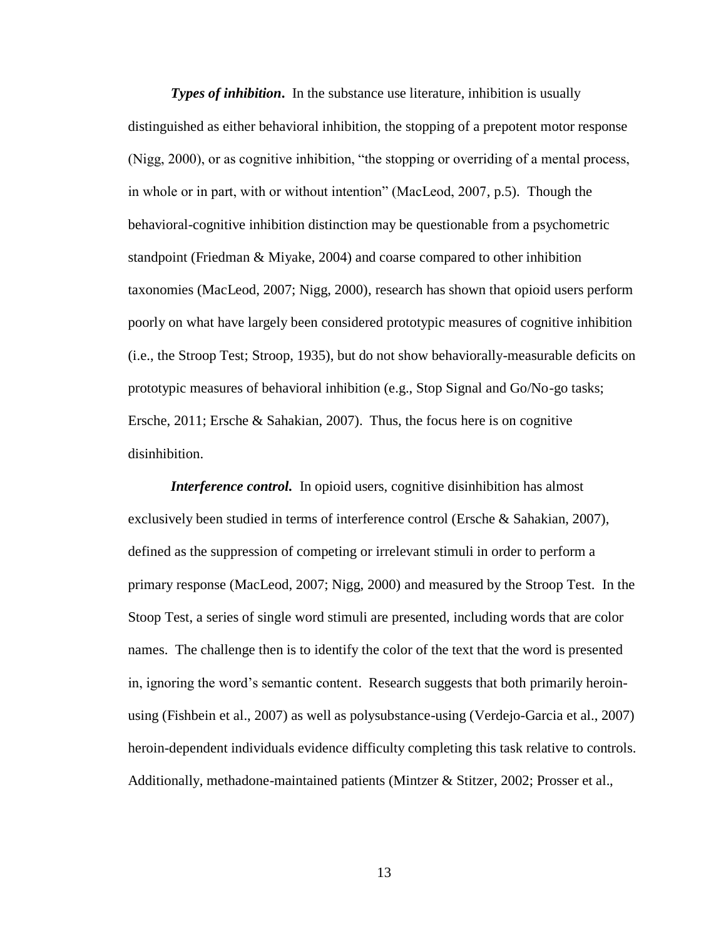*Types of inhibition***.** In the substance use literature, inhibition is usually distinguished as either behavioral inhibition, the stopping of a prepotent motor response (Nigg, 2000), or as cognitive inhibition, "the stopping or overriding of a mental process, in whole or in part, with or without intention" (MacLeod, 2007, p.5). Though the behavioral-cognitive inhibition distinction may be questionable from a psychometric standpoint (Friedman & Miyake, 2004) and coarse compared to other inhibition taxonomies (MacLeod, 2007; Nigg, 2000), research has shown that opioid users perform poorly on what have largely been considered prototypic measures of cognitive inhibition (i.e., the Stroop Test; Stroop, 1935), but do not show behaviorally-measurable deficits on prototypic measures of behavioral inhibition (e.g., Stop Signal and Go/No-go tasks; Ersche, 2011; Ersche & Sahakian, 2007). Thus, the focus here is on cognitive disinhibition.

*Interference control.* In opioid users, cognitive disinhibition has almost exclusively been studied in terms of interference control (Ersche & Sahakian, 2007), defined as the suppression of competing or irrelevant stimuli in order to perform a primary response (MacLeod, 2007; Nigg, 2000) and measured by the Stroop Test. In the Stoop Test, a series of single word stimuli are presented, including words that are color names. The challenge then is to identify the color of the text that the word is presented in, ignoring the word's semantic content. Research suggests that both primarily heroinusing (Fishbein et al., 2007) as well as polysubstance-using (Verdejo-Garcia et al., 2007) heroin-dependent individuals evidence difficulty completing this task relative to controls. Additionally, methadone-maintained patients (Mintzer & Stitzer, 2002; Prosser et al.,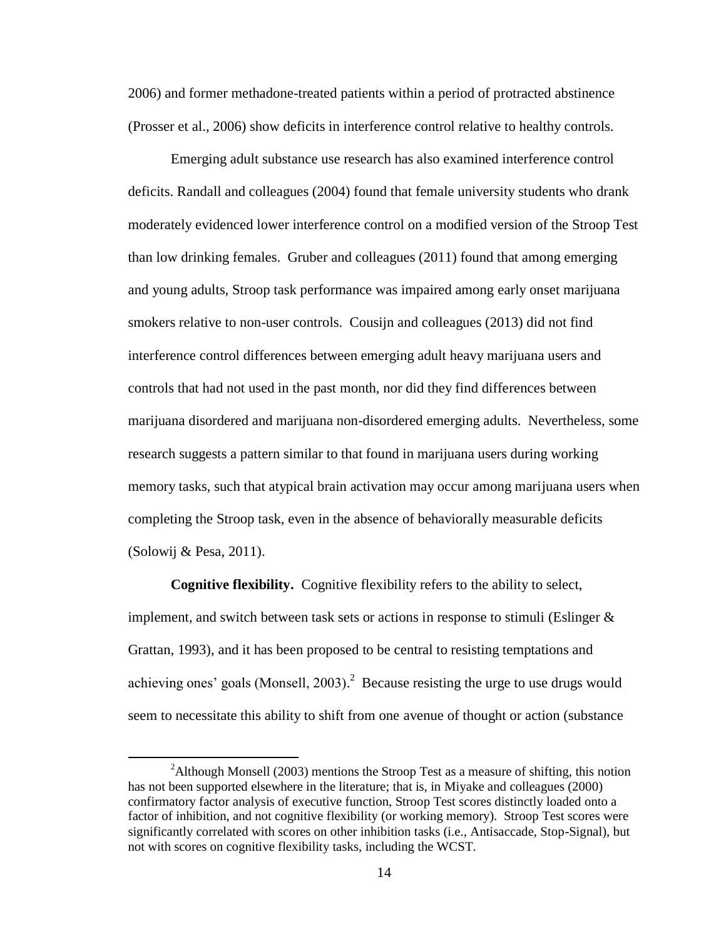2006) and former methadone-treated patients within a period of protracted abstinence (Prosser et al., 2006) show deficits in interference control relative to healthy controls.

Emerging adult substance use research has also examined interference control deficits. Randall and colleagues (2004) found that female university students who drank moderately evidenced lower interference control on a modified version of the Stroop Test than low drinking females. Gruber and colleagues (2011) found that among emerging and young adults, Stroop task performance was impaired among early onset marijuana smokers relative to non-user controls. Cousijn and colleagues (2013) did not find interference control differences between emerging adult heavy marijuana users and controls that had not used in the past month, nor did they find differences between marijuana disordered and marijuana non-disordered emerging adults. Nevertheless, some research suggests a pattern similar to that found in marijuana users during working memory tasks, such that atypical brain activation may occur among marijuana users when completing the Stroop task, even in the absence of behaviorally measurable deficits (Solowij & Pesa, 2011).

**Cognitive flexibility.** Cognitive flexibility refers to the ability to select, implement, and switch between task sets or actions in response to stimuli (Eslinger  $\&$ Grattan, 1993), and it has been proposed to be central to resisting temptations and achieving ones' goals (Monsell, 2003).<sup>2</sup> Because resisting the urge to use drugs would seem to necessitate this ability to shift from one avenue of thought or action (substance

l

<sup>&</sup>lt;sup>2</sup>Although Monsell (2003) mentions the Stroop Test as a measure of shifting, this notion has not been supported elsewhere in the literature; that is, in Miyake and colleagues (2000) confirmatory factor analysis of executive function, Stroop Test scores distinctly loaded onto a factor of inhibition, and not cognitive flexibility (or working memory). Stroop Test scores were significantly correlated with scores on other inhibition tasks (i.e., Antisaccade, Stop-Signal), but not with scores on cognitive flexibility tasks, including the WCST.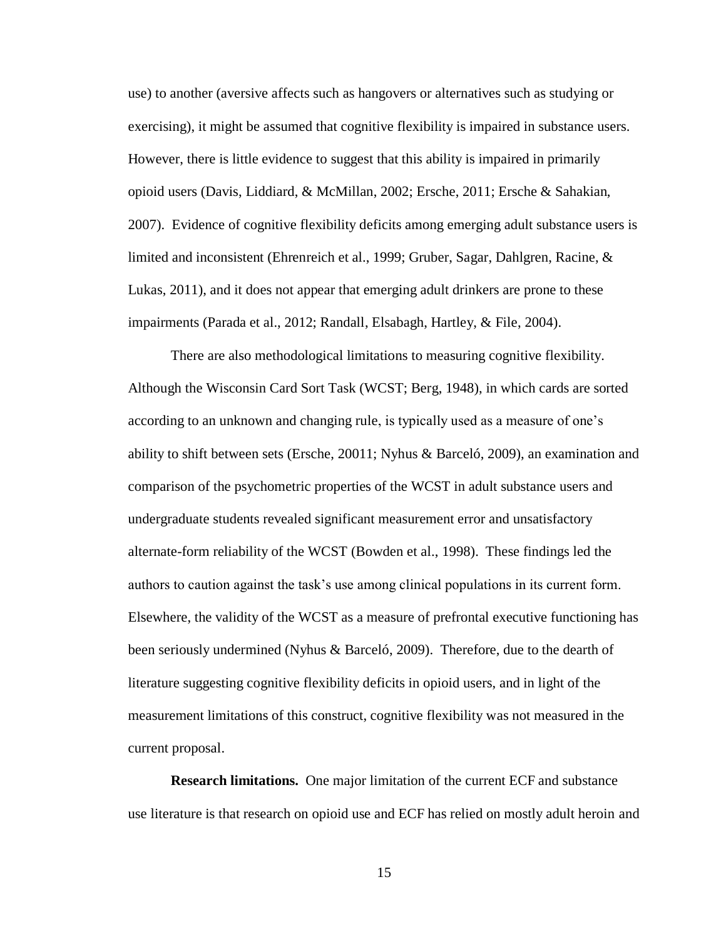use) to another (aversive affects such as hangovers or alternatives such as studying or exercising), it might be assumed that cognitive flexibility is impaired in substance users. However, there is little evidence to suggest that this ability is impaired in primarily opioid users (Davis, Liddiard, & McMillan, 2002; Ersche, 2011; Ersche & Sahakian, 2007). Evidence of cognitive flexibility deficits among emerging adult substance users is limited and inconsistent (Ehrenreich et al., 1999; Gruber, Sagar, Dahlgren, Racine, & Lukas, 2011), and it does not appear that emerging adult drinkers are prone to these impairments (Parada et al., 2012; Randall, Elsabagh, Hartley, & File, 2004).

There are also methodological limitations to measuring cognitive flexibility. Although the Wisconsin Card Sort Task (WCST; Berg, 1948), in which cards are sorted according to an unknown and changing rule, is typically used as a measure of one's ability to shift between sets (Ersche, 20011; Nyhus & Barceló, 2009), an examination and comparison of the psychometric properties of the WCST in adult substance users and undergraduate students revealed significant measurement error and unsatisfactory alternate-form reliability of the WCST (Bowden et al., 1998). These findings led the authors to caution against the task's use among clinical populations in its current form. Elsewhere, the validity of the WCST as a measure of prefrontal executive functioning has been seriously undermined (Nyhus & Barceló, 2009). Therefore, due to the dearth of literature suggesting cognitive flexibility deficits in opioid users, and in light of the measurement limitations of this construct, cognitive flexibility was not measured in the current proposal.

**Research limitations.** One major limitation of the current ECF and substance use literature is that research on opioid use and ECF has relied on mostly adult heroin and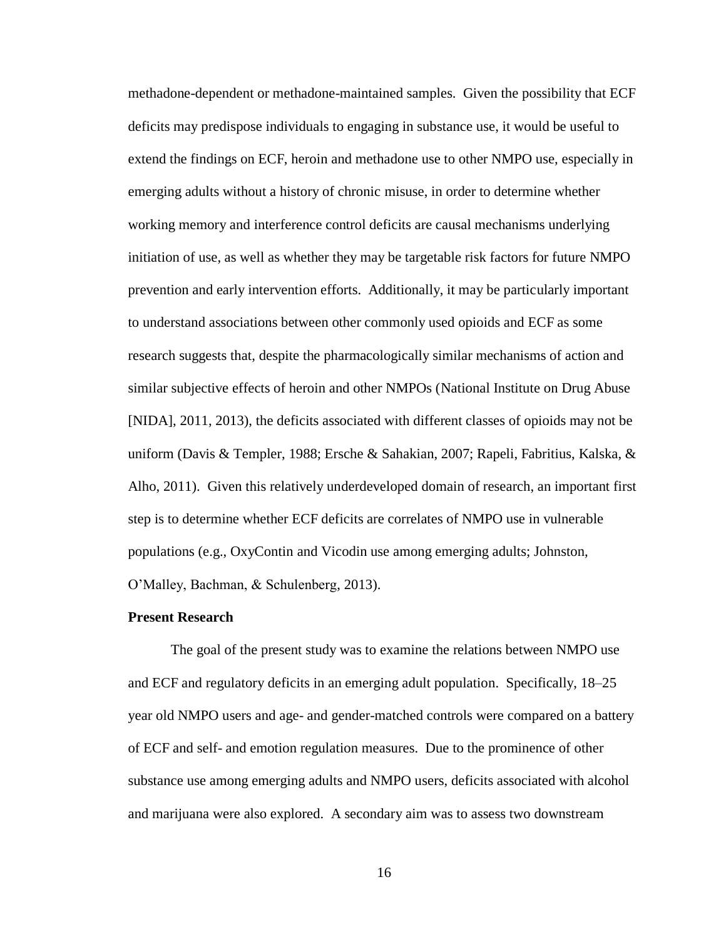methadone-dependent or methadone-maintained samples. Given the possibility that ECF deficits may predispose individuals to engaging in substance use, it would be useful to extend the findings on ECF, heroin and methadone use to other NMPO use, especially in emerging adults without a history of chronic misuse, in order to determine whether working memory and interference control deficits are causal mechanisms underlying initiation of use, as well as whether they may be targetable risk factors for future NMPO prevention and early intervention efforts. Additionally, it may be particularly important to understand associations between other commonly used opioids and ECF as some research suggests that, despite the pharmacologically similar mechanisms of action and similar subjective effects of heroin and other NMPOs (National Institute on Drug Abuse [NIDA], 2011, 2013), the deficits associated with different classes of opioids may not be uniform (Davis & Templer, 1988; Ersche & Sahakian, 2007; Rapeli, Fabritius, Kalska, & Alho, 2011). Given this relatively underdeveloped domain of research, an important first step is to determine whether ECF deficits are correlates of NMPO use in vulnerable populations (e.g., OxyContin and Vicodin use among emerging adults; Johnston, O'Malley, Bachman, & Schulenberg, 2013).

### **Present Research**

The goal of the present study was to examine the relations between NMPO use and ECF and regulatory deficits in an emerging adult population. Specifically, 18–25 year old NMPO users and age- and gender-matched controls were compared on a battery of ECF and self- and emotion regulation measures. Due to the prominence of other substance use among emerging adults and NMPO users, deficits associated with alcohol and marijuana were also explored. A secondary aim was to assess two downstream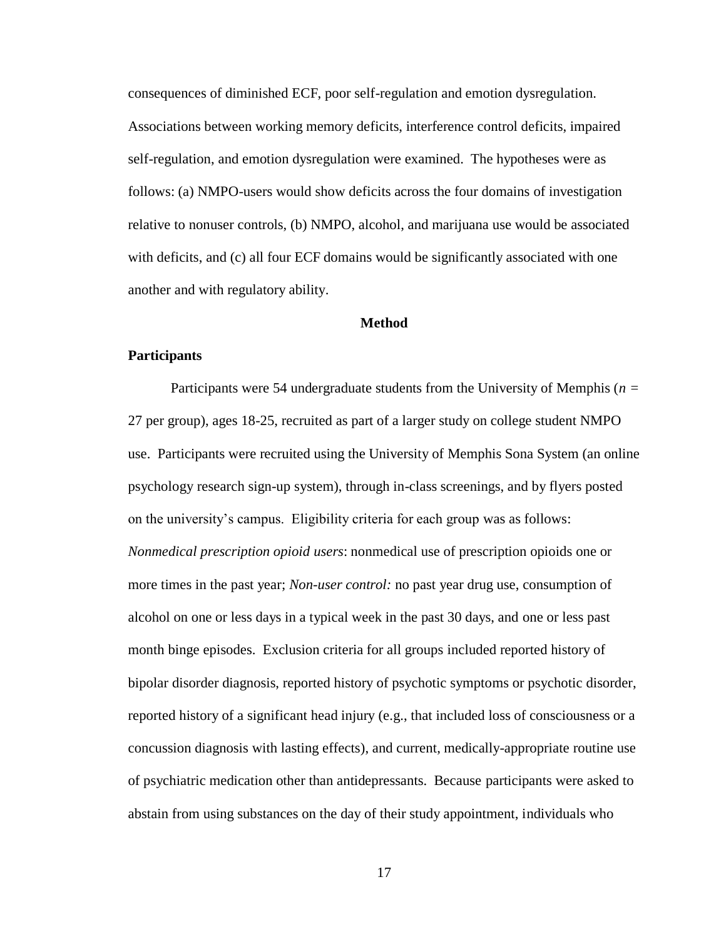consequences of diminished ECF, poor self-regulation and emotion dysregulation. Associations between working memory deficits, interference control deficits, impaired self-regulation, and emotion dysregulation were examined. The hypotheses were as follows: (a) NMPO-users would show deficits across the four domains of investigation relative to nonuser controls, (b) NMPO, alcohol, and marijuana use would be associated with deficits, and (c) all four ECF domains would be significantly associated with one another and with regulatory ability.

### **Method**

### **Participants**

Participants were 54 undergraduate students from the University of Memphis (*n =* 27 per group), ages 18-25, recruited as part of a larger study on college student NMPO use. Participants were recruited using the University of Memphis Sona System (an online psychology research sign-up system), through in-class screenings, and by flyers posted on the university's campus. Eligibility criteria for each group was as follows: *Nonmedical prescription opioid users*: nonmedical use of prescription opioids one or more times in the past year; *Non-user control:* no past year drug use, consumption of alcohol on one or less days in a typical week in the past 30 days, and one or less past month binge episodes. Exclusion criteria for all groups included reported history of bipolar disorder diagnosis, reported history of psychotic symptoms or psychotic disorder, reported history of a significant head injury (e.g., that included loss of consciousness or a concussion diagnosis with lasting effects), and current, medically-appropriate routine use of psychiatric medication other than antidepressants. Because participants were asked to abstain from using substances on the day of their study appointment, individuals who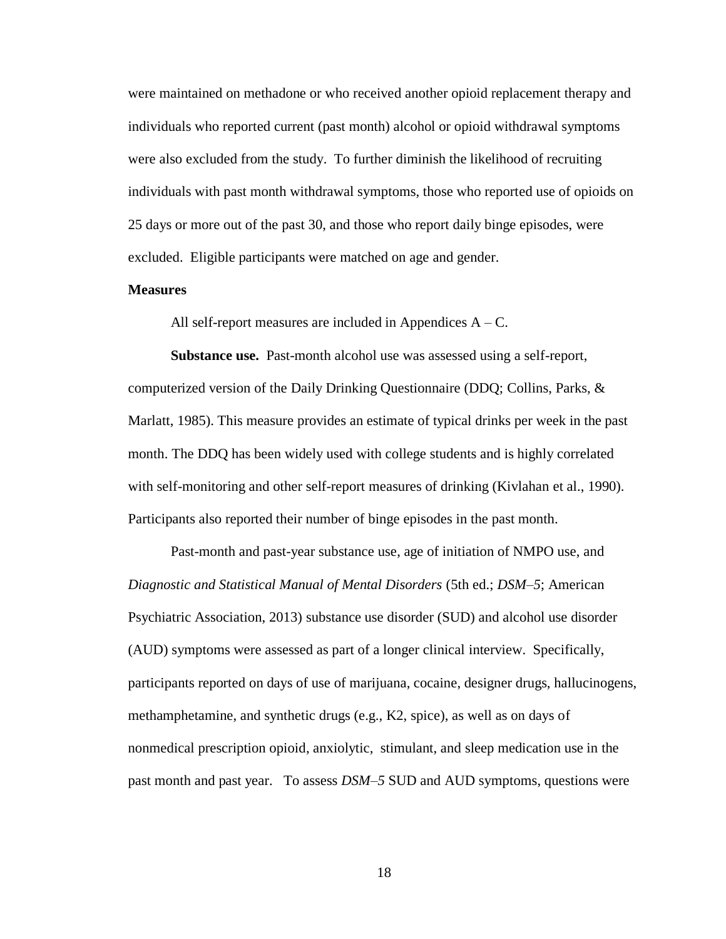were maintained on methadone or who received another opioid replacement therapy and individuals who reported current (past month) alcohol or opioid withdrawal symptoms were also excluded from the study. To further diminish the likelihood of recruiting individuals with past month withdrawal symptoms, those who reported use of opioids on 25 days or more out of the past 30, and those who report daily binge episodes, were excluded. Eligible participants were matched on age and gender.

### **Measures**

All self-report measures are included in Appendices  $A - C$ .

**Substance use.** Past-month alcohol use was assessed using a self-report, computerized version of the Daily Drinking Questionnaire (DDQ; Collins, Parks, & Marlatt, 1985). This measure provides an estimate of typical drinks per week in the past month. The DDQ has been widely used with college students and is highly correlated with self-monitoring and other self-report measures of drinking (Kivlahan et al., 1990). Participants also reported their number of binge episodes in the past month.

Past-month and past-year substance use, age of initiation of NMPO use, and *Diagnostic and Statistical Manual of Mental Disorders* (5th ed.; *DSM–5*; American Psychiatric Association, 2013) substance use disorder (SUD) and alcohol use disorder (AUD) symptoms were assessed as part of a longer clinical interview. Specifically, participants reported on days of use of marijuana, cocaine, designer drugs, hallucinogens, methamphetamine, and synthetic drugs (e.g., K2, spice), as well as on days of nonmedical prescription opioid, anxiolytic, stimulant, and sleep medication use in the past month and past year. To assess *DSM–5* SUD and AUD symptoms, questions were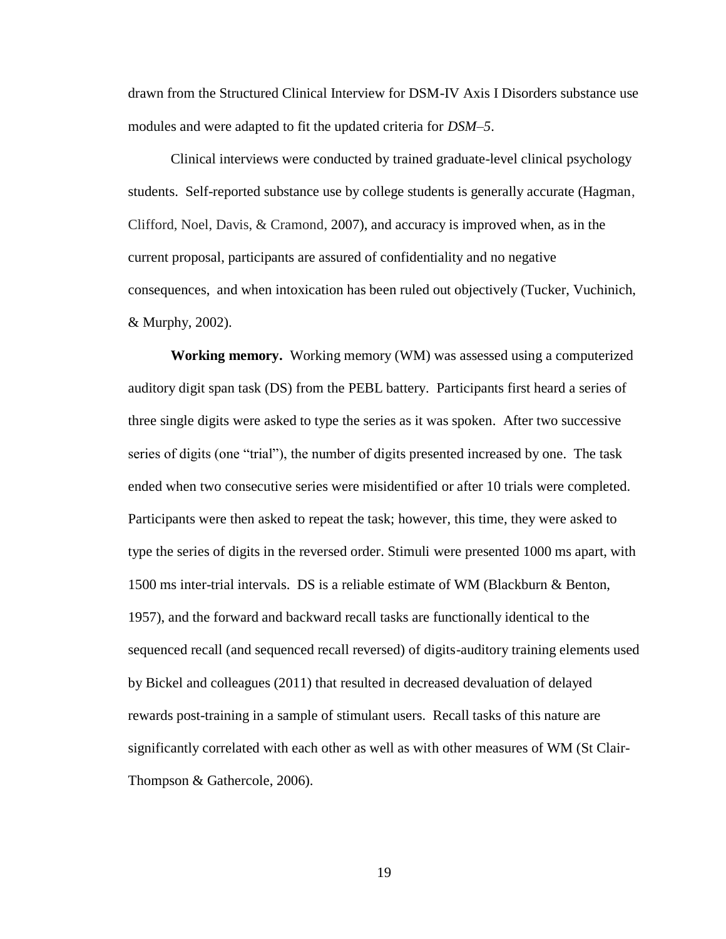drawn from the Structured Clinical Interview for DSM-IV Axis I Disorders substance use modules and were adapted to fit the updated criteria for *DSM–5*.

Clinical interviews were conducted by trained graduate-level clinical psychology students. Self-reported substance use by college students is generally accurate (Hagman, Clifford, Noel, Davis, & Cramond, 2007), and accuracy is improved when, as in the current proposal, participants are assured of confidentiality and no negative consequences, and when intoxication has been ruled out objectively (Tucker, Vuchinich, & Murphy, 2002).

**Working memory.** Working memory (WM) was assessed using a computerized auditory digit span task (DS) from the PEBL battery. Participants first heard a series of three single digits were asked to type the series as it was spoken. After two successive series of digits (one "trial"), the number of digits presented increased by one. The task ended when two consecutive series were misidentified or after 10 trials were completed. Participants were then asked to repeat the task; however, this time, they were asked to type the series of digits in the reversed order. Stimuli were presented 1000 ms apart, with 1500 ms inter-trial intervals. DS is a reliable estimate of WM (Blackburn & Benton, 1957), and the forward and backward recall tasks are functionally identical to the sequenced recall (and sequenced recall reversed) of digits-auditory training elements used by Bickel and colleagues (2011) that resulted in decreased devaluation of delayed rewards post-training in a sample of stimulant users. Recall tasks of this nature are significantly correlated with each other as well as with other measures of WM (St Clair-Thompson & Gathercole, 2006).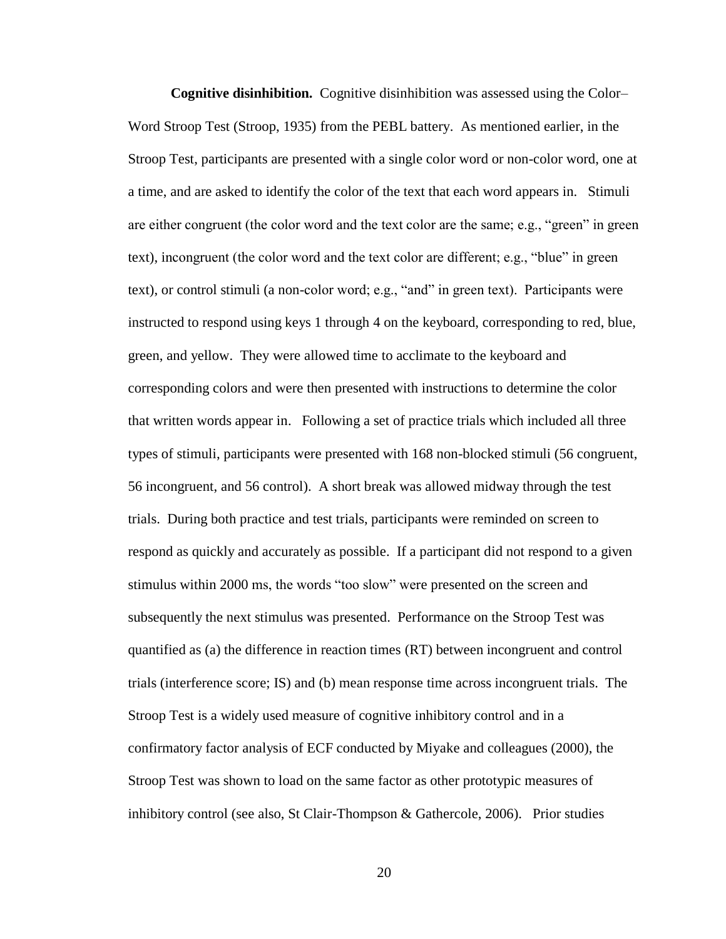**Cognitive disinhibition.** Cognitive disinhibition was assessed using the Color– Word Stroop Test (Stroop, 1935) from the PEBL battery. As mentioned earlier, in the Stroop Test, participants are presented with a single color word or non-color word, one at a time, and are asked to identify the color of the text that each word appears in. Stimuli are either congruent (the color word and the text color are the same; e.g., "green" in green text), incongruent (the color word and the text color are different; e.g., "blue" in green text), or control stimuli (a non-color word; e.g., "and" in green text). Participants were instructed to respond using keys 1 through 4 on the keyboard, corresponding to red, blue, green, and yellow. They were allowed time to acclimate to the keyboard and corresponding colors and were then presented with instructions to determine the color that written words appear in. Following a set of practice trials which included all three types of stimuli, participants were presented with 168 non-blocked stimuli (56 congruent, 56 incongruent, and 56 control). A short break was allowed midway through the test trials. During both practice and test trials, participants were reminded on screen to respond as quickly and accurately as possible. If a participant did not respond to a given stimulus within 2000 ms, the words "too slow" were presented on the screen and subsequently the next stimulus was presented. Performance on the Stroop Test was quantified as (a) the difference in reaction times (RT) between incongruent and control trials (interference score; IS) and (b) mean response time across incongruent trials. The Stroop Test is a widely used measure of cognitive inhibitory control and in a confirmatory factor analysis of ECF conducted by Miyake and colleagues (2000), the Stroop Test was shown to load on the same factor as other prototypic measures of inhibitory control (see also, St Clair-Thompson & Gathercole, 2006). Prior studies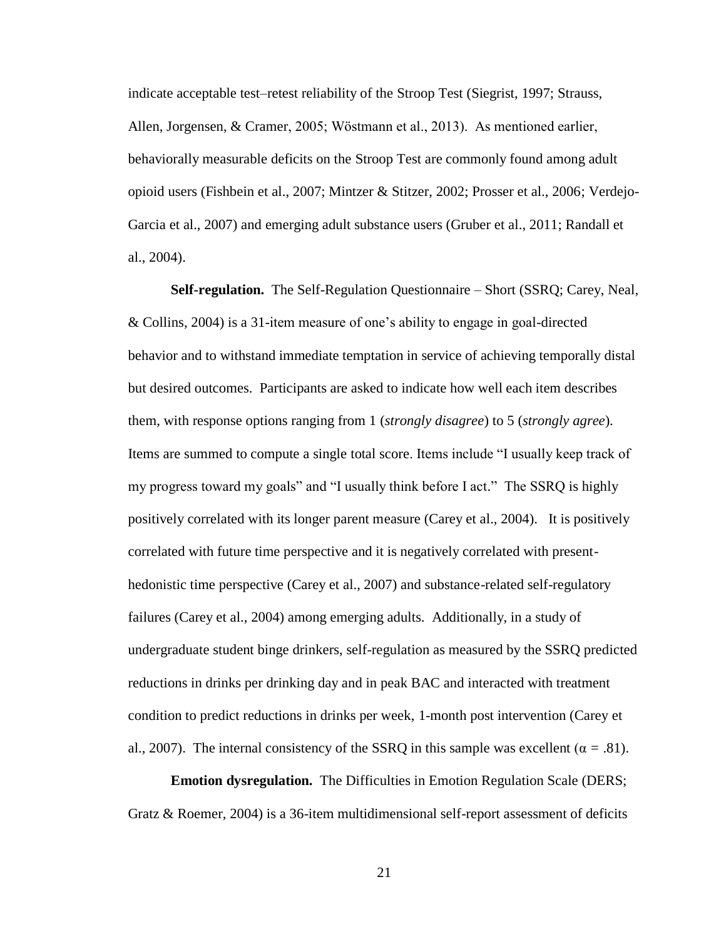indicate acceptable test–retest reliability of the Stroop Test (Siegrist, 1997; Strauss, Allen, Jorgensen, & Cramer, 2005; Wöstmann et al., 2013). As mentioned earlier, behaviorally measurable deficits on the Stroop Test are commonly found among adult opioid users (Fishbein et al., 2007; Mintzer & Stitzer, 2002; Prosser et al., 2006; Verdejo-Garcia et al., 2007) and emerging adult substance users (Gruber et al., 2011; Randall et al., 2004).

**Self-regulation.** The Self-Regulation Questionnaire – Short (SSRQ; Carey, Neal, & Collins, 2004) is a 31-item measure of one's ability to engage in goal-directed behavior and to withstand immediate temptation in service of achieving temporally distal but desired outcomes. Participants are asked to indicate how well each item describes them, with response options ranging from 1 (*strongly disagree*) to 5 (*strongly agree*). Items are summed to compute a single total score. Items include "I usually keep track of my progress toward my goals" and "I usually think before I act." The SSRQ is highly positively correlated with its longer parent measure (Carey et al., 2004). It is positively correlated with future time perspective and it is negatively correlated with presenthedonistic time perspective (Carey et al., 2007) and substance-related self-regulatory failures (Carey et al., 2004) among emerging adults. Additionally, in a study of undergraduate student binge drinkers, self-regulation as measured by the SSRQ predicted reductions in drinks per drinking day and in peak BAC and interacted with treatment condition to predict reductions in drinks per week, 1-month post intervention (Carey et al., 2007). The internal consistency of the SSRQ in this sample was excellent ( $\alpha = .81$ ).

**Emotion dysregulation.** The Difficulties in Emotion Regulation Scale (DERS; Gratz & Roemer, 2004) is a 36-item multidimensional self-report assessment of deficits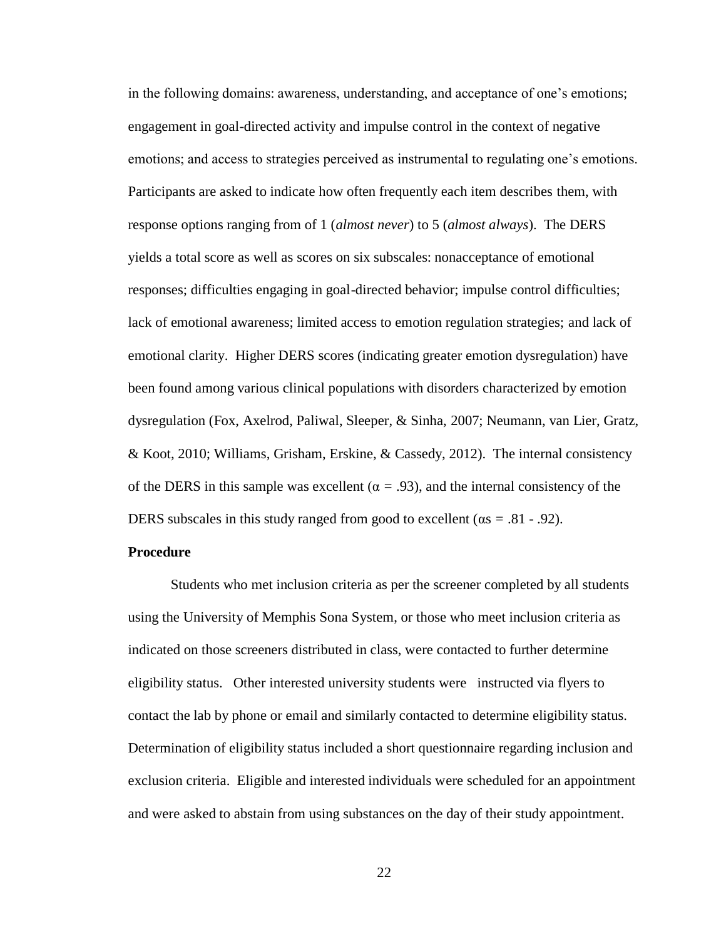in the following domains: awareness, understanding, and acceptance of one's emotions; engagement in goal-directed activity and impulse control in the context of negative emotions; and access to strategies perceived as instrumental to regulating one's emotions. Participants are asked to indicate how often frequently each item describes them, with response options ranging from of 1 (*almost never*) to 5 (*almost always*). The DERS yields a total score as well as scores on six subscales: nonacceptance of emotional responses; difficulties engaging in goal-directed behavior; impulse control difficulties; lack of emotional awareness; limited access to emotion regulation strategies; and lack of emotional clarity. Higher DERS scores (indicating greater emotion dysregulation) have been found among various clinical populations with disorders characterized by emotion dysregulation (Fox, Axelrod, Paliwal, Sleeper, & Sinha, 2007; Neumann, van Lier, Gratz, & Koot, 2010; Williams, Grisham, Erskine, & Cassedy, 2012). The internal consistency of the DERS in this sample was excellent ( $\alpha = .93$ ), and the internal consistency of the DERS subscales in this study ranged from good to excellent (αs *=* .81 - .92).

### **Procedure**

Students who met inclusion criteria as per the screener completed by all students using the University of Memphis Sona System, or those who meet inclusion criteria as indicated on those screeners distributed in class, were contacted to further determine eligibility status. Other interested university students were instructed via flyers to contact the lab by phone or email and similarly contacted to determine eligibility status. Determination of eligibility status included a short questionnaire regarding inclusion and exclusion criteria. Eligible and interested individuals were scheduled for an appointment and were asked to abstain from using substances on the day of their study appointment.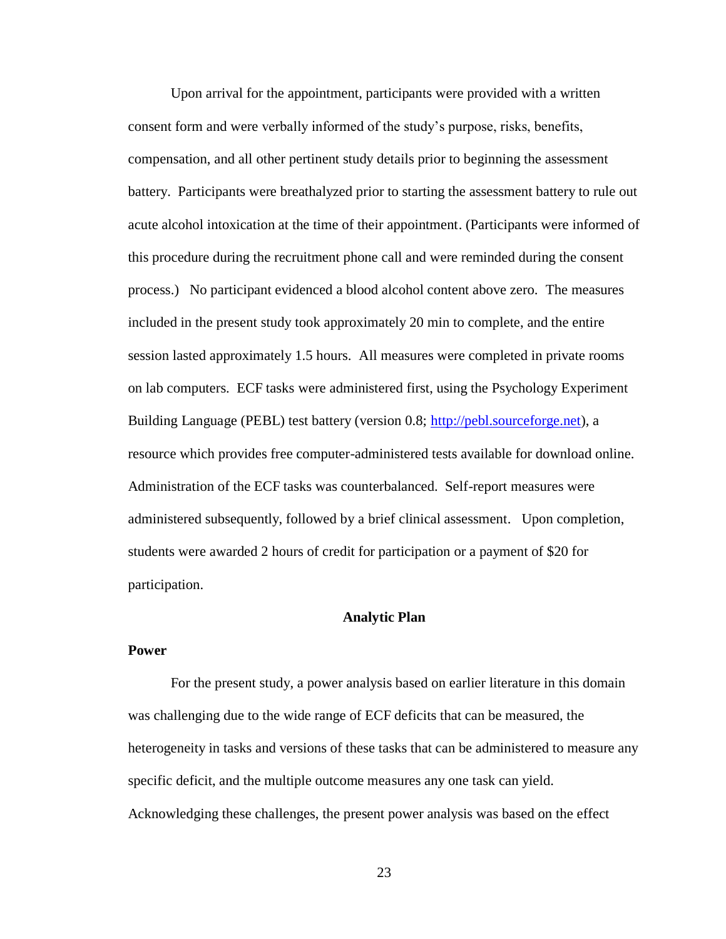Upon arrival for the appointment, participants were provided with a written consent form and were verbally informed of the study's purpose, risks, benefits, compensation, and all other pertinent study details prior to beginning the assessment battery. Participants were breathalyzed prior to starting the assessment battery to rule out acute alcohol intoxication at the time of their appointment. (Participants were informed of this procedure during the recruitment phone call and were reminded during the consent process.) No participant evidenced a blood alcohol content above zero. The measures included in the present study took approximately 20 min to complete, and the entire session lasted approximately 1.5 hours. All measures were completed in private rooms on lab computers. ECF tasks were administered first, using the Psychology Experiment Building Language (PEBL) test battery (version 0.8; [http://pebl.sourceforge.net\)](http://pebl.sourceforge.net/), a resource which provides free computer-administered tests available for download online. Administration of the ECF tasks was counterbalanced. Self-report measures were administered subsequently, followed by a brief clinical assessment. Upon completion, students were awarded 2 hours of credit for participation or a payment of \$20 for participation.

#### **Analytic Plan**

### **Power**

For the present study, a power analysis based on earlier literature in this domain was challenging due to the wide range of ECF deficits that can be measured, the heterogeneity in tasks and versions of these tasks that can be administered to measure any specific deficit, and the multiple outcome measures any one task can yield. Acknowledging these challenges, the present power analysis was based on the effect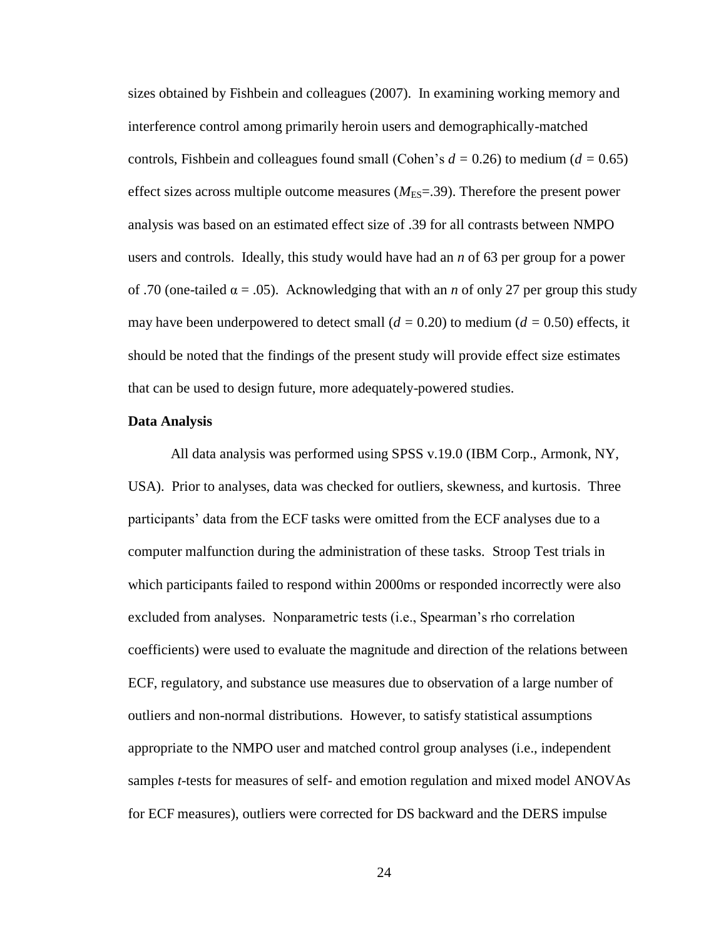sizes obtained by Fishbein and colleagues (2007). In examining working memory and interference control among primarily heroin users and demographically-matched controls, Fishbein and colleagues found small (Cohen's  $d = 0.26$ ) to medium ( $d = 0.65$ ) effect sizes across multiple outcome measures  $(M<sub>ES</sub>=.39)$ . Therefore the present power analysis was based on an estimated effect size of .39 for all contrasts between NMPO users and controls. Ideally, this study would have had an *n* of 63 per group for a power of .70 (one-tailed α = .05). Acknowledging that with an *n* of only 27 per group this study may have been underpowered to detect small  $(d = 0.20)$  to medium  $(d = 0.50)$  effects, it should be noted that the findings of the present study will provide effect size estimates that can be used to design future, more adequately-powered studies.

#### **Data Analysis**

All data analysis was performed using SPSS v.19.0 (IBM Corp., Armonk, NY, USA). Prior to analyses, data was checked for outliers, skewness, and kurtosis. Three participants' data from the ECF tasks were omitted from the ECF analyses due to a computer malfunction during the administration of these tasks. Stroop Test trials in which participants failed to respond within 2000ms or responded incorrectly were also excluded from analyses. Nonparametric tests (i.e., Spearman's rho correlation coefficients) were used to evaluate the magnitude and direction of the relations between ECF, regulatory, and substance use measures due to observation of a large number of outliers and non-normal distributions. However, to satisfy statistical assumptions appropriate to the NMPO user and matched control group analyses (i.e., independent samples *t*-tests for measures of self- and emotion regulation and mixed model ANOVAs for ECF measures), outliers were corrected for DS backward and the DERS impulse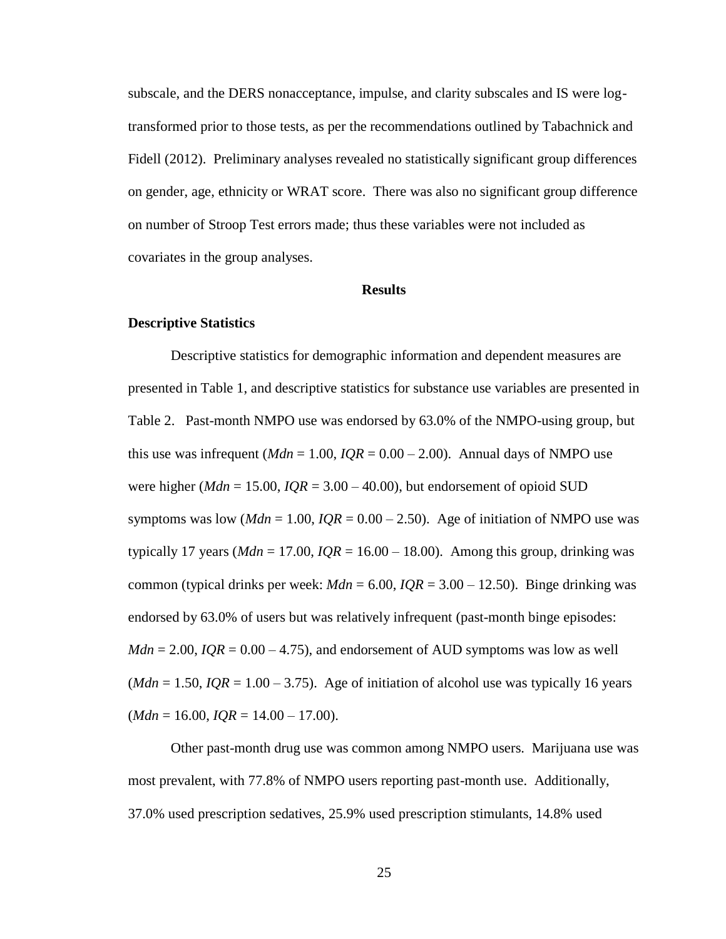subscale, and the DERS nonacceptance, impulse, and clarity subscales and IS were logtransformed prior to those tests, as per the recommendations outlined by Tabachnick and Fidell (2012). Preliminary analyses revealed no statistically significant group differences on gender, age, ethnicity or WRAT score. There was also no significant group difference on number of Stroop Test errors made; thus these variables were not included as covariates in the group analyses.

### **Results**

#### **Descriptive Statistics**

Descriptive statistics for demographic information and dependent measures are presented in Table 1, and descriptive statistics for substance use variables are presented in Table 2. Past-month NMPO use was endorsed by 63.0% of the NMPO-using group, but this use was infrequent  $(Mdn = 1.00, IQR = 0.00 - 2.00)$ . Annual days of NMPO use were higher ( $Mdn = 15.00$ ,  $IQR = 3.00 - 40.00$ ), but endorsement of opioid SUD symptoms was low ( $Mdn = 1.00$ ,  $IQR = 0.00 - 2.50$ ). Age of initiation of NMPO use was typically 17 years ( $Mdn = 17.00$ ,  $IQR = 16.00 - 18.00$ ). Among this group, drinking was common (typical drinks per week:  $Mdn = 6.00$ ,  $IQR = 3.00 - 12.50$ ). Binge drinking was endorsed by 63.0% of users but was relatively infrequent (past-month binge episodes:  $Mdn = 2.00$ ,  $IQR = 0.00 - 4.75$ , and endorsement of AUD symptoms was low as well (*Mdn* = 1.50, *IQR* = 1.00 – 3.75). Age of initiation of alcohol use was typically 16 years  $(Mdn = 16.00, IQR = 14.00 - 17.00).$ 

Other past-month drug use was common among NMPO users. Marijuana use was most prevalent, with 77.8% of NMPO users reporting past-month use. Additionally, 37.0% used prescription sedatives, 25.9% used prescription stimulants, 14.8% used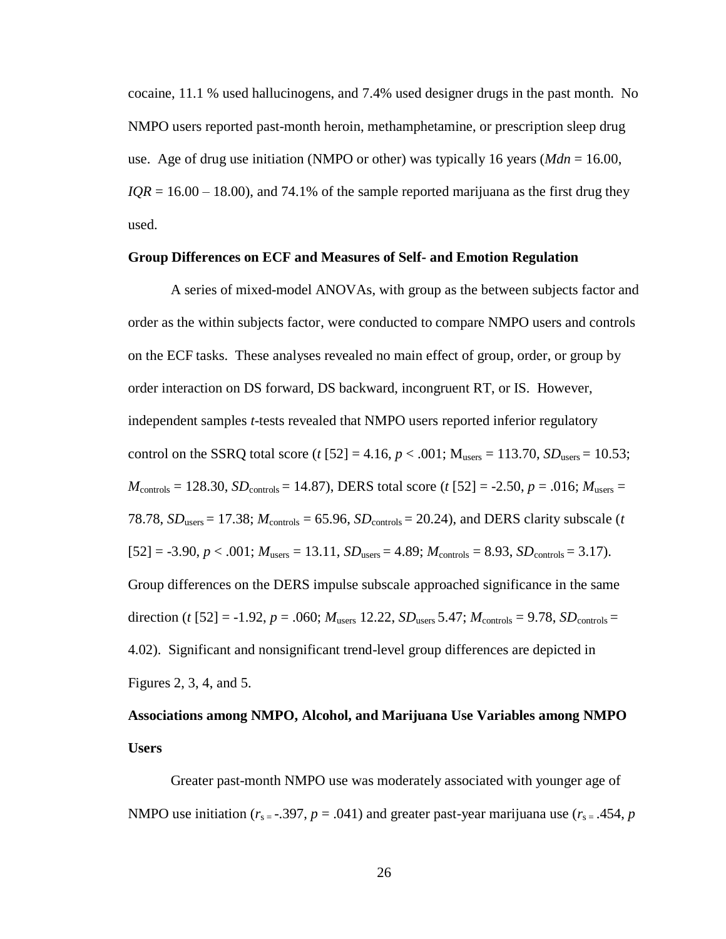cocaine, 11.1 % used hallucinogens, and 7.4% used designer drugs in the past month. No NMPO users reported past-month heroin, methamphetamine, or prescription sleep drug use. Age of drug use initiation (NMPO or other) was typically 16 years (*Mdn* = 16.00,  $IQR = 16.00 - 18.00$ , and 74.1% of the sample reported marijuana as the first drug they used.

### **Group Differences on ECF and Measures of Self- and Emotion Regulation**

A series of mixed-model ANOVAs, with group as the between subjects factor and order as the within subjects factor, were conducted to compare NMPO users and controls on the ECF tasks. These analyses revealed no main effect of group, order, or group by order interaction on DS forward, DS backward, incongruent RT, or IS. However, independent samples *t*-tests revealed that NMPO users reported inferior regulatory control on the SSRQ total score (*t* [52] = 4.16,  $p < .001$ ; M<sub>users</sub> = 113.70, *SD*<sub>users</sub> = 10.53;  $M_{\text{controls}} = 128.30, SD_{\text{controls}} = 14.87$ , DERS total score (*t* [52] = -2.50, *p* = .016;  $M_{\text{users}} =$ 78.78,  $SD_{users} = 17.38$ ;  $M_{controls} = 65.96$ ,  $SD_{controls} = 20.24$ ), and DERS clarity subscale (*t*  $[52] = -3.90, p < .001; M<sub>users</sub> = 13.11, SD<sub>users</sub> = 4.89; M<sub>controls</sub> = 8.93, SD<sub>controls</sub> = 3.17).$ Group differences on the DERS impulse subscale approached significance in the same direction (*t* [52] = -1.92, *p* = .060;  $M_{\text{users}}$  12.22,  $SD_{\text{users}}$  5.47;  $M_{\text{controls}}$  = 9.78,  $SD_{\text{controls}}$  = 4.02). Significant and nonsignificant trend-level group differences are depicted in Figures 2, 3, 4, and 5.

# **Associations among NMPO, Alcohol, and Marijuana Use Variables among NMPO Users**

Greater past-month NMPO use was moderately associated with younger age of NMPO use initiation ( $r_{s} = .397$ ,  $p = .041$ ) and greater past-year marijuana use ( $r_{s} = .454$ ,  $p$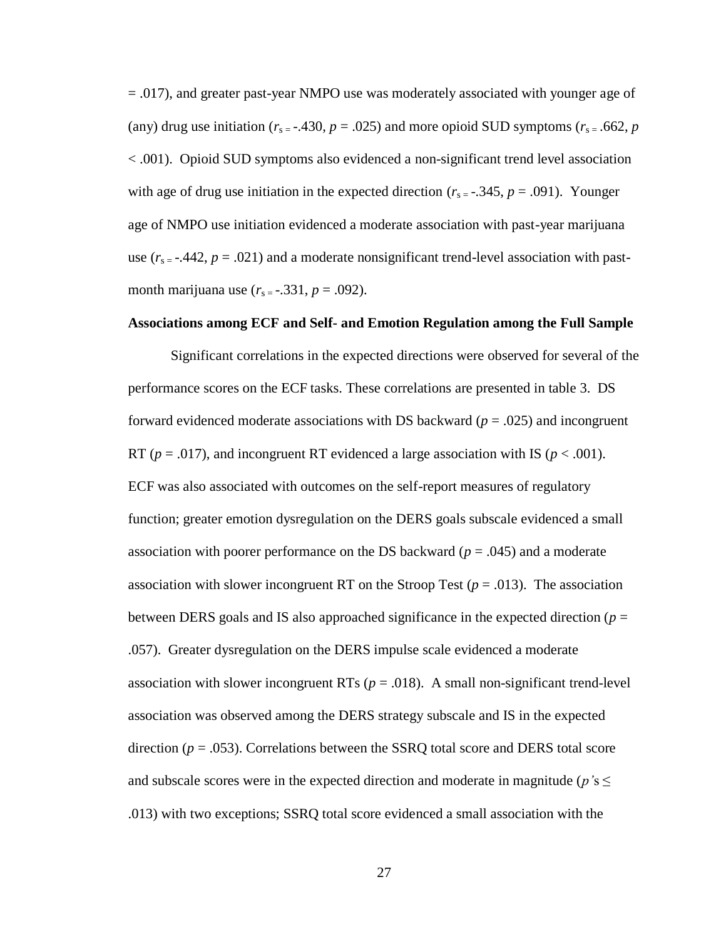= .017), and greater past-year NMPO use was moderately associated with younger age of (any) drug use initiation ( $r_{s} = -430$ ,  $p = .025$ ) and more opioid SUD symptoms ( $r_{s} = .662$ ,  $p = .025$ ) < .001). Opioid SUD symptoms also evidenced a non-significant trend level association with age of drug use initiation in the expected direction  $(r_{s} = -0.345, p = .091)$ . Younger age of NMPO use initiation evidenced a moderate association with past-year marijuana use  $(r_{s} = -0.442, p = .021)$  and a moderate nonsignificant trend-level association with pastmonth marijuana use  $(r_{s} = -.331, p = .092)$ .

## **Associations among ECF and Self- and Emotion Regulation among the Full Sample**

Significant correlations in the expected directions were observed for several of the performance scores on the ECF tasks. These correlations are presented in table 3. DS forward evidenced moderate associations with DS backward (*p* = .025) and incongruent RT ( $p = .017$ ), and incongruent RT evidenced a large association with IS ( $p < .001$ ). ECF was also associated with outcomes on the self-report measures of regulatory function; greater emotion dysregulation on the DERS goals subscale evidenced a small association with poorer performance on the DS backward (*p* = .045) and a moderate association with slower incongruent RT on the Stroop Test  $(p = .013)$ . The association between DERS goals and IS also approached significance in the expected direction ( $p =$ .057). Greater dysregulation on the DERS impulse scale evidenced a moderate association with slower incongruent RTs  $(p = .018)$ . A small non-significant trend-level association was observed among the DERS strategy subscale and IS in the expected direction  $(p = .053)$ . Correlations between the SSRQ total score and DERS total score and subscale scores were in the expected direction and moderate in magnitude ( $p$ 's  $\leq$ .013) with two exceptions; SSRQ total score evidenced a small association with the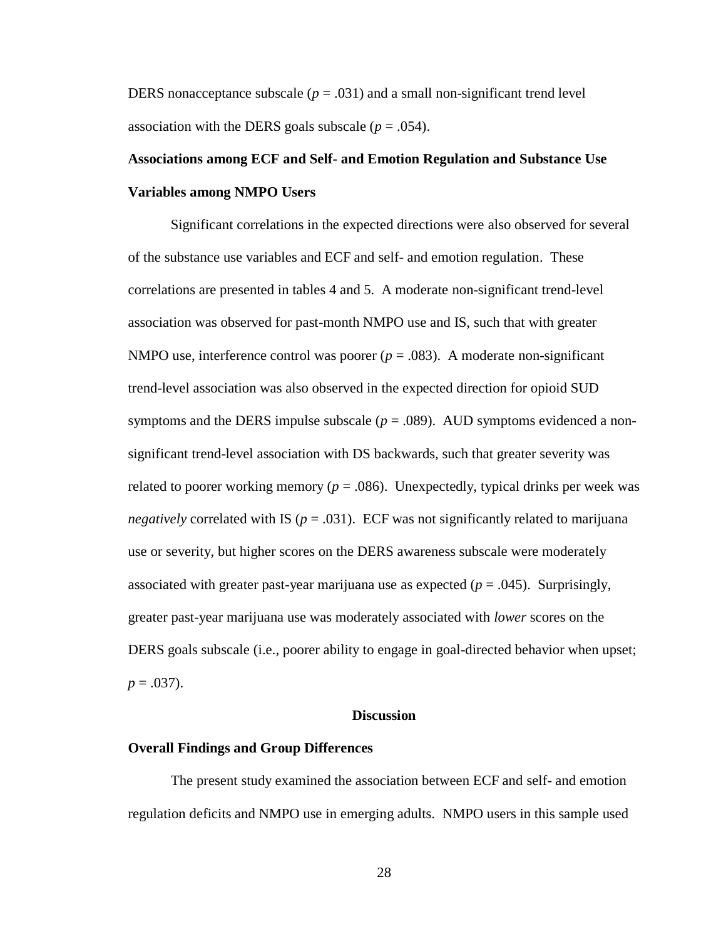DERS nonacceptance subscale ( $p = .031$ ) and a small non-significant trend level association with the DERS goals subscale  $(p = .054)$ .

# **Associations among ECF and Self- and Emotion Regulation and Substance Use Variables among NMPO Users**

Significant correlations in the expected directions were also observed for several of the substance use variables and ECF and self- and emotion regulation. These correlations are presented in tables 4 and 5. A moderate non-significant trend-level association was observed for past-month NMPO use and IS, such that with greater NMPO use, interference control was poorer  $(p = .083)$ . A moderate non-significant trend-level association was also observed in the expected direction for opioid SUD symptoms and the DERS impulse subscale  $(p = .089)$ . AUD symptoms evidenced a nonsignificant trend-level association with DS backwards, such that greater severity was related to poorer working memory ( $p = .086$ ). Unexpectedly, typical drinks per week was *negatively* correlated with IS ( $p = .031$ ). ECF was not significantly related to marijuana use or severity, but higher scores on the DERS awareness subscale were moderately associated with greater past-year marijuana use as expected (*p* = .045). Surprisingly, greater past-year marijuana use was moderately associated with *lower* scores on the DERS goals subscale (i.e., poorer ability to engage in goal-directed behavior when upset;  $p = .037$ ).

### **Discussion**

#### **Overall Findings and Group Differences**

The present study examined the association between ECF and self- and emotion regulation deficits and NMPO use in emerging adults. NMPO users in this sample used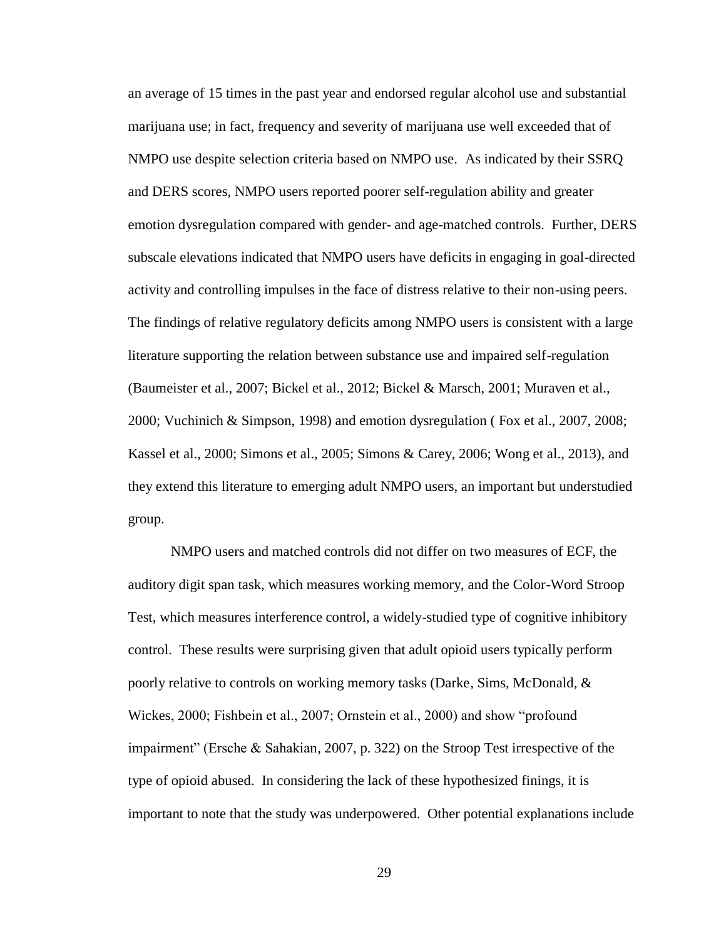an average of 15 times in the past year and endorsed regular alcohol use and substantial marijuana use; in fact, frequency and severity of marijuana use well exceeded that of NMPO use despite selection criteria based on NMPO use. As indicated by their SSRQ and DERS scores, NMPO users reported poorer self-regulation ability and greater emotion dysregulation compared with gender- and age-matched controls. Further, DERS subscale elevations indicated that NMPO users have deficits in engaging in goal-directed activity and controlling impulses in the face of distress relative to their non-using peers. The findings of relative regulatory deficits among NMPO users is consistent with a large literature supporting the relation between substance use and impaired self-regulation (Baumeister et al., 2007; Bickel et al., 2012; Bickel & Marsch, 2001; Muraven et al., 2000; Vuchinich & Simpson, 1998) and emotion dysregulation ( Fox et al., 2007, 2008; Kassel et al., 2000; Simons et al., 2005; Simons & Carey, 2006; Wong et al., 2013), and they extend this literature to emerging adult NMPO users, an important but understudied group.

NMPO users and matched controls did not differ on two measures of ECF, the auditory digit span task, which measures working memory, and the Color-Word Stroop Test, which measures interference control, a widely-studied type of cognitive inhibitory control. These results were surprising given that adult opioid users typically perform poorly relative to controls on working memory tasks (Darke, Sims, McDonald, & Wickes, 2000; Fishbein et al., 2007; Ornstein et al., 2000) and show "profound impairment" (Ersche & Sahakian, 2007, p. 322) on the Stroop Test irrespective of the type of opioid abused. In considering the lack of these hypothesized finings, it is important to note that the study was underpowered. Other potential explanations include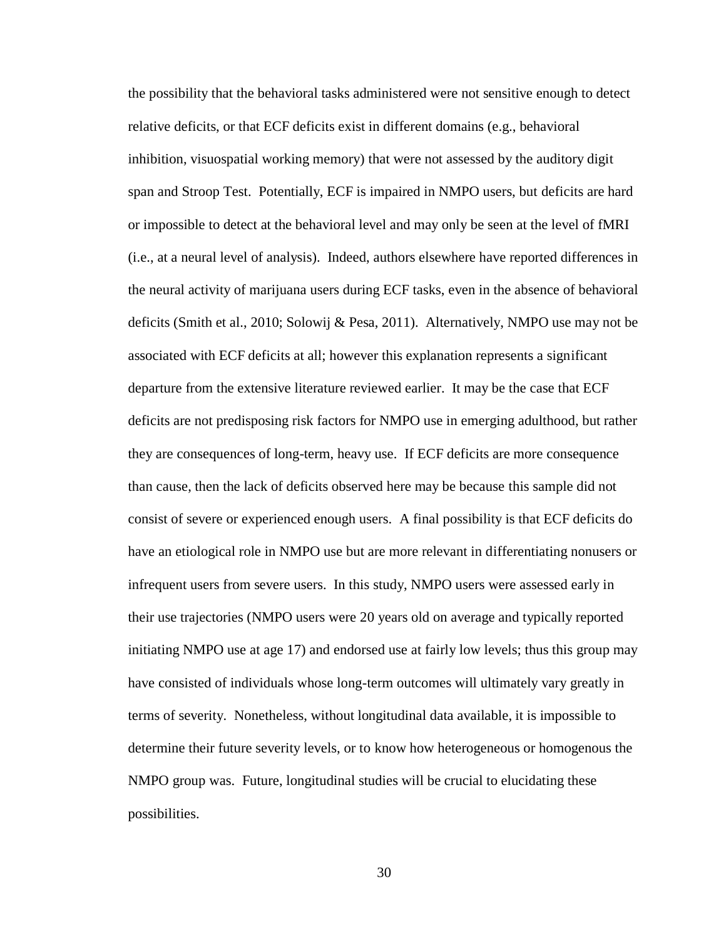the possibility that the behavioral tasks administered were not sensitive enough to detect relative deficits, or that ECF deficits exist in different domains (e.g., behavioral inhibition, visuospatial working memory) that were not assessed by the auditory digit span and Stroop Test. Potentially, ECF is impaired in NMPO users, but deficits are hard or impossible to detect at the behavioral level and may only be seen at the level of fMRI (i.e., at a neural level of analysis). Indeed, authors elsewhere have reported differences in the neural activity of marijuana users during ECF tasks, even in the absence of behavioral deficits (Smith et al., 2010; Solowij & Pesa, 2011). Alternatively, NMPO use may not be associated with ECF deficits at all; however this explanation represents a significant departure from the extensive literature reviewed earlier. It may be the case that ECF deficits are not predisposing risk factors for NMPO use in emerging adulthood, but rather they are consequences of long-term, heavy use. If ECF deficits are more consequence than cause, then the lack of deficits observed here may be because this sample did not consist of severe or experienced enough users. A final possibility is that ECF deficits do have an etiological role in NMPO use but are more relevant in differentiating nonusers or infrequent users from severe users. In this study, NMPO users were assessed early in their use trajectories (NMPO users were 20 years old on average and typically reported initiating NMPO use at age 17) and endorsed use at fairly low levels; thus this group may have consisted of individuals whose long-term outcomes will ultimately vary greatly in terms of severity. Nonetheless, without longitudinal data available, it is impossible to determine their future severity levels, or to know how heterogeneous or homogenous the NMPO group was. Future, longitudinal studies will be crucial to elucidating these possibilities.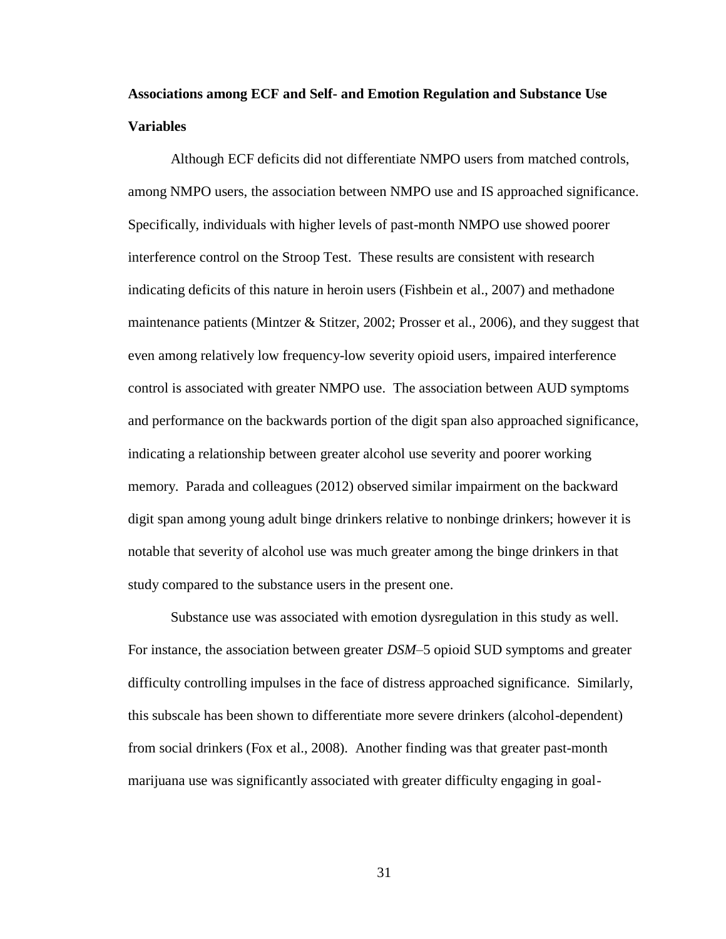# **Associations among ECF and Self- and Emotion Regulation and Substance Use Variables**

Although ECF deficits did not differentiate NMPO users from matched controls, among NMPO users, the association between NMPO use and IS approached significance. Specifically, individuals with higher levels of past-month NMPO use showed poorer interference control on the Stroop Test. These results are consistent with research indicating deficits of this nature in heroin users (Fishbein et al., 2007) and methadone maintenance patients (Mintzer & Stitzer, 2002; Prosser et al., 2006), and they suggest that even among relatively low frequency-low severity opioid users, impaired interference control is associated with greater NMPO use. The association between AUD symptoms and performance on the backwards portion of the digit span also approached significance, indicating a relationship between greater alcohol use severity and poorer working memory. Parada and colleagues (2012) observed similar impairment on the backward digit span among young adult binge drinkers relative to nonbinge drinkers; however it is notable that severity of alcohol use was much greater among the binge drinkers in that study compared to the substance users in the present one.

Substance use was associated with emotion dysregulation in this study as well. For instance, the association between greater *DSM*–5 opioid SUD symptoms and greater difficulty controlling impulses in the face of distress approached significance. Similarly, this subscale has been shown to differentiate more severe drinkers (alcohol-dependent) from social drinkers (Fox et al., 2008). Another finding was that greater past-month marijuana use was significantly associated with greater difficulty engaging in goal-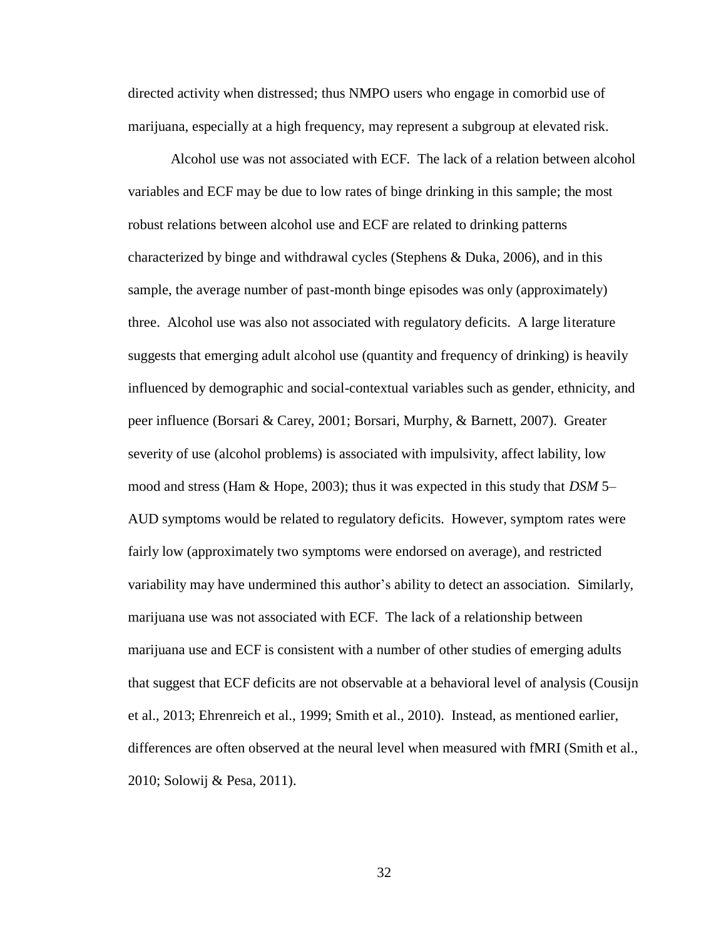directed activity when distressed; thus NMPO users who engage in comorbid use of marijuana, especially at a high frequency, may represent a subgroup at elevated risk.

Alcohol use was not associated with ECF. The lack of a relation between alcohol variables and ECF may be due to low rates of binge drinking in this sample; the most robust relations between alcohol use and ECF are related to drinking patterns characterized by binge and withdrawal cycles (Stephens & Duka, 2006), and in this sample, the average number of past-month binge episodes was only (approximately) three. Alcohol use was also not associated with regulatory deficits. A large literature suggests that emerging adult alcohol use (quantity and frequency of drinking) is heavily influenced by demographic and social-contextual variables such as gender, ethnicity, and peer influence (Borsari & Carey, 2001; Borsari, Murphy, & Barnett, 2007). Greater severity of use (alcohol problems) is associated with impulsivity, affect lability, low mood and stress (Ham & Hope, 2003); thus it was expected in this study that *DSM* 5– AUD symptoms would be related to regulatory deficits. However, symptom rates were fairly low (approximately two symptoms were endorsed on average), and restricted variability may have undermined this author's ability to detect an association. Similarly, marijuana use was not associated with ECF. The lack of a relationship between marijuana use and ECF is consistent with a number of other studies of emerging adults that suggest that ECF deficits are not observable at a behavioral level of analysis (Cousijn et al., 2013; Ehrenreich et al., 1999; Smith et al., 2010). Instead, as mentioned earlier, differences are often observed at the neural level when measured with fMRI (Smith et al., 2010; Solowij & Pesa, 2011).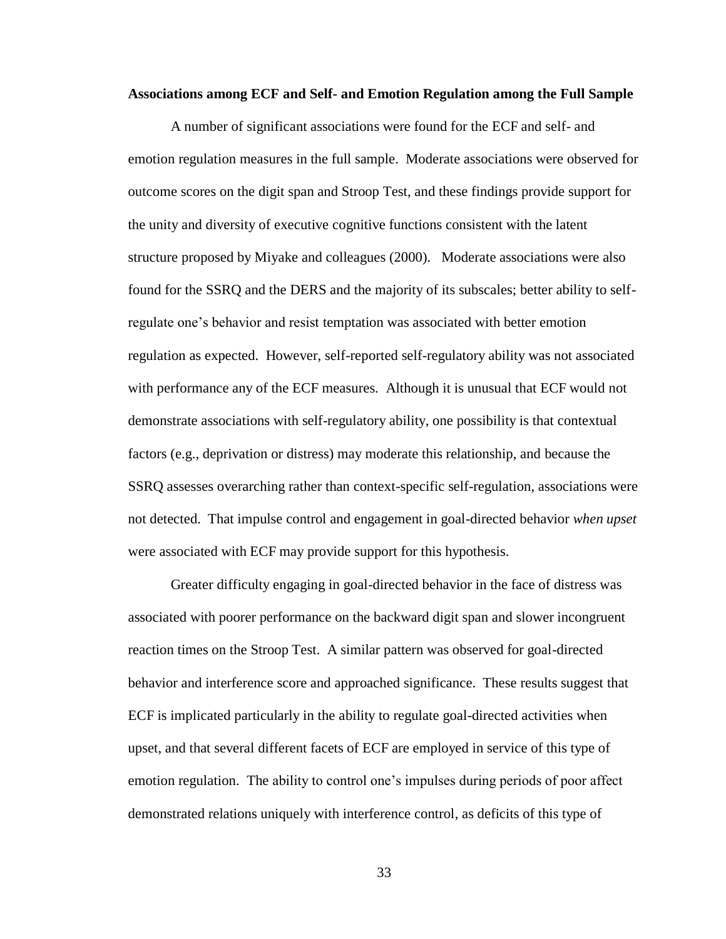### **Associations among ECF and Self- and Emotion Regulation among the Full Sample**

A number of significant associations were found for the ECF and self- and emotion regulation measures in the full sample. Moderate associations were observed for outcome scores on the digit span and Stroop Test, and these findings provide support for the unity and diversity of executive cognitive functions consistent with the latent structure proposed by Miyake and colleagues (2000). Moderate associations were also found for the SSRQ and the DERS and the majority of its subscales; better ability to selfregulate one's behavior and resist temptation was associated with better emotion regulation as expected. However, self-reported self-regulatory ability was not associated with performance any of the ECF measures. Although it is unusual that ECF would not demonstrate associations with self-regulatory ability, one possibility is that contextual factors (e.g., deprivation or distress) may moderate this relationship, and because the SSRQ assesses overarching rather than context-specific self-regulation, associations were not detected. That impulse control and engagement in goal-directed behavior *when upset* were associated with ECF may provide support for this hypothesis.

Greater difficulty engaging in goal-directed behavior in the face of distress was associated with poorer performance on the backward digit span and slower incongruent reaction times on the Stroop Test. A similar pattern was observed for goal-directed behavior and interference score and approached significance. These results suggest that ECF is implicated particularly in the ability to regulate goal-directed activities when upset, and that several different facets of ECF are employed in service of this type of emotion regulation. The ability to control one's impulses during periods of poor affect demonstrated relations uniquely with interference control, as deficits of this type of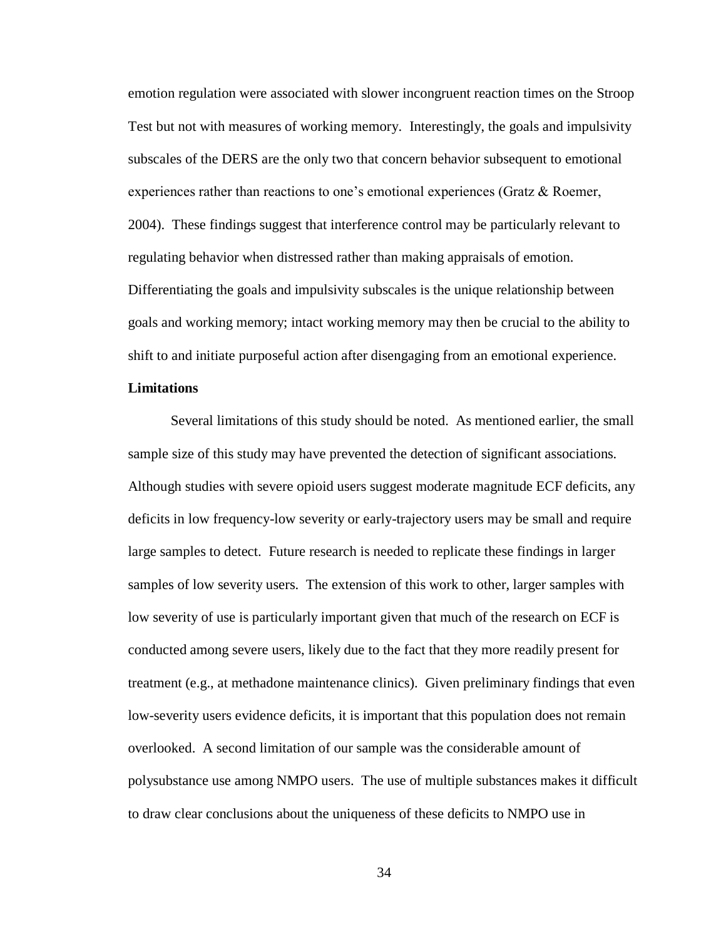emotion regulation were associated with slower incongruent reaction times on the Stroop Test but not with measures of working memory. Interestingly, the goals and impulsivity subscales of the DERS are the only two that concern behavior subsequent to emotional experiences rather than reactions to one's emotional experiences (Gratz & Roemer, 2004). These findings suggest that interference control may be particularly relevant to regulating behavior when distressed rather than making appraisals of emotion. Differentiating the goals and impulsivity subscales is the unique relationship between goals and working memory; intact working memory may then be crucial to the ability to shift to and initiate purposeful action after disengaging from an emotional experience.

### **Limitations**

Several limitations of this study should be noted. As mentioned earlier, the small sample size of this study may have prevented the detection of significant associations. Although studies with severe opioid users suggest moderate magnitude ECF deficits, any deficits in low frequency-low severity or early-trajectory users may be small and require large samples to detect. Future research is needed to replicate these findings in larger samples of low severity users. The extension of this work to other, larger samples with low severity of use is particularly important given that much of the research on ECF is conducted among severe users, likely due to the fact that they more readily present for treatment (e.g., at methadone maintenance clinics). Given preliminary findings that even low-severity users evidence deficits, it is important that this population does not remain overlooked. A second limitation of our sample was the considerable amount of polysubstance use among NMPO users. The use of multiple substances makes it difficult to draw clear conclusions about the uniqueness of these deficits to NMPO use in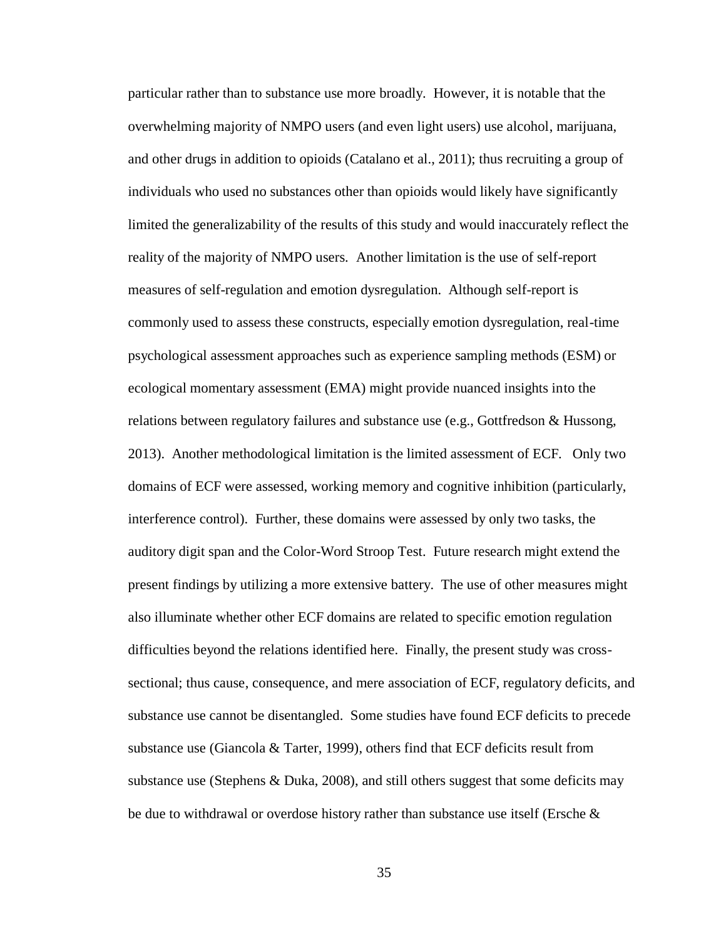particular rather than to substance use more broadly. However, it is notable that the overwhelming majority of NMPO users (and even light users) use alcohol, marijuana, and other drugs in addition to opioids (Catalano et al., 2011); thus recruiting a group of individuals who used no substances other than opioids would likely have significantly limited the generalizability of the results of this study and would inaccurately reflect the reality of the majority of NMPO users. Another limitation is the use of self-report measures of self-regulation and emotion dysregulation. Although self-report is commonly used to assess these constructs, especially emotion dysregulation, real-time psychological assessment approaches such as experience sampling methods (ESM) or ecological momentary assessment (EMA) might provide nuanced insights into the relations between regulatory failures and substance use (e.g., Gottfredson & Hussong, 2013). Another methodological limitation is the limited assessment of ECF. Only two domains of ECF were assessed, working memory and cognitive inhibition (particularly, interference control). Further, these domains were assessed by only two tasks, the auditory digit span and the Color-Word Stroop Test. Future research might extend the present findings by utilizing a more extensive battery. The use of other measures might also illuminate whether other ECF domains are related to specific emotion regulation difficulties beyond the relations identified here. Finally, the present study was crosssectional; thus cause, consequence, and mere association of ECF, regulatory deficits, and substance use cannot be disentangled. Some studies have found ECF deficits to precede substance use (Giancola  $\&$  Tarter, 1999), others find that ECF deficits result from substance use (Stephens & Duka, 2008), and still others suggest that some deficits may be due to withdrawal or overdose history rather than substance use itself (Ersche  $\&$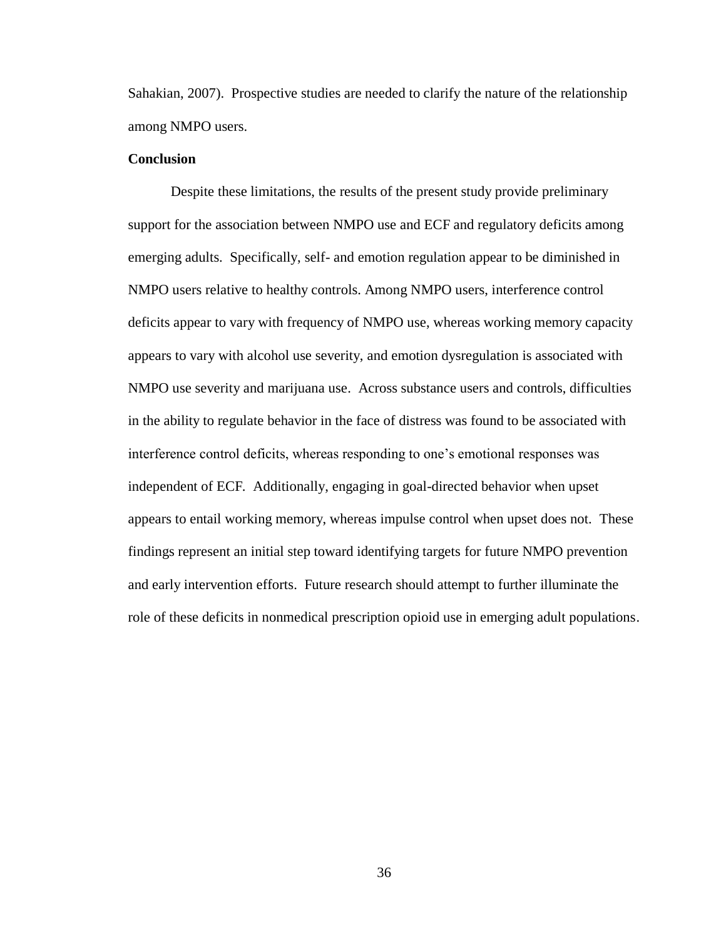Sahakian, 2007). Prospective studies are needed to clarify the nature of the relationship among NMPO users.

# **Conclusion**

Despite these limitations, the results of the present study provide preliminary support for the association between NMPO use and ECF and regulatory deficits among emerging adults. Specifically, self- and emotion regulation appear to be diminished in NMPO users relative to healthy controls. Among NMPO users, interference control deficits appear to vary with frequency of NMPO use, whereas working memory capacity appears to vary with alcohol use severity, and emotion dysregulation is associated with NMPO use severity and marijuana use. Across substance users and controls, difficulties in the ability to regulate behavior in the face of distress was found to be associated with interference control deficits, whereas responding to one's emotional responses was independent of ECF. Additionally, engaging in goal-directed behavior when upset appears to entail working memory, whereas impulse control when upset does not. These findings represent an initial step toward identifying targets for future NMPO prevention and early intervention efforts. Future research should attempt to further illuminate the role of these deficits in nonmedical prescription opioid use in emerging adult populations.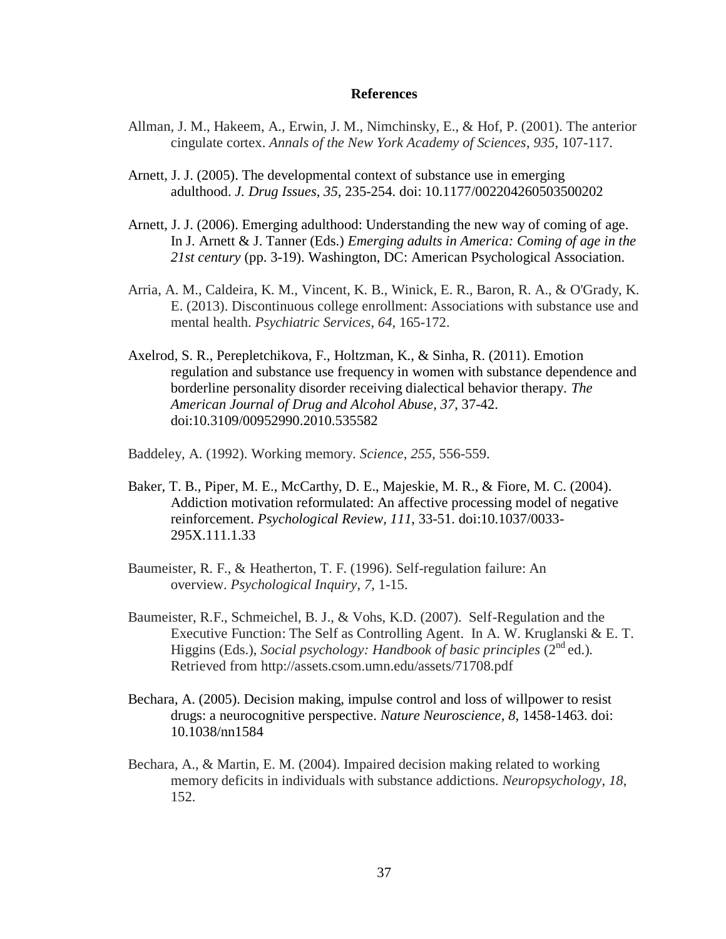### **References**

- Allman, J. M., Hakeem, A., Erwin, J. M., Nimchinsky, E., & Hof, P. (2001). The anterior cingulate cortex. *Annals of the New York Academy of Sciences*, *935*, 107-117.
- Arnett, J. J. (2005). The developmental context of substance use in emerging adulthood. *J. Drug Issues*, *35*, 235-254. doi: 10.1177/002204260503500202
- Arnett, J. J. (2006). Emerging adulthood: Understanding the new way of coming of age. In J. Arnett & J. Tanner (Eds.) *Emerging adults in America: Coming of age in the 21st century* (pp. 3-19). Washington, DC: American Psychological Association.
- Arria, A. M., Caldeira, K. M., Vincent, K. B., Winick, E. R., Baron, R. A., & O'Grady, K. E. (2013). Discontinuous college enrollment: Associations with substance use and mental health. *Psychiatric Services*, *64*, 165-172.
- Axelrod, S. R., Perepletchikova, F., Holtzman, K., & Sinha, R. (2011). Emotion regulation and substance use frequency in women with substance dependence and borderline personality disorder receiving dialectical behavior therapy. *The American Journal of Drug and Alcohol Abuse, 37*, 37-42. doi:10.3109/00952990.2010.535582
- Baddeley, A. (1992). Working memory. *Science*, *255*, 556-559.
- Baker, T. B., Piper, M. E., McCarthy, D. E., Majeskie, M. R., & Fiore, M. C. (2004). Addiction motivation reformulated: An affective processing model of negative reinforcement. *Psychological Review, 111*, 33-51. doi:10.1037/0033- 295X.111.1.33
- Baumeister, R. F., & Heatherton, T. F. (1996). Self-regulation failure: An overview. *Psychological Inquiry*, *7*, 1-15.
- Baumeister, R.F., Schmeichel, B. J., & Vohs, K.D. (2007). Self-Regulation and the Executive Function: The Self as Controlling Agent. In A. W. Kruglanski & E. T. Higgins (Eds.), *Social psychology: Handbook of basic principles* (2<sup>nd</sup> ed.). Retrieved from http://assets.csom.umn.edu/assets/71708.pdf
- Bechara, A. (2005). Decision making, impulse control and loss of willpower to resist drugs: a neurocognitive perspective. *Nature Neuroscience, 8*, 1458-1463. doi: 10.1038/nn1584
- Bechara, A., & Martin, E. M. (2004). Impaired decision making related to working memory deficits in individuals with substance addictions. *Neuropsychology*, *18*, 152.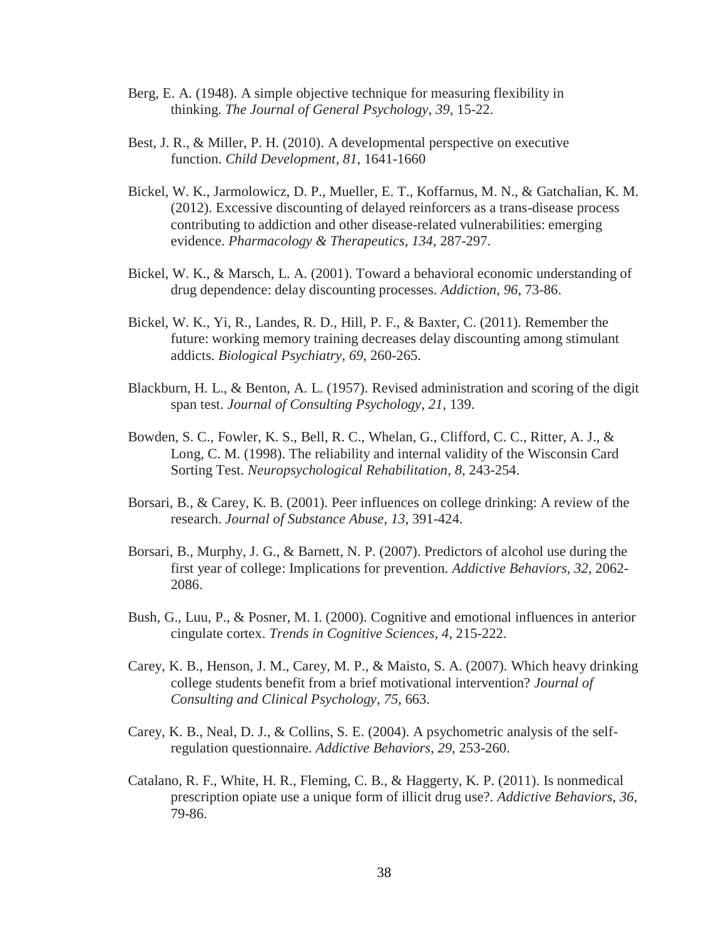- Berg, E. A. (1948). A simple objective technique for measuring flexibility in thinking. *The Journal of General Psychology*, *39*, 15-22.
- Best, J. R., & Miller, P. H. (2010). A developmental perspective on executive function. *Child Development*, *81*, 1641-1660
- Bickel, W. K., Jarmolowicz, D. P., Mueller, E. T., Koffarnus, M. N., & Gatchalian, K. M. (2012). Excessive discounting of delayed reinforcers as a trans-disease process contributing to addiction and other disease-related vulnerabilities: emerging evidence. *Pharmacology & Therapeutics*, *134*, 287-297.
- Bickel, W. K., & Marsch, L. A. (2001). Toward a behavioral economic understanding of drug dependence: delay discounting processes. *Addiction*, *96*, 73-86.
- Bickel, W. K., Yi, R., Landes, R. D., Hill, P. F., & Baxter, C. (2011). Remember the future: working memory training decreases delay discounting among stimulant addicts. *Biological Psychiatry*, *69*, 260-265.
- Blackburn, H. L., & Benton, A. L. (1957). Revised administration and scoring of the digit span test. *Journal of Consulting Psychology*, *21*, 139.
- Bowden, S. C., Fowler, K. S., Bell, R. C., Whelan, G., Clifford, C. C., Ritter, A. J., & Long, C. M. (1998). The reliability and internal validity of the Wisconsin Card Sorting Test. *Neuropsychological Rehabilitation*, *8*, 243-254.
- Borsari, B., & Carey, K. B. (2001). Peer influences on college drinking: A review of the research. *Journal of Substance Abuse*, *13*, 391-424.
- Borsari, B., Murphy, J. G., & Barnett, N. P. (2007). Predictors of alcohol use during the first year of college: Implications for prevention. *Addictive Behaviors*, *32*, 2062- 2086.
- Bush, G., Luu, P., & Posner, M. I. (2000). Cognitive and emotional influences in anterior cingulate cortex. *Trends in Cognitive Sciences*, *4*, 215-222.
- Carey, K. B., Henson, J. M., Carey, M. P., & Maisto, S. A. (2007). Which heavy drinking college students benefit from a brief motivational intervention? *Journal of Consulting and Clinical Psychology*, *75*, 663.
- Carey, K. B., Neal, D. J., & Collins, S. E. (2004). A psychometric analysis of the selfregulation questionnaire. *Addictive Behaviors*, *29*, 253-260.
- Catalano, R. F., White, H. R., Fleming, C. B., & Haggerty, K. P. (2011). Is nonmedical prescription opiate use a unique form of illicit drug use?. *Addictive Behaviors*, *36*, 79-86.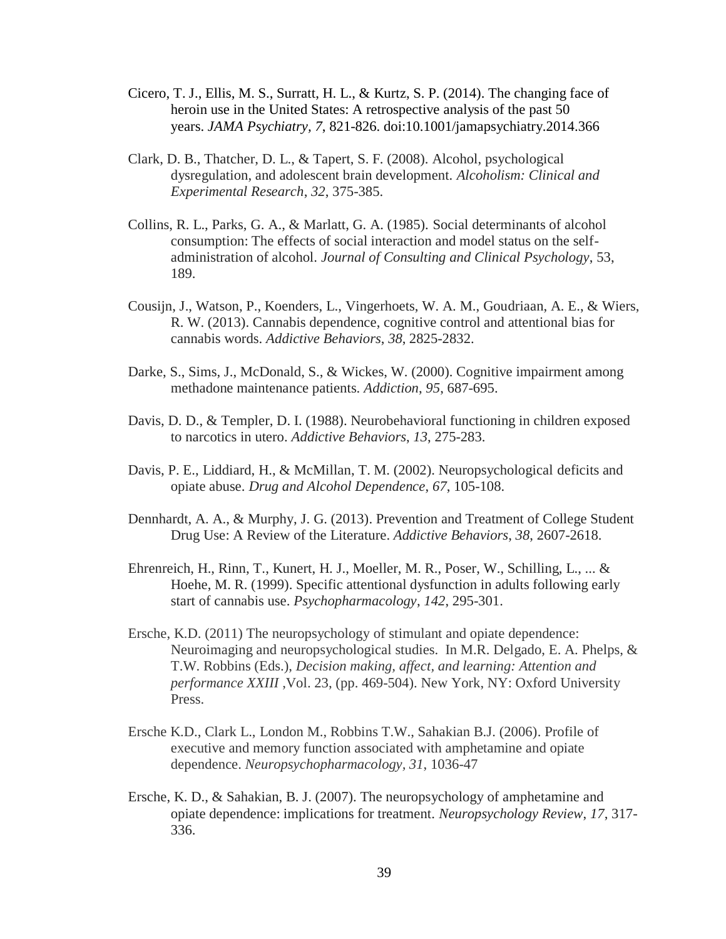- Cicero, T. J., Ellis, M. S., Surratt, H. L., & Kurtz, S. P. (2014). The changing face of heroin use in the United States: A retrospective analysis of the past 50 years. *JAMA Psychiatry, 7*, 821-826. doi:10.1001/jamapsychiatry.2014.366
- Clark, D. B., Thatcher, D. L., & Tapert, S. F. (2008). Alcohol, psychological dysregulation, and adolescent brain development. *Alcoholism: Clinical and Experimental Research*, *32*, 375-385.
- Collins, R. L., Parks, G. A., & Marlatt, G. A. (1985). Social determinants of alcohol consumption: The effects of social interaction and model status on the selfadministration of alcohol. *Journal of Consulting and Clinical Psychology*, 53, 189.
- Cousijn, J., Watson, P., Koenders, L., Vingerhoets, W. A. M., Goudriaan, A. E., & Wiers, R. W. (2013). Cannabis dependence, cognitive control and attentional bias for cannabis words. *Addictive Behaviors*, *38*, 2825-2832.
- Darke, S., Sims, J., McDonald, S., & Wickes, W. (2000). Cognitive impairment among methadone maintenance patients. *Addiction*, *95*, 687-695.
- Davis, D. D., & Templer, D. I. (1988). Neurobehavioral functioning in children exposed to narcotics in utero. *Addictive Behaviors*, *13*, 275-283.
- Davis, P. E., Liddiard, H., & McMillan, T. M. (2002). Neuropsychological deficits and opiate abuse. *Drug and Alcohol Dependence*, *67*, 105-108.
- Dennhardt, A. A., & Murphy, J. G. (2013). Prevention and Treatment of College Student Drug Use: A Review of the Literature. *Addictive Behaviors*, *38*, 2607-2618.
- Ehrenreich, H., Rinn, T., Kunert, H. J., Moeller, M. R., Poser, W., Schilling, L., ... & Hoehe, M. R. (1999). Specific attentional dysfunction in adults following early start of cannabis use. *Psychopharmacology*, *142*, 295-301.
- Ersche, K.D. (2011) The neuropsychology of stimulant and opiate dependence: Neuroimaging and neuropsychological studies. In M.R. Delgado, E. A. Phelps, & T.W. Robbins (Eds.), *Decision making, affect, and learning: Attention and performance XXIII* ,Vol. 23, (pp. 469-504). New York, NY: Oxford University Press.
- Ersche K.D., Clark L., London M., Robbins T.W., Sahakian B.J. (2006). Profile of executive and memory function associated with amphetamine and opiate dependence. *Neuropsychopharmacology, 31*, 1036-47
- Ersche, K. D., & Sahakian, B. J. (2007). The neuropsychology of amphetamine and opiate dependence: implications for treatment. *Neuropsychology Review*, *17*, 317- 336.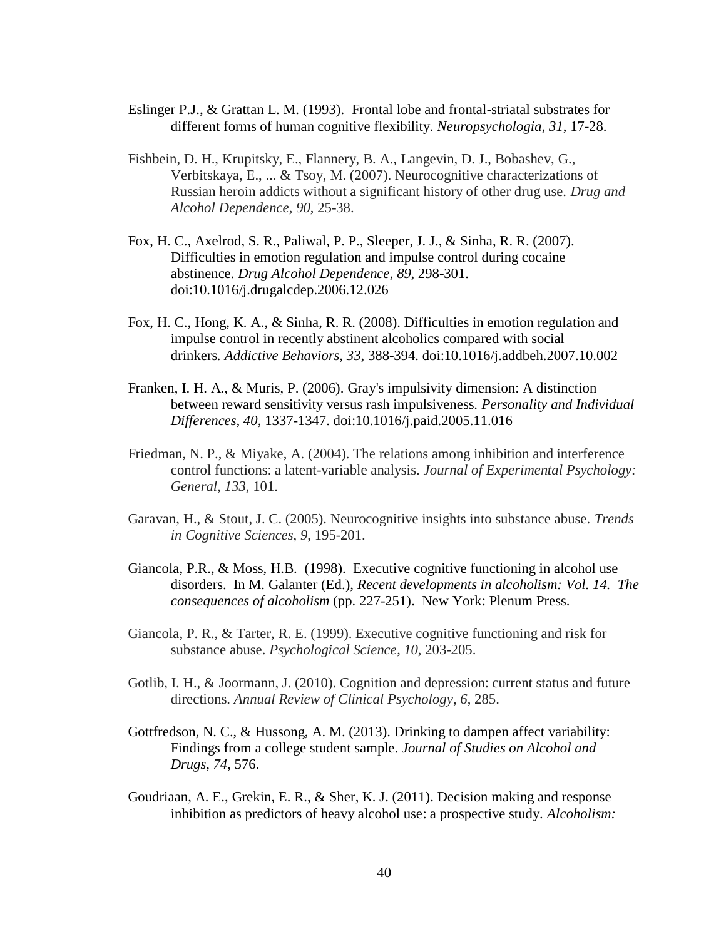- Eslinger P.J., & Grattan L. M. (1993). Frontal lobe and frontal-striatal substrates for different forms of human cognitive flexibility. *Neuropsychologia*, *31*, 17-28.
- Fishbein, D. H., Krupitsky, E., Flannery, B. A., Langevin, D. J., Bobashev, G., Verbitskaya, E., ... & Tsoy, M. (2007). Neurocognitive characterizations of Russian heroin addicts without a significant history of other drug use. *Drug and Alcohol Dependence*, *90*, 25-38.
- Fox, H. C., Axelrod, S. R., Paliwal, P. P., Sleeper, J. J., & Sinha, R. R. (2007). Difficulties in emotion regulation and impulse control during cocaine abstinence. *Drug Alcohol Dependence, 89*, 298-301. doi:10.1016/j.drugalcdep.2006.12.026
- Fox, H. C., Hong, K. A., & Sinha, R. R. (2008). Difficulties in emotion regulation and impulse control in recently abstinent alcoholics compared with social drinkers*. Addictive Behaviors, 33*, 388-394. doi:10.1016/j.addbeh.2007.10.002
- Franken, I. H. A., & Muris, P. (2006). Gray's impulsivity dimension: A distinction between reward sensitivity versus rash impulsiveness. *Personality and Individual Differences, 40*, 1337-1347. doi:10.1016/j.paid.2005.11.016
- Friedman, N. P., & Miyake, A. (2004). The relations among inhibition and interference control functions: a latent-variable analysis. *Journal of Experimental Psychology: General*, *133*, 101.
- Garavan, H., & Stout, J. C. (2005). Neurocognitive insights into substance abuse. *Trends in Cognitive Sciences*, *9*, 195-201.
- Giancola, P.R., & Moss, H.B. (1998). Executive cognitive functioning in alcohol use disorders. In M. Galanter (Ed.), *Recent developments in alcoholism: Vol. 14. The consequences of alcoholism* (pp. 227-251). New York: Plenum Press.
- Giancola, P. R., & Tarter, R. E. (1999). Executive cognitive functioning and risk for substance abuse. *Psychological Science*, *10*, 203-205.
- Gotlib, I. H., & Joormann, J. (2010). Cognition and depression: current status and future directions. *Annual Review of Clinical Psychology*, *6*, 285.
- Gottfredson, N. C., & Hussong, A. M. (2013). Drinking to dampen affect variability: Findings from a college student sample. *Journal of Studies on Alcohol and Drugs*, *74*, 576.
- Goudriaan, A. E., Grekin, E. R., & Sher, K. J. (2011). Decision making and response inhibition as predictors of heavy alcohol use: a prospective study. *Alcoholism:*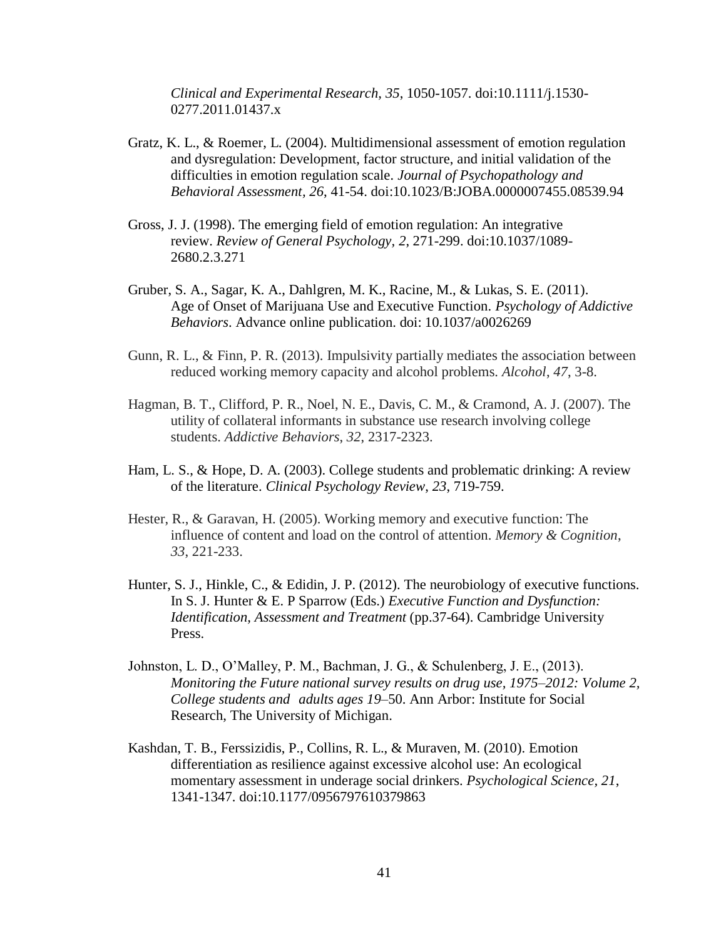*Clinical and Experimental Research, 35*, 1050-1057. doi:10.1111/j.1530- 0277.2011.01437.x

- Gratz, K. L., & Roemer, L. (2004). Multidimensional assessment of emotion regulation and dysregulation: Development, factor structure, and initial validation of the difficulties in emotion regulation scale*. Journal of Psychopathology and Behavioral Assessment, 26*, 41-54. doi:10.1023/B:JOBA.0000007455.08539.94
- Gross, J. J. (1998). The emerging field of emotion regulation: An integrative review. *Review of General Psychology, 2*, 271-299. doi:10.1037/1089- 2680.2.3.271
- Gruber, S. A., Sagar, K. A., Dahlgren, M. K., Racine, M., & Lukas, S. E. (2011). Age of Onset of Marijuana Use and Executive Function. *Psychology of Addictive Behaviors*. Advance online publication. doi: 10.1037/a0026269
- Gunn, R. L., & Finn, P. R. (2013). Impulsivity partially mediates the association between reduced working memory capacity and alcohol problems. *Alcohol*, *47*, 3-8.
- Hagman, B. T., Clifford, P. R., Noel, N. E., Davis, C. M., & Cramond, A. J. (2007). The utility of collateral informants in substance use research involving college students. *Addictive Behaviors*, *32*, 2317-2323.
- Ham, L. S., & Hope, D. A. (2003). College students and problematic drinking: A review of the literature. *Clinical Psychology Review*, *23*, 719-759.
- Hester, R., & Garavan, H. (2005). Working memory and executive function: The influence of content and load on the control of attention. *Memory & Cognition*, *33*, 221-233.
- Hunter, S. J., Hinkle, C., & Edidin, J. P. (2012). The neurobiology of executive functions. In S. J. Hunter & E. P Sparrow (Eds.) *Executive Function and Dysfunction: Identification, Assessment and Treatment* (pp.37-64). Cambridge University Press.
- Johnston, L. D., O'Malley, P. M., Bachman, J. G., & Schulenberg, J. E., (2013). *Monitoring the Future national survey results on drug use, 1975*–*2012: Volume 2, College students and adults ages 19*–50. Ann Arbor: Institute for Social Research, The University of Michigan.
- Kashdan, T. B., Ferssizidis, P., Collins, R. L., & Muraven, M. (2010). Emotion differentiation as resilience against excessive alcohol use: An ecological momentary assessment in underage social drinkers. *Psychological Science, 21*, 1341-1347. doi:10.1177/0956797610379863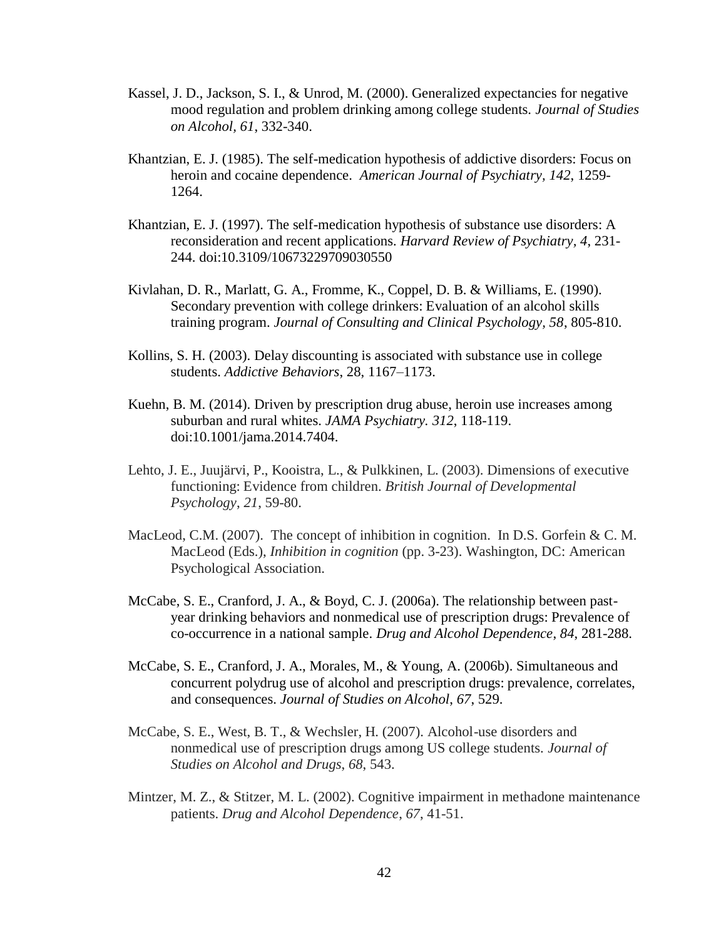- Kassel, J. D., Jackson, S. I., & Unrod, M. (2000). Generalized expectancies for negative mood regulation and problem drinking among college students. *Journal of Studies on Alcohol, 61*, 332-340.
- Khantzian, E. J. (1985). The self-medication hypothesis of addictive disorders: Focus on heroin and cocaine dependence. *American Journal of Psychiatry, 142*, 1259- 1264.
- Khantzian, E. J. (1997). The self-medication hypothesis of substance use disorders: A reconsideration and recent applications*. Harvard Review of Psychiatry, 4*, 231- 244. doi:10.3109/10673229709030550
- Kivlahan, D. R., Marlatt, G. A., Fromme, K., Coppel, D. B. & Williams, E. (1990). Secondary prevention with college drinkers: Evaluation of an alcohol skills training program. *Journal of Consulting and Clinical Psychology, 58*, 805-810.
- Kollins, S. H. (2003). Delay discounting is associated with substance use in college students. *Addictive Behaviors*, 28, 1167–1173.
- Kuehn, B. M. (2014). Driven by prescription drug abuse, heroin use increases among suburban and rural whites. *JAMA Psychiatry. 312*, 118-119. doi:10.1001/jama.2014.7404.
- Lehto, J. E., Juujärvi, P., Kooistra, L., & Pulkkinen, L. (2003). Dimensions of executive functioning: Evidence from children. *British Journal of Developmental Psychology*, *21*, 59-80.
- MacLeod, C.M. (2007). The concept of inhibition in cognition. In D.S. Gorfein & C. M. MacLeod (Eds.), *Inhibition in cognition* (pp. 3-23). Washington, DC: American Psychological Association.
- McCabe, S. E., Cranford, J. A., & Boyd, C. J. (2006a). The relationship between pastyear drinking behaviors and nonmedical use of prescription drugs: Prevalence of co-occurrence in a national sample. *Drug and Alcohol Dependence*, *84*, 281-288.
- McCabe, S. E., Cranford, J. A., Morales, M., & Young, A. (2006b). Simultaneous and concurrent polydrug use of alcohol and prescription drugs: prevalence, correlates, and consequences. *Journal of Studies on Alcohol*, *67*, 529.
- McCabe, S. E., West, B. T., & Wechsler, H. (2007). Alcohol-use disorders and nonmedical use of prescription drugs among US college students. *Journal of Studies on Alcohol and Drugs*, *68*, 543.
- Mintzer, M. Z., & Stitzer, M. L. (2002). Cognitive impairment in methadone maintenance patients. *Drug and Alcohol Dependence*, *67*, 41-51.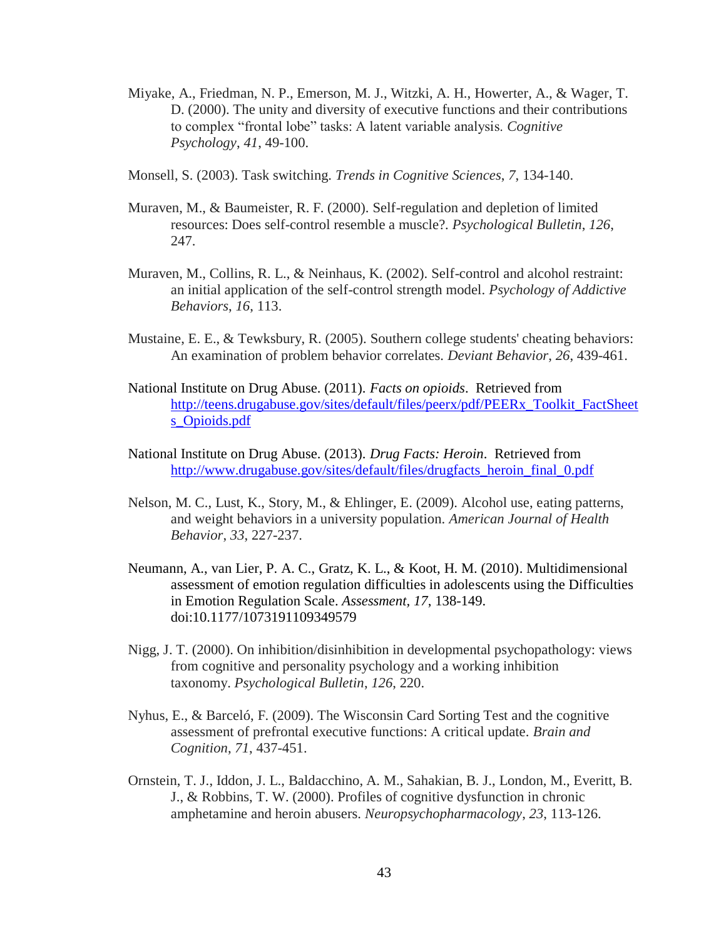- Miyake, A., Friedman, N. P., Emerson, M. J., Witzki, A. H., Howerter, A., & Wager, T. D. (2000). The unity and diversity of executive functions and their contributions to complex "frontal lobe" tasks: A latent variable analysis. *Cognitive Psychology*, *41*, 49-100.
- Monsell, S. (2003). Task switching. *Trends in Cognitive Sciences*, *7*, 134-140.
- Muraven, M., & Baumeister, R. F. (2000). Self-regulation and depletion of limited resources: Does self-control resemble a muscle?. *Psychological Bulletin*, *126*, 247.
- Muraven, M., Collins, R. L., & Neinhaus, K. (2002). Self-control and alcohol restraint: an initial application of the self-control strength model. *Psychology of Addictive Behaviors*, *16*, 113.
- Mustaine, E. E., & Tewksbury, R. (2005). Southern college students' cheating behaviors: An examination of problem behavior correlates. *Deviant Behavior*, *26*, 439-461.
- National Institute on Drug Abuse. (2011). *Facts on opioids*. Retrieved from [http://teens.drugabuse.gov/sites/default/files/peerx/pdf/PEERx\\_Toolkit\\_FactSheet](http://teens.drugabuse.gov/sites/default/files/peerx/pdf/PEERx_Toolkit_FactSheets_Opioids.pdf) [s\\_Opioids.pdf](http://teens.drugabuse.gov/sites/default/files/peerx/pdf/PEERx_Toolkit_FactSheets_Opioids.pdf)
- National Institute on Drug Abuse. (2013). *Drug Facts: Heroin*. Retrieved from [http://www.drugabuse.gov/sites/default/files/drugfacts\\_heroin\\_final\\_0.pdf](http://www.drugabuse.gov/sites/default/files/drugfacts_heroin_final_0.pdf)
- Nelson, M. C., Lust, K., Story, M., & Ehlinger, E. (2009). Alcohol use, eating patterns, and weight behaviors in a university population. *American Journal of Health Behavior*, *33*, 227-237.
- Neumann, A., van Lier, P. A. C., Gratz, K. L., & Koot, H. M. (2010). Multidimensional assessment of emotion regulation difficulties in adolescents using the Difficulties in Emotion Regulation Scale. *Assessment, 17*, 138-149. doi:10.1177/1073191109349579
- Nigg, J. T. (2000). On inhibition/disinhibition in developmental psychopathology: views from cognitive and personality psychology and a working inhibition taxonomy. *Psychological Bulletin*, *126*, 220.
- Nyhus, E., & Barceló, F. (2009). The Wisconsin Card Sorting Test and the cognitive assessment of prefrontal executive functions: A critical update. *Brain and Cognition*, *71*, 437-451.
- Ornstein, T. J., Iddon, J. L., Baldacchino, A. M., Sahakian, B. J., London, M., Everitt, B. J., & Robbins, T. W. (2000). Profiles of cognitive dysfunction in chronic amphetamine and heroin abusers. *Neuropsychopharmacology*, *23*, 113-126.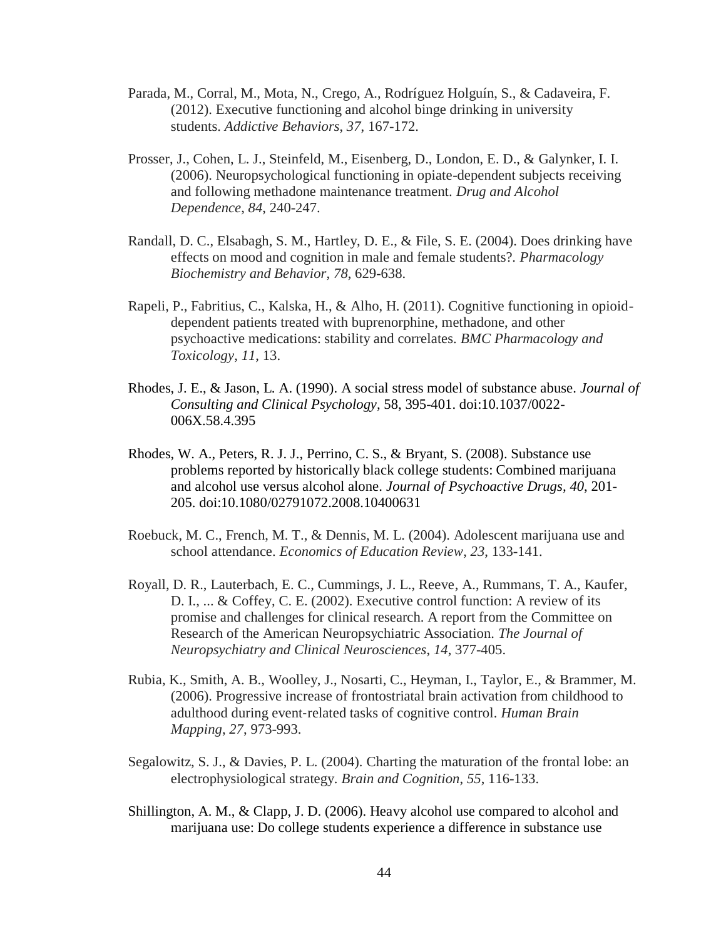- Parada, M., Corral, M., Mota, N., Crego, A., Rodríguez Holguín, S., & Cadaveira, F. (2012). Executive functioning and alcohol binge drinking in university students. *Addictive Behaviors*, *37*, 167-172.
- Prosser, J., Cohen, L. J., Steinfeld, M., Eisenberg, D., London, E. D., & Galynker, I. I. (2006). Neuropsychological functioning in opiate-dependent subjects receiving and following methadone maintenance treatment. *Drug and Alcohol Dependence*, *84*, 240-247.
- Randall, D. C., Elsabagh, S. M., Hartley, D. E., & File, S. E. (2004). Does drinking have effects on mood and cognition in male and female students?. *Pharmacology Biochemistry and Behavior*, *78*, 629-638.
- Rapeli, P., Fabritius, C., Kalska, H., & Alho, H. (2011). Cognitive functioning in opioiddependent patients treated with buprenorphine, methadone, and other psychoactive medications: stability and correlates. *BMC Pharmacology and Toxicology*, *11*, 13.
- Rhodes, J. E., & Jason, L. A. (1990). A social stress model of substance abuse. *Journal of Consulting and Clinical Psychology,* 58, 395-401. doi:10.1037/0022- 006X.58.4.395
- Rhodes, W. A., Peters, R. J. J., Perrino, C. S., & Bryant, S. (2008). Substance use problems reported by historically black college students: Combined marijuana and alcohol use versus alcohol alone. *Journal of Psychoactive Drugs, 40*, 201- 205. doi:10.1080/02791072.2008.10400631
- Roebuck, M. C., French, M. T., & Dennis, M. L. (2004). Adolescent marijuana use and school attendance. *Economics of Education Review*, *23*, 133-141.
- Royall, D. R., Lauterbach, E. C., Cummings, J. L., Reeve, A., Rummans, T. A., Kaufer, D. I., ... & Coffey, C. E. (2002). Executive control function: A review of its promise and challenges for clinical research. A report from the Committee on Research of the American Neuropsychiatric Association. *The Journal of Neuropsychiatry and Clinical Neurosciences*, *14*, 377-405.
- Rubia, K., Smith, A. B., Woolley, J., Nosarti, C., Heyman, I., Taylor, E., & Brammer, M. (2006). Progressive increase of frontostriatal brain activation from childhood to adulthood during event‐related tasks of cognitive control. *Human Brain Mapping*, *27*, 973-993.
- Segalowitz, S. J., & Davies, P. L. (2004). Charting the maturation of the frontal lobe: an electrophysiological strategy. *Brain and Cognition*, *55*, 116-133.
- Shillington, A. M., & Clapp, J. D. (2006). Heavy alcohol use compared to alcohol and marijuana use: Do college students experience a difference in substance use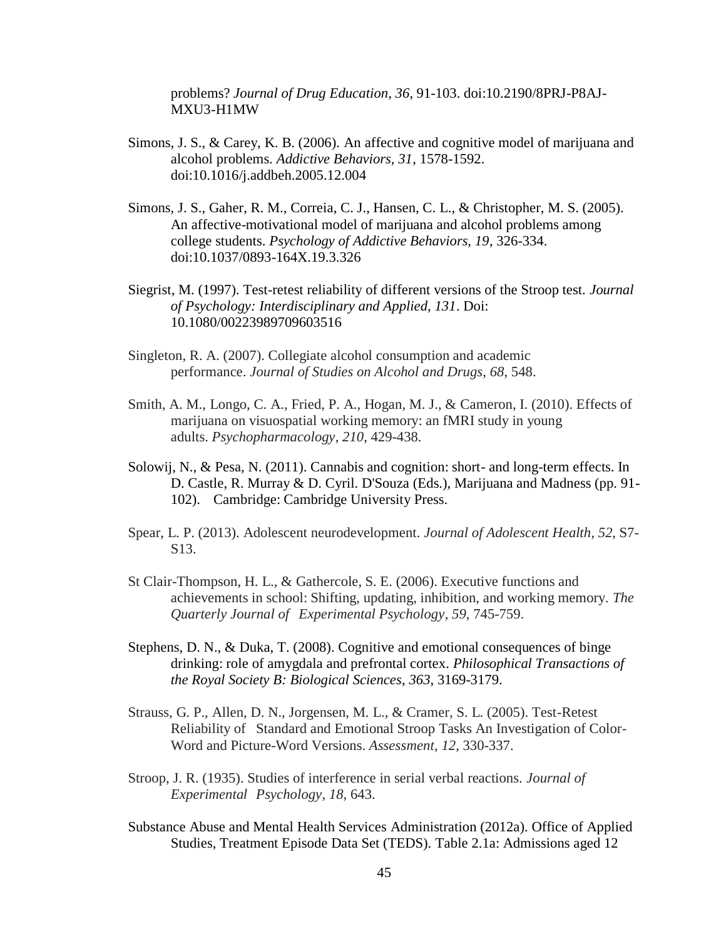problems? *Journal of Drug Education, 36*, 91-103. doi:10.2190/8PRJ-P8AJ-MXU3-H1MW

- Simons, J. S., & Carey, K. B. (2006). An affective and cognitive model of marijuana and alcohol problems. *Addictive Behaviors, 31*, 1578-1592. doi:10.1016/j.addbeh.2005.12.004
- Simons, J. S., Gaher, R. M., Correia, C. J., Hansen, C. L., & Christopher, M. S. (2005). An affective-motivational model of marijuana and alcohol problems among college students. *Psychology of Addictive Behaviors, 19*, 326-334. doi:10.1037/0893-164X.19.3.326
- Siegrist, M. (1997). Test-retest reliability of different versions of the Stroop test. *Journal of Psychology: Interdisciplinary and Applied, 131*. Doi: 10.1080/00223989709603516
- Singleton, R. A. (2007). Collegiate alcohol consumption and academic performance. *Journal of Studies on Alcohol and Drugs*, *68*, 548.
- Smith, A. M., Longo, C. A., Fried, P. A., Hogan, M. J., & Cameron, I. (2010). Effects of marijuana on visuospatial working memory: an fMRI study in young adults. *Psychopharmacology*, *210*, 429-438.
- Solowij, N., & Pesa, N. (2011). Cannabis and cognition: short- and long-term effects. In D. Castle, R. Murray & D. Cyril. D'Souza (Eds.), Marijuana and Madness (pp. 91- 102). Cambridge: Cambridge University Press.
- Spear, L. P. (2013). Adolescent neurodevelopment. *Journal of Adolescent Health*, *52*, S7- S13.
- St Clair-Thompson, H. L., & Gathercole, S. E. (2006). Executive functions and achievements in school: Shifting, updating, inhibition, and working memory. *The Quarterly Journal of Experimental Psychology*, *59*, 745-759.
- Stephens, D. N., & Duka, T. (2008). Cognitive and emotional consequences of binge drinking: role of amygdala and prefrontal cortex. *Philosophical Transactions of the Royal Society B: Biological Sciences*, *363*, 3169-3179.
- Strauss, G. P., Allen, D. N., Jorgensen, M. L., & Cramer, S. L. (2005). Test-Retest Reliability of Standard and Emotional Stroop Tasks An Investigation of Color-Word and Picture-Word Versions. *Assessment*, *12*, 330-337.
- Stroop, J. R. (1935). Studies of interference in serial verbal reactions. *Journal of Experimental Psychology*, *18*, 643.
- Substance Abuse and Mental Health Services Administration (2012a). Office of Applied Studies, Treatment Episode Data Set (TEDS). Table 2.1a: Admissions aged 12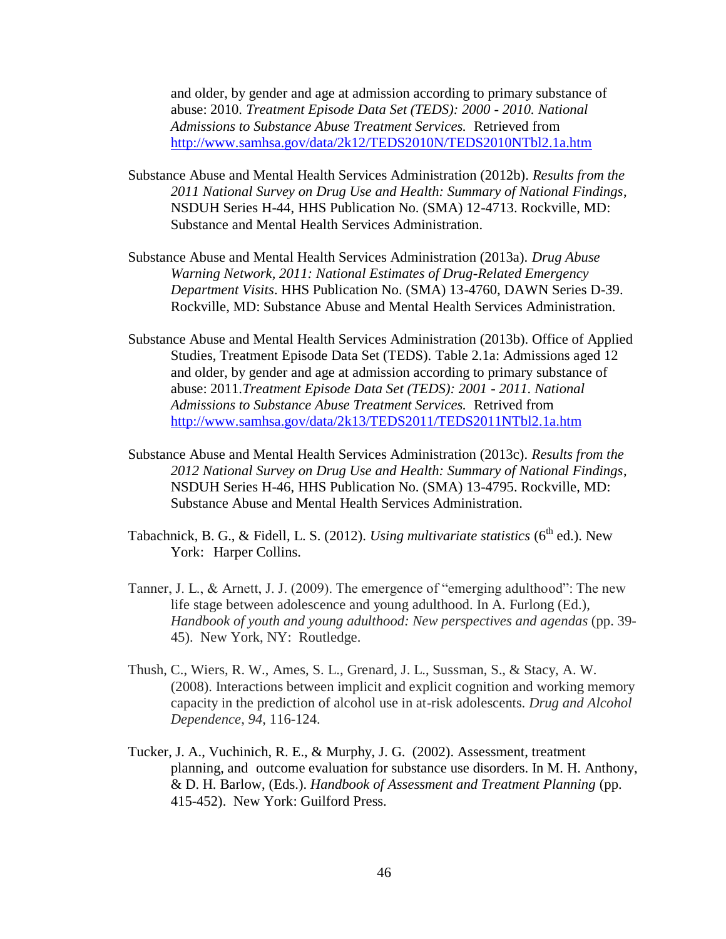and older, by gender and age at admission according to primary substance of abuse: 2010. *Treatment Episode Data Set (TEDS): 2000 - 2010. National Admissions to Substance Abuse Treatment Services.* Retrieved from <http://www.samhsa.gov/data/2k12/TEDS2010N/TEDS2010NTbl2.1a.htm>

- Substance Abuse and Mental Health Services Administration (2012b). *Results from the 2011 National Survey on Drug Use and Health: Summary of National Findings*, NSDUH Series H-44, HHS Publication No. (SMA) 12-4713. Rockville, MD: Substance and Mental Health Services Administration.
- Substance Abuse and Mental Health Services Administration (2013a). *Drug Abuse Warning Network, 2011: National Estimates of Drug-Related Emergency Department Visits*. HHS Publication No. (SMA) 13-4760, DAWN Series D-39. Rockville, MD: Substance Abuse and Mental Health Services Administration.
- Substance Abuse and Mental Health Services Administration (2013b). Office of Applied Studies, Treatment Episode Data Set (TEDS). Table 2.1a: Admissions aged 12 and older, by gender and age at admission according to primary substance of abuse: 2011.*Treatment Episode Data Set (TEDS): 2001 - 2011. National Admissions to Substance Abuse Treatment Services.* Retrived from <http://www.samhsa.gov/data/2k13/TEDS2011/TEDS2011NTbl2.1a.htm>
- Substance Abuse and Mental Health Services Administration (2013c). *Results from the 2012 National Survey on Drug Use and Health: Summary of National Findings*, NSDUH Series H-46, HHS Publication No. (SMA) 13-4795. Rockville, MD: Substance Abuse and Mental Health Services Administration.
- Tabachnick, B. G., & Fidell, L. S. (2012). *Using multivariate statistics* (6<sup>th</sup> ed.). New York: Harper Collins.
- Tanner, J. L., & Arnett, J. J. (2009). The emergence of "emerging adulthood": The new life stage between adolescence and young adulthood. In A. Furlong (Ed.), *Handbook of youth and young adulthood: New perspectives and agendas* (pp. 39- 45). New York, NY: Routledge.
- Thush, C., Wiers, R. W., Ames, S. L., Grenard, J. L., Sussman, S., & Stacy, A. W. (2008). Interactions between implicit and explicit cognition and working memory capacity in the prediction of alcohol use in at-risk adolescents. *Drug and Alcohol Dependence*, *94*, 116-124.
- Tucker, J. A., Vuchinich, R. E., & Murphy, J. G. (2002). Assessment, treatment planning, and outcome evaluation for substance use disorders. In M. H. Anthony, & D. H. Barlow, (Eds.). *Handbook of Assessment and Treatment Planning* (pp. 415-452). New York: Guilford Press.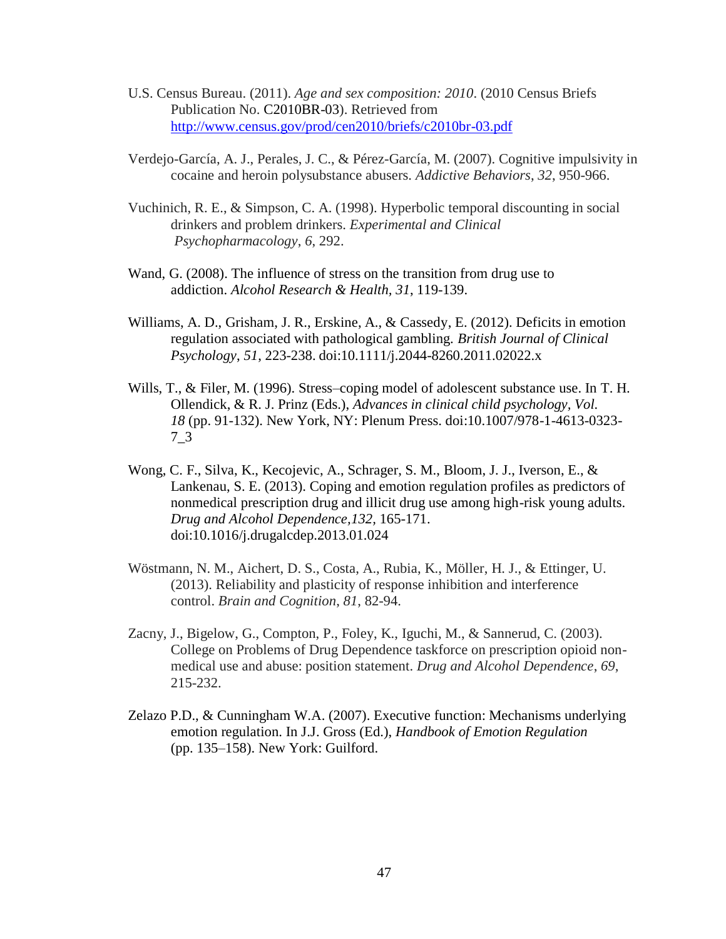- U.S. Census Bureau. (2011). *Age and sex composition: 2010*. (2010 Census Briefs Publication No. C2010BR-03). Retrieved from <http://www.census.gov/prod/cen2010/briefs/c2010br-03.pdf>
- Verdejo-García, A. J., Perales, J. C., & Pérez-García, M. (2007). Cognitive impulsivity in cocaine and heroin polysubstance abusers. *Addictive Behaviors*, *32*, 950-966.
- Vuchinich, R. E., & Simpson, C. A. (1998). Hyperbolic temporal discounting in social drinkers and problem drinkers. *Experimental and Clinical Psychopharmacology*, *6*, 292.
- Wand, G. (2008). The influence of stress on the transition from drug use to addiction. *Alcohol Research & Health, 31*, 119-139.
- Williams, A. D., Grisham, J. R., Erskine, A., & Cassedy, E. (2012). Deficits in emotion regulation associated with pathological gambling. *British Journal of Clinical Psychology*, *51*, 223-238. doi:10.1111/j.2044-8260.2011.02022.x
- Wills, T., & Filer, M. (1996). Stress–coping model of adolescent substance use. In T. H. Ollendick, & R. J. Prinz (Eds.), *Advances in clinical child psychology, Vol. 18* (pp. 91-132). New York, NY: Plenum Press. doi:10.1007/978-1-4613-0323- 7\_3
- Wong, C. F., Silva, K., Kecojevic, A., Schrager, S. M., Bloom, J. J., Iverson, E., & Lankenau, S. E. (2013). Coping and emotion regulation profiles as predictors of nonmedical prescription drug and illicit drug use among high-risk young adults. *Drug and Alcohol Dependence,132,* 165-171. doi:10.1016/j.drugalcdep.2013.01.024
- Wöstmann, N. M., Aichert, D. S., Costa, A., Rubia, K., Möller, H. J., & Ettinger, U. (2013). Reliability and plasticity of response inhibition and interference control. *Brain and Cognition*, *81*, 82-94.
- Zacny, J., Bigelow, G., Compton, P., Foley, K., Iguchi, M., & Sannerud, C. (2003). College on Problems of Drug Dependence taskforce on prescription opioid nonmedical use and abuse: position statement. *Drug and Alcohol Dependence*, *69*, 215-232.
- Zelazo P.D., & Cunningham W.A. (2007). Executive function: Mechanisms underlying emotion regulation. In J.J. Gross (Ed.), *Handbook of Emotion Regulation* (pp. 135–158). New York: Guilford.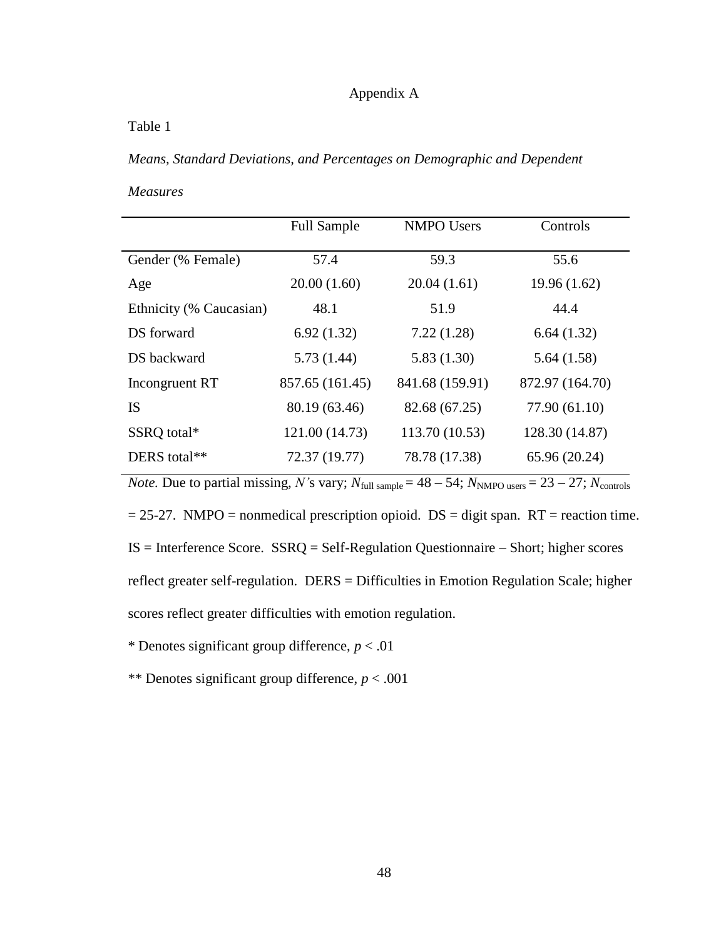# Appendix A

Table 1

*Means, Standard Deviations, and Percentages on Demographic and Dependent* 

*Measures*

|                         | <b>Full Sample</b> | <b>NMPO Users</b> | Controls        |
|-------------------------|--------------------|-------------------|-----------------|
| Gender (% Female)       | 57.4               | 59.3              | 55.6            |
| Age                     | 20.00(1.60)        | 20.04(1.61)       | 19.96(1.62)     |
| Ethnicity (% Caucasian) | 48.1               | 51.9              | 44.4            |
| DS forward              | 6.92(1.32)         | 7.22(1.28)        | 6.64(1.32)      |
| DS backward             | 5.73(1.44)         | 5.83(1.30)        | 5.64(1.58)      |
| Incongruent RT          | 857.65 (161.45)    | 841.68 (159.91)   | 872.97 (164.70) |
| <b>IS</b>               | 80.19 (63.46)      | 82.68 (67.25)     | 77.90 (61.10)   |
| SSRQ total*             | 121.00 (14.73)     | 113.70 (10.53)    | 128.30 (14.87)  |
| DERS total**            | 72.37 (19.77)      | 78.78 (17.38)     | 65.96 (20.24)   |

*Note.* Due to partial missing, *N*'s vary;  $N_{\text{full sample}} = 48 - 54$ ;  $N_{\text{NMPO users}} = 23 - 27$ ;  $N_{\text{controls}}$  $= 25-27$ . NMPO = nonmedical prescription opioid. DS = digit span. RT = reaction time. IS = Interference Score. SSRQ = Self-Regulation Questionnaire – Short; higher scores reflect greater self-regulation. DERS = Difficulties in Emotion Regulation Scale; higher scores reflect greater difficulties with emotion regulation.

\* Denotes significant group difference, *p* < .01

\*\* Denotes significant group difference, *p* < .001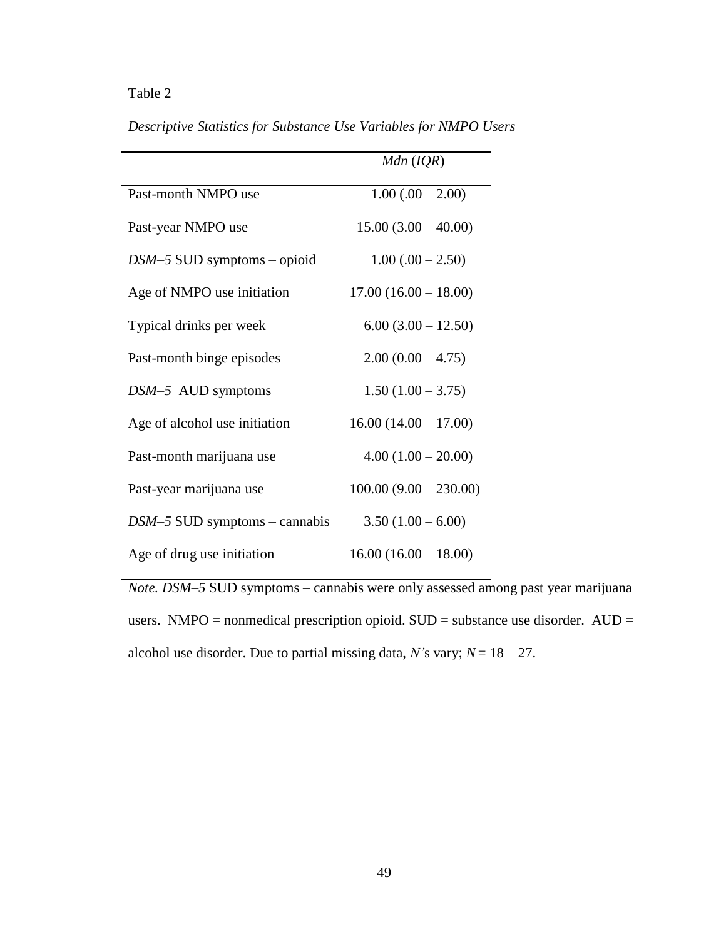# Table 2

|                                 | $Mdn$ ( $IQR$ )          |
|---------------------------------|--------------------------|
| Past-month NMPO use             | $1.00(.00 - 2.00)$       |
| Past-year NMPO use              | $15.00(3.00 - 40.00)$    |
| $DSM-5$ SUD symptoms – opioid   | $1.00(.00 - 2.50)$       |
| Age of NMPO use initiation      | $17.00(16.00 - 18.00)$   |
| Typical drinks per week         | $6.00(3.00 - 12.50)$     |
| Past-month binge episodes       | $2.00(0.00 - 4.75)$      |
| $DSM-5$ AUD symptoms            | $1.50(1.00 - 3.75)$      |
| Age of alcohol use initiation   | $16.00(14.00 - 17.00)$   |
| Past-month marijuana use        | $4.00(1.00 - 20.00)$     |
| Past-year marijuana use         | $100.00 (9.00 - 230.00)$ |
| $DSM-5$ SUD symptoms – cannabis | $3.50(1.00 - 6.00)$      |
| Age of drug use initiation      | $16.00(16.00 - 18.00)$   |

*Descriptive Statistics for Substance Use Variables for NMPO Users*

*Note. DSM–5* SUD symptoms – cannabis were only assessed among past year marijuana users. NMPO = nonmedical prescription opioid.  $SUB =$  substance use disorder.  $AUD =$ alcohol use disorder. Due to partial missing data,  $N$ 's vary;  $N = 18 - 27$ .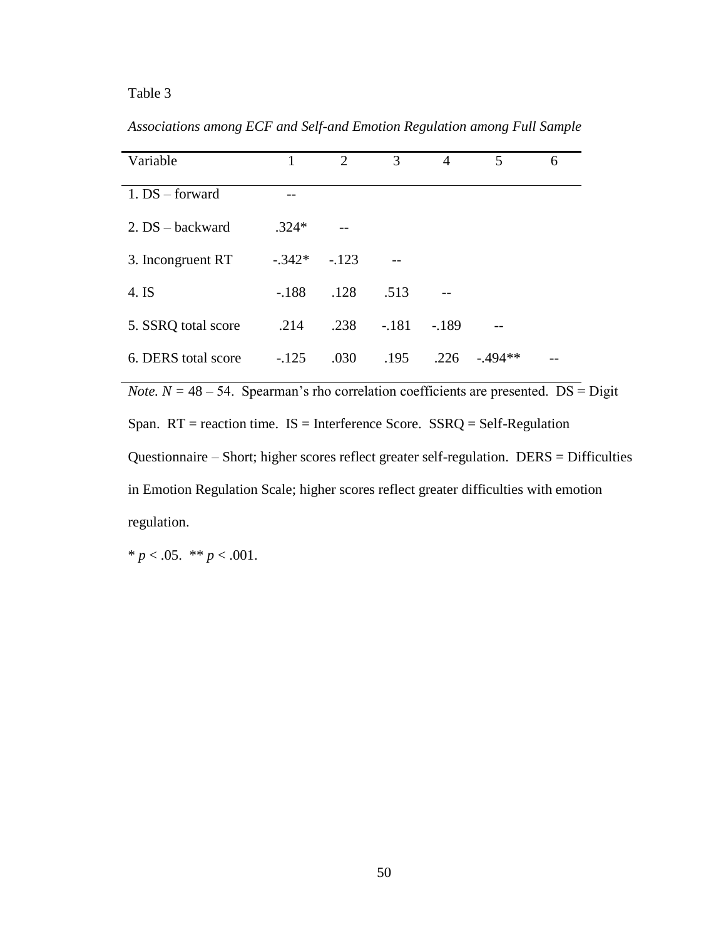# Table 3

| Variable            | 1        | 2       | 3       | 4       | 5        | 6 |
|---------------------|----------|---------|---------|---------|----------|---|
| $1. DS - forward$   |          |         |         |         |          |   |
| 2. DS – backward    | $.324*$  |         |         |         |          |   |
| 3. Incongruent RT   | $-.342*$ | $-.123$ |         |         |          |   |
| 4. IS               | $-.188$  | .128    | .513    |         |          |   |
| 5. SSRQ total score | .214     | .238    | $-.181$ | $-.189$ |          |   |
| 6. DERS total score | $-125$   | .030    | .195    | .226    | $-494**$ |   |

*Associations among ECF and Self-and Emotion Regulation among Full Sample*

*Note.*  $N = 48 - 54$ . Spearman's rho correlation coefficients are presented. DS = Digit Span.  $RT$  = reaction time. IS = Interference Score. SSRQ = Self-Regulation Questionnaire – Short; higher scores reflect greater self-regulation. DERS = Difficulties in Emotion Regulation Scale; higher scores reflect greater difficulties with emotion regulation.

\*  $p < .05.$  \*\*  $p < .001.$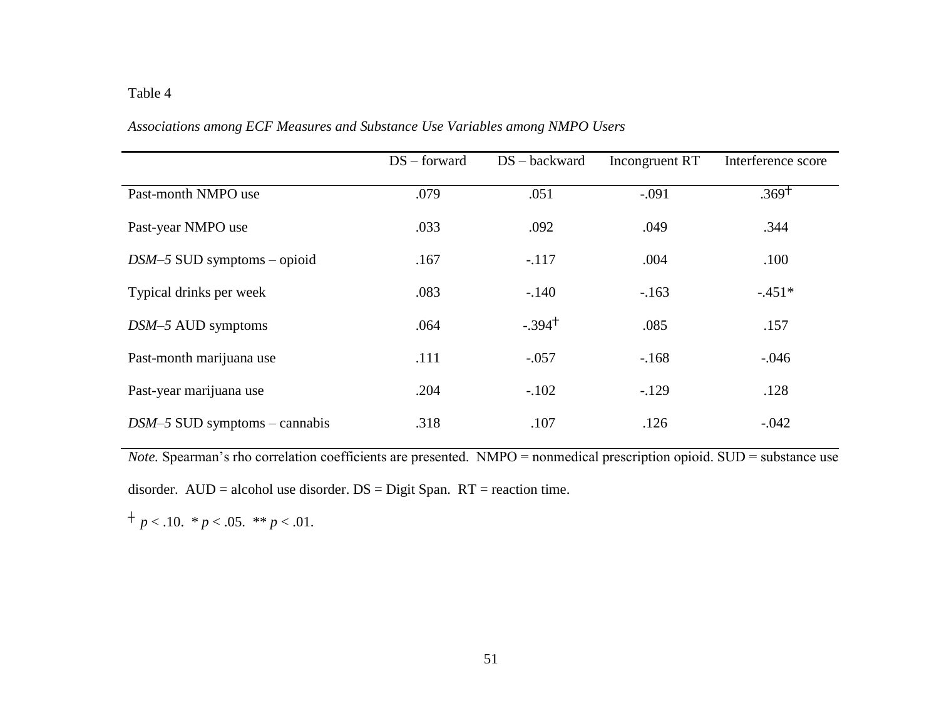# Table 4

|                                 | $DS$ – forward | $DS - backward$ | Incongruent RT | Interference score |
|---------------------------------|----------------|-----------------|----------------|--------------------|
| Past-month NMPO use             | .079           | .051            | $-.091$        | $.369+$            |
| Past-year NMPO use              | .033           | .092            | .049           | .344               |
| $DSM-5$ SUD symptoms – opioid   | .167           | $-.117$         | .004           | .100               |
| Typical drinks per week         | .083           | $-140$          | $-163$         | $-.451*$           |
| $DSM-5$ AUD symptoms            | .064           | $-.394+$        | .085           | .157               |
| Past-month marijuana use        | .111           | $-.057$         | $-168$         | $-.046$            |
| Past-year marijuana use         | .204           | $-.102$         | $-.129$        | .128               |
| $DSM-5$ SUD symptoms – cannabis | .318           | .107            | .126           | $-.042$            |

# *Associations among ECF Measures and Substance Use Variables among NMPO Users*

*Note.* Spearman's rho correlation coefficients are presented. NMPO = nonmedical prescription opioid. SUD = substance use

disorder. AUD = alcohol use disorder. DS = Digit Span. RT = reaction time.

 $\dagger p < .10.$   $\ast p < .05.$   $\ast \ast p < .01.$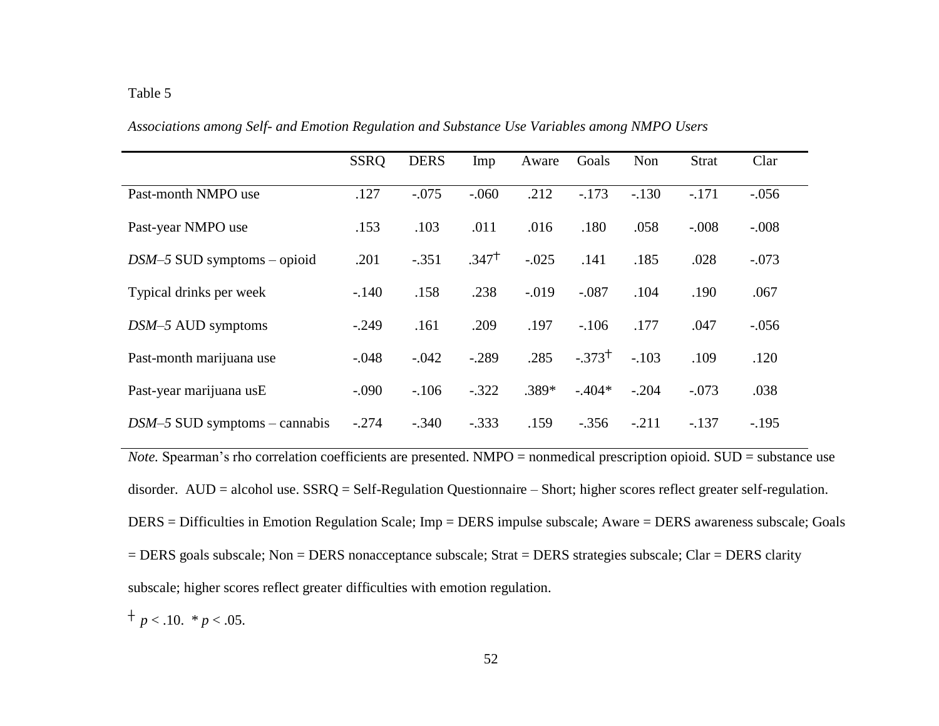|                                 | <b>SSRQ</b> | <b>DERS</b> | Imp     | Aware   | Goals    | Non     | <b>Strat</b> | Clar    |  |
|---------------------------------|-------------|-------------|---------|---------|----------|---------|--------------|---------|--|
| Past-month NMPO use             | .127        | $-.075$     | $-.060$ | .212    | $-173$   | $-.130$ | $-.171$      | $-.056$ |  |
| Past-year NMPO use              | .153        | .103        | .011    | .016    | .180     | .058    | $-.008$      | $-.008$ |  |
| $DSM-5$ SUD symptoms - opioid   | .201        | $-.351$     | $.347+$ | $-.025$ | .141     | .185    | .028         | $-.073$ |  |
| Typical drinks per week         | $-.140$     | .158        | .238    | $-.019$ | $-.087$  | .104    | .190         | .067    |  |
| $DSM-5$ AUD symptoms            | $-.249$     | .161        | .209    | .197    | $-.106$  | .177    | .047         | $-.056$ |  |
| Past-month marijuana use        | $-.048$     | $-.042$     | $-.289$ | .285    | $-373^+$ | $-.103$ | .109         | .120    |  |
| Past-year marijuana usE         | $-.090$     | $-106$      | $-.322$ | $.389*$ | $-.404*$ | $-.204$ | $-.073$      | .038    |  |
| $DSM-5$ SUD symptoms – cannabis | $-.274$     | $-.340$     | $-.333$ | .159    | $-.356$  | $-.211$ | $-.137$      | $-.195$ |  |

*Associations among Self- and Emotion Regulation and Substance Use Variables among NMPO Users*

*Note.* Spearman's rho correlation coefficients are presented. NMPO = nonmedical prescription opioid. SUD = substance use disorder. AUD = alcohol use. SSRQ = Self-Regulation Questionnaire – Short; higher scores reflect greater self-regulation. DERS = Difficulties in Emotion Regulation Scale; Imp = DERS impulse subscale; Aware = DERS awareness subscale; Goals = DERS goals subscale; Non = DERS nonacceptance subscale; Strat = DERS strategies subscale; Clar = DERS clarity subscale; higher scores reflect greater difficulties with emotion regulation.

 $+ p < .10.$  \*  $p < .05$ .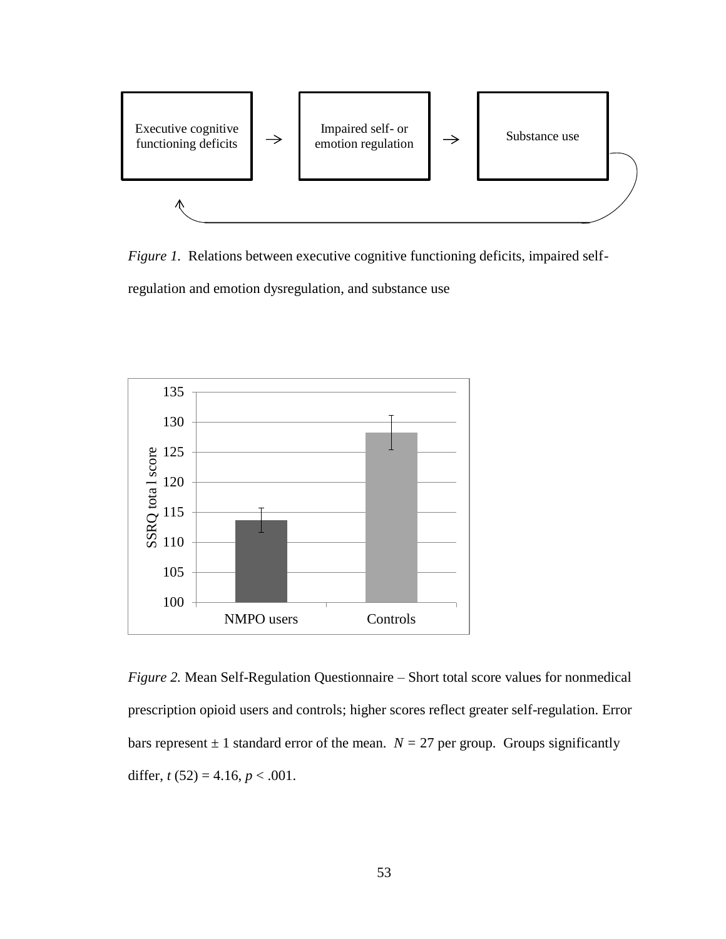

*Figure 1.* Relations between executive cognitive functioning deficits, impaired selfregulation and emotion dysregulation, and substance use



*Figure 2.* Mean Self-Regulation Questionnaire – Short total score values for nonmedical prescription opioid users and controls; higher scores reflect greater self-regulation. Error bars represent  $\pm 1$  standard error of the mean.  $N = 27$  per group. Groups significantly differ,  $t(52) = 4.16$ ,  $p < .001$ .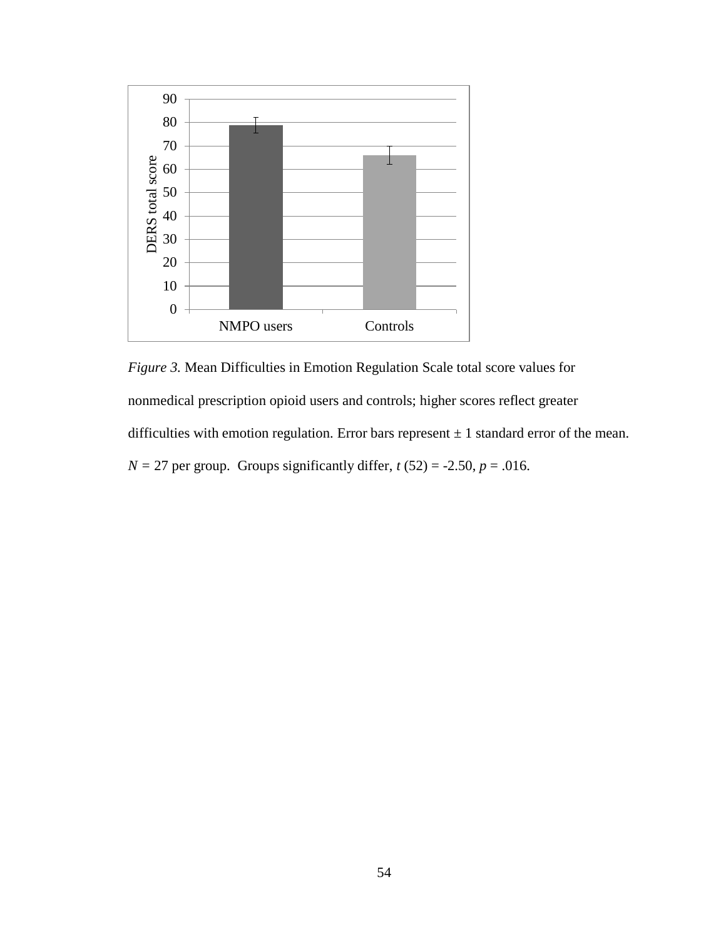

*Figure 3.* Mean Difficulties in Emotion Regulation Scale total score values for nonmedical prescription opioid users and controls; higher scores reflect greater difficulties with emotion regulation. Error bars represent  $\pm 1$  standard error of the mean.  $N = 27$  per group. Groups significantly differ,  $t(52) = -2.50$ ,  $p = .016$ .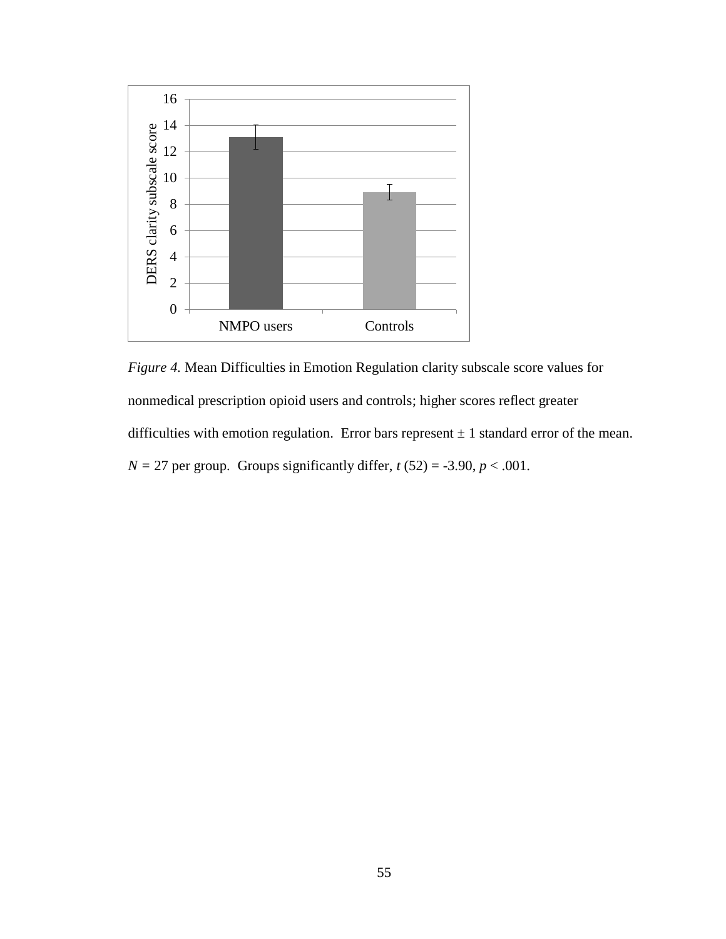

*Figure 4.* Mean Difficulties in Emotion Regulation clarity subscale score values for nonmedical prescription opioid users and controls; higher scores reflect greater difficulties with emotion regulation. Error bars represent  $\pm 1$  standard error of the mean.  $N = 27$  per group. Groups significantly differ,  $t(52) = -3.90$ ,  $p < .001$ .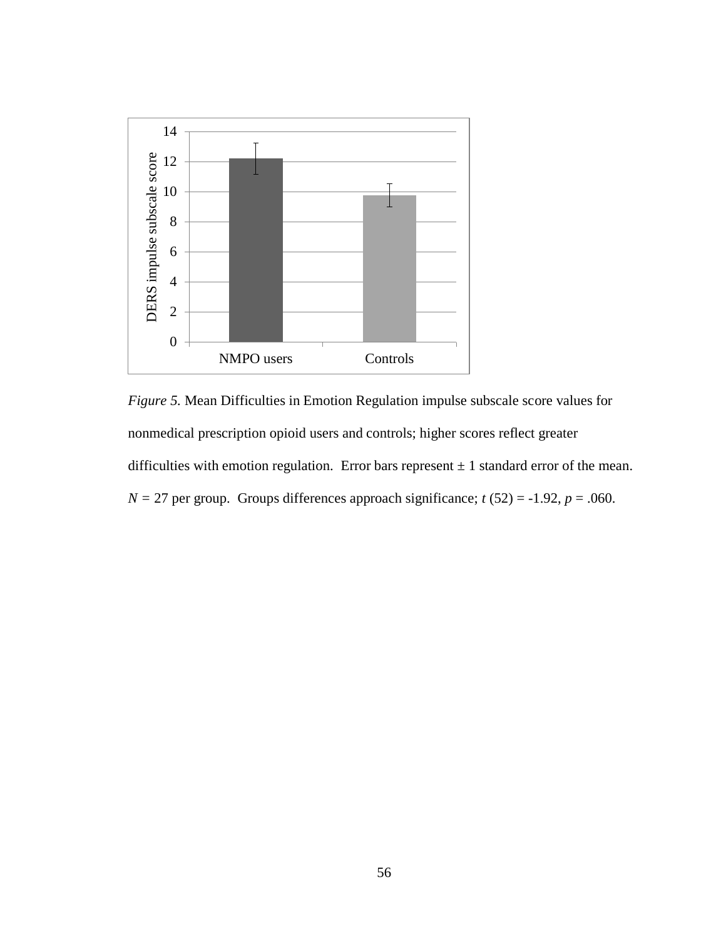

*Figure 5.* Mean Difficulties in Emotion Regulation impulse subscale score values for nonmedical prescription opioid users and controls; higher scores reflect greater difficulties with emotion regulation. Error bars represent  $\pm 1$  standard error of the mean.  $N = 27$  per group. Groups differences approach significance;  $t(52) = -1.92$ ,  $p = .060$ .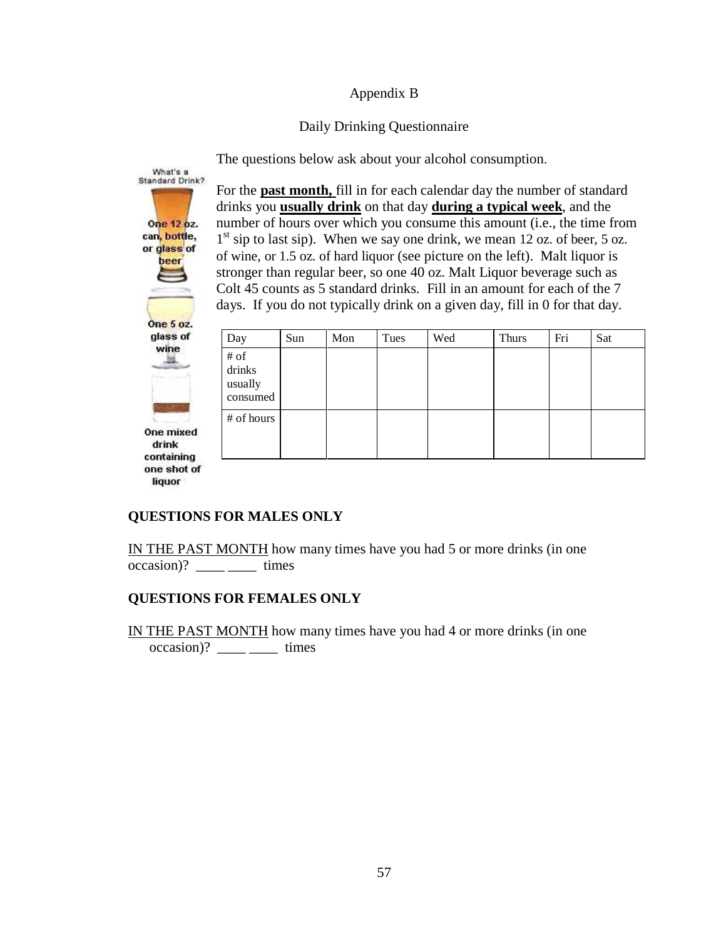# Appendix B

# Daily Drinking Questionnaire

The questions below ask about your alcohol consumption.



For the **past month,** fill in for each calendar day the number of standard drinks you **usually drink** on that day **during a typical week**, and the number of hours over which you consume this amount (i.e., the time from 1<sup>st</sup> sip to last sip). When we say one drink, we mean 12 oz. of beer, 5 oz. of wine, or 1.5 oz. of hard liquor (see picture on the left). Malt liquor is stronger than regular beer, so one 40 oz. Malt Liquor beverage such as Colt 45 counts as 5 standard drinks. Fill in an amount for each of the 7 days. If you do not typically drink on a given day, fill in 0 for that day.

| Day                                      | Sun | Mon | Tues | Wed | <b>Thurs</b> | Fri | Sat |
|------------------------------------------|-----|-----|------|-----|--------------|-----|-----|
| $\#$ of<br>drinks<br>usually<br>consumed |     |     |      |     |              |     |     |
| # of hours                               |     |     |      |     |              |     |     |

# **QUESTIONS FOR MALES ONLY**

IN THE PAST MONTH how many times have you had 5 or more drinks (in one occasion)?  $times$  times

# **QUESTIONS FOR FEMALES ONLY**

IN THE PAST MONTH how many times have you had 4 or more drinks (in one  $\text{occasion}$ ? \_\_\_\_\_ \_\_\_\_\_\_\_ times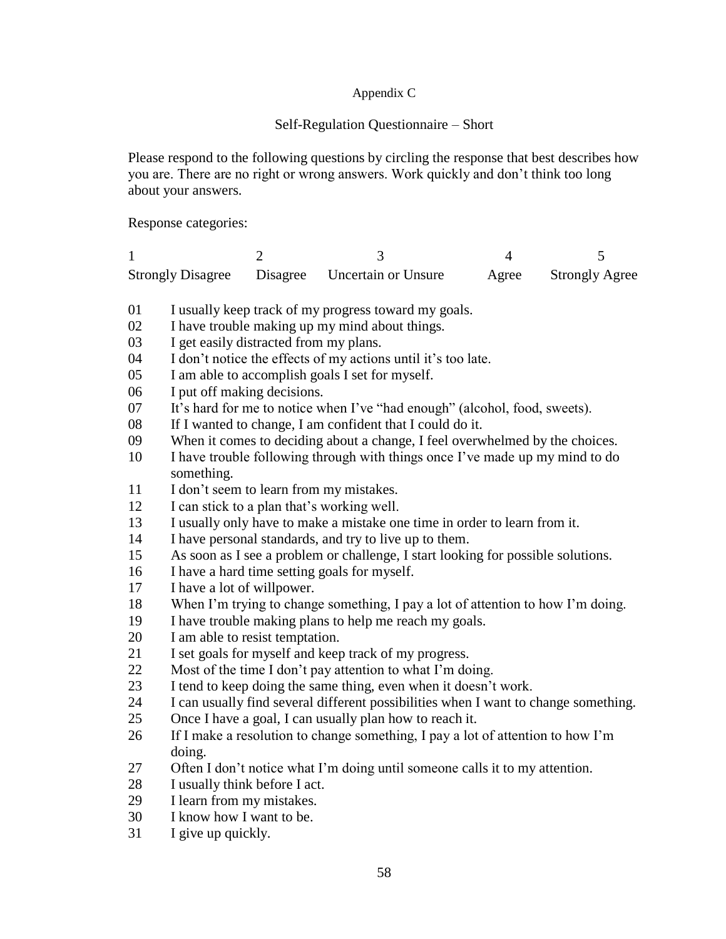# Appendix C

# Self-Regulation Questionnaire – Short

Please respond to the following questions by circling the response that best describes how you are. There are no right or wrong answers. Work quickly and don't think too long about your answers.

Response categories:

|  | Strongly Disagree Disagree Uncertain or Unsure | Agree | <b>Strongly Agree</b> |  |
|--|------------------------------------------------|-------|-----------------------|--|

- I usually keep track of my progress toward my goals.
- I have trouble making up my mind about things.
- I get easily distracted from my plans.
- I don't notice the effects of my actions until it's too late.
- I am able to accomplish goals I set for myself.
- I put off making decisions.
- It's hard for me to notice when I've "had enough" (alcohol, food, sweets).
- If I wanted to change, I am confident that I could do it.
- When it comes to deciding about a change, I feel overwhelmed by the choices.
- I have trouble following through with things once I've made up my mind to do something.
- 11 I don't seem to learn from my mistakes.
- I can stick to a plan that's working well.
- I usually only have to make a mistake one time in order to learn from it.
- I have personal standards, and try to live up to them.
- As soon as I see a problem or challenge, I start looking for possible solutions.
- I have a hard time setting goals for myself.
- I have a lot of willpower.
- When I'm trying to change something, I pay a lot of attention to how I'm doing.
- I have trouble making plans to help me reach my goals.
- I am able to resist temptation.
- I set goals for myself and keep track of my progress.
- Most of the time I don't pay attention to what I'm doing.
- I tend to keep doing the same thing, even when it doesn't work.
- I can usually find several different possibilities when I want to change something.
- Once I have a goal, I can usually plan how to reach it.
- If I make a resolution to change something, I pay a lot of attention to how I'm doing.
- Often I don't notice what I'm doing until someone calls it to my attention.
- I usually think before I act.
- I learn from my mistakes.
- I know how I want to be.
- I give up quickly.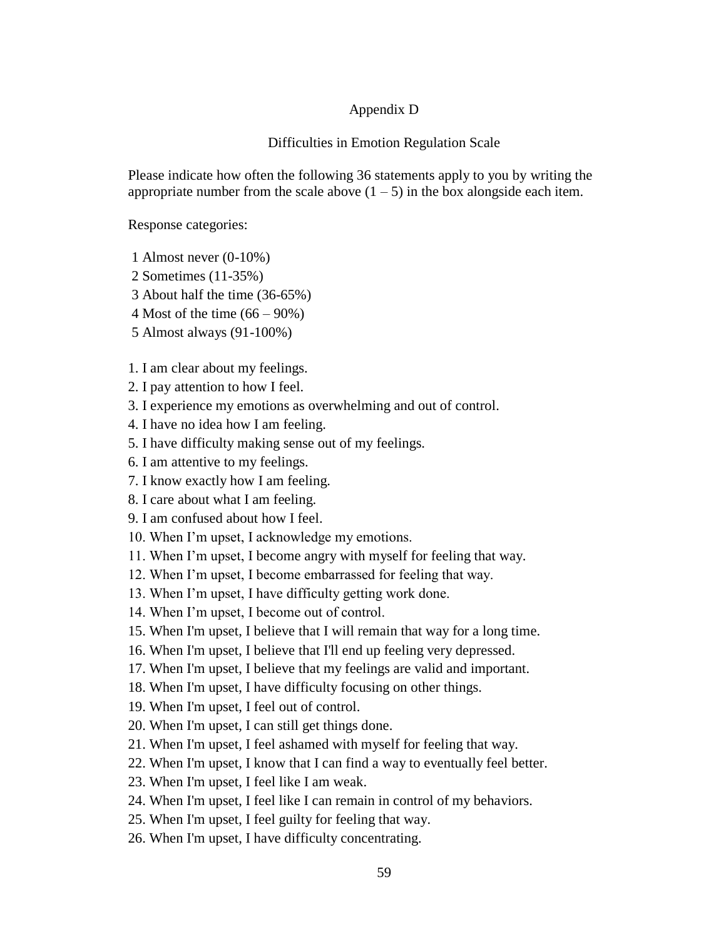# Appendix D

### Difficulties in Emotion Regulation Scale

Please indicate how often the following 36 statements apply to you by writing the appropriate number from the scale above  $(1 - 5)$  in the box alongside each item.

Response categories:

- 1 Almost never (0-10%)
- 2 Sometimes (11-35%)
- 3 About half the time (36-65%)
- 4 Most of the time (66 90%)
- 5 Almost always (91-100%)

1. I am clear about my feelings.

- 2. I pay attention to how I feel.
- 3. I experience my emotions as overwhelming and out of control.
- 4. I have no idea how I am feeling.
- 5. I have difficulty making sense out of my feelings.
- 6. I am attentive to my feelings.
- 7. I know exactly how I am feeling.
- 8. I care about what I am feeling.
- 9. I am confused about how I feel.
- 10. When I'm upset, I acknowledge my emotions.
- 11. When I'm upset, I become angry with myself for feeling that way.
- 12. When I'm upset, I become embarrassed for feeling that way.
- 13. When I'm upset, I have difficulty getting work done.
- 14. When I'm upset, I become out of control.
- 15. When I'm upset, I believe that I will remain that way for a long time.
- 16. When I'm upset, I believe that I'll end up feeling very depressed.
- 17. When I'm upset, I believe that my feelings are valid and important.
- 18. When I'm upset, I have difficulty focusing on other things.
- 19. When I'm upset, I feel out of control.
- 20. When I'm upset, I can still get things done.
- 21. When I'm upset, I feel ashamed with myself for feeling that way.
- 22. When I'm upset, I know that I can find a way to eventually feel better.
- 23. When I'm upset, I feel like I am weak.
- 24. When I'm upset, I feel like I can remain in control of my behaviors.
- 25. When I'm upset, I feel guilty for feeling that way.
- 26. When I'm upset, I have difficulty concentrating.